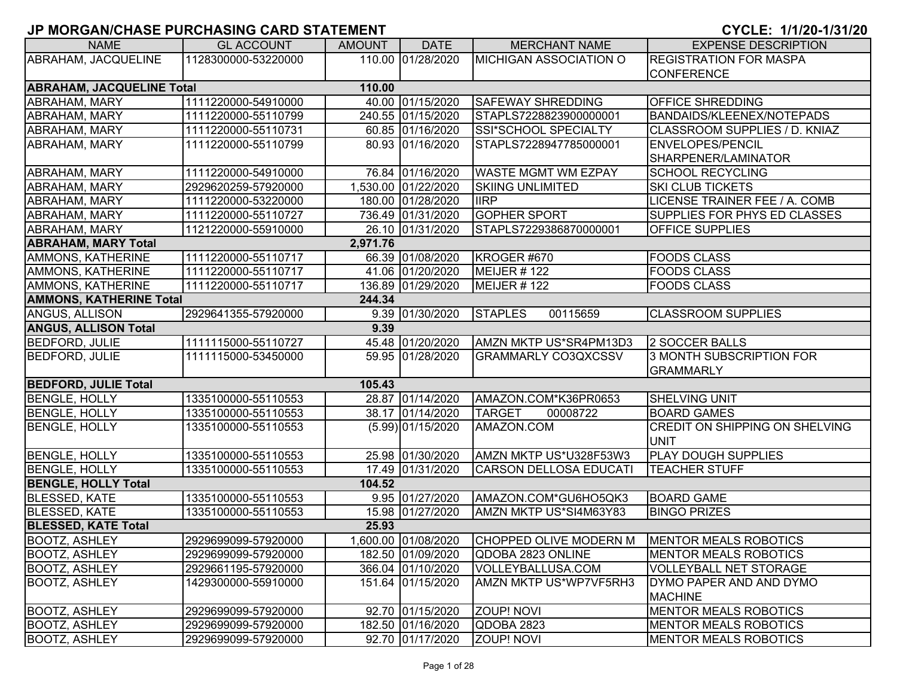| <b>NAME</b>                      | <b>GL ACCOUNT</b>   | <b>AMOUNT</b> | <b>DATE</b>         | <b>MERCHANT NAME</b>          | <b>EXPENSE DESCRIPTION</b>            |
|----------------------------------|---------------------|---------------|---------------------|-------------------------------|---------------------------------------|
| ABRAHAM, JACQUELINE              | 1128300000-53220000 |               | 110.00 01/28/2020   | MICHIGAN ASSOCIATION O        | <b>REGISTRATION FOR MASPA</b>         |
|                                  |                     |               |                     |                               | <b>CONFERENCE</b>                     |
| <b>ABRAHAM, JACQUELINE Total</b> |                     | 110.00        |                     |                               |                                       |
| ABRAHAM, MARY                    | 1111220000-54910000 |               | 40.00 01/15/2020    | <b>SAFEWAY SHREDDING</b>      | <b>OFFICE SHREDDING</b>               |
| ABRAHAM, MARY                    | 1111220000-55110799 |               | 240.55 01/15/2020   | STAPLS7228823900000001        | <b>BANDAIDS/KLEENEX/NOTEPADS</b>      |
| ABRAHAM, MARY                    | 1111220000-55110731 |               | 60.85 01/16/2020    | SSI*SCHOOL SPECIALTY          | CLASSROOM SUPPLIES / D. KNIAZ         |
| ABRAHAM, MARY                    | 1111220000-55110799 |               | 80.93 01/16/2020    | STAPLS7228947785000001        | <b>ENVELOPES/PENCIL</b>               |
|                                  |                     |               |                     |                               | SHARPENER/LAMINATOR                   |
| <b>ABRAHAM, MARY</b>             | 1111220000-54910000 |               | 76.84 01/16/2020    | <b>WASTE MGMT WM EZPAY</b>    | <b>SCHOOL RECYCLING</b>               |
| ABRAHAM, MARY                    | 2929620259-57920000 |               | 1,530.00 01/22/2020 | <b>SKIING UNLIMITED</b>       | <b>SKI CLUB TICKETS</b>               |
| ABRAHAM, MARY                    | 1111220000-53220000 |               | 180.00 01/28/2020   | <b>IIRP</b>                   | LICENSE TRAINER FEE / A. COMB         |
| ABRAHAM, MARY                    | 1111220000-55110727 |               | 736.49 01/31/2020   | <b>GOPHER SPORT</b>           | SUPPLIES FOR PHYS ED CLASSES          |
| <b>ABRAHAM, MARY</b>             | 1121220000-55910000 |               | 26.10 01/31/2020    | STAPLS7229386870000001        | <b>OFFICE SUPPLIES</b>                |
| <b>ABRAHAM, MARY Total</b>       |                     | 2,971.76      |                     |                               |                                       |
| AMMONS, KATHERINE                | 1111220000-55110717 |               | 66.39 01/08/2020    | KROGER #670                   | <b>FOODS CLASS</b>                    |
| <b>AMMONS, KATHERINE</b>         | 1111220000-55110717 |               | 41.06 01/20/2020    | MEIJER #122                   | <b>FOODS CLASS</b>                    |
| <b>AMMONS, KATHERINE</b>         | 1111220000-55110717 |               | 136.89 01/29/2020   | MEIJER #122                   | <b>FOODS CLASS</b>                    |
| <b>AMMONS, KATHERINE Total</b>   |                     | 244.34        |                     |                               |                                       |
| <b>ANGUS, ALLISON</b>            | 2929641355-57920000 |               | 9.39 01/30/2020     | 00115659<br><b>STAPLES</b>    | <b>CLASSROOM SUPPLIES</b>             |
| <b>ANGUS, ALLISON Total</b>      |                     | 9.39          |                     |                               |                                       |
| <b>BEDFORD, JULIE</b>            | 1111115000-55110727 |               | 45.48 01/20/2020    | AMZN MKTP US*SR4PM13D3        | 2 SOCCER BALLS                        |
| <b>BEDFORD, JULIE</b>            | 1111115000-53450000 |               | 59.95 01/28/2020    | <b>GRAMMARLY CO3QXCSSV</b>    | 3 MONTH SUBSCRIPTION FOR              |
|                                  |                     |               |                     |                               | <b>GRAMMARLY</b>                      |
| <b>BEDFORD, JULIE Total</b>      |                     | 105.43        |                     |                               |                                       |
| <b>BENGLE, HOLLY</b>             | 1335100000-55110553 |               | 28.87 01/14/2020    | AMAZON.COM*K36PR0653          | <b>SHELVING UNIT</b>                  |
| <b>BENGLE, HOLLY</b>             | 1335100000-55110553 |               | 38.17 01/14/2020    | <b>TARGET</b><br>00008722     | <b>BOARD GAMES</b>                    |
| <b>BENGLE, HOLLY</b>             | 1335100000-55110553 |               | $(5.99)$ 01/15/2020 | AMAZON.COM                    | <b>CREDIT ON SHIPPING ON SHELVING</b> |
|                                  |                     |               |                     |                               | <b>UNIT</b>                           |
| <b>BENGLE, HOLLY</b>             | 1335100000-55110553 |               | 25.98 01/30/2020    | AMZN MKTP US*U328F53W3        | <b>PLAY DOUGH SUPPLIES</b>            |
| <b>BENGLE, HOLLY</b>             | 1335100000-55110553 |               | 17.49 01/31/2020    | <b>CARSON DELLOSA EDUCATI</b> | <b>TEACHER STUFF</b>                  |
| <b>BENGLE, HOLLY Total</b>       |                     | 104.52        |                     |                               |                                       |
| <b>BLESSED, KATE</b>             | 1335100000-55110553 |               | 9.95 01/27/2020     | AMAZON.COM*GU6HO5QK3          | <b>BOARD GAME</b>                     |
| <b>BLESSED, KATE</b>             | 1335100000-55110553 |               | 15.98 01/27/2020    | AMZN MKTP US*SI4M63Y83        | <b>BINGO PRIZES</b>                   |
| <b>BLESSED, KATE Total</b>       |                     | 25.93         |                     |                               |                                       |
| <b>BOOTZ, ASHLEY</b>             | 2929699099-57920000 |               | 1,600.00 01/08/2020 | CHOPPED OLIVE MODERN M        | MENTOR MEALS ROBOTICS                 |
| <b>BOOTZ, ASHLEY</b>             | 2929699099-57920000 |               | 182.50 01/09/2020   | QDOBA 2823 ONLINE             | <b>IMENTOR MEALS ROBOTICS</b>         |
| <b>BOOTZ, ASHLEY</b>             | 2929661195-57920000 |               | 366.04 01/10/2020   | VOLLEYBALLUSA.COM             | <b>VOLLEYBALL NET STORAGE</b>         |
| <b>BOOTZ, ASHLEY</b>             | 1429300000-55910000 |               | 151.64 01/15/2020   | AMZN MKTP US*WP7VF5RH3        | DYMO PAPER AND AND DYMO               |
|                                  |                     |               |                     |                               | <b>MACHINE</b>                        |
| <b>BOOTZ, ASHLEY</b>             | 2929699099-57920000 |               | 92.70 01/15/2020    | <b>ZOUP! NOVI</b>             | MENTOR MEALS ROBOTICS                 |
| <b>BOOTZ, ASHLEY</b>             | 2929699099-57920000 |               | 182.50 01/16/2020   | QDOBA 2823                    | <b>MENTOR MEALS ROBOTICS</b>          |
| <b>BOOTZ, ASHLEY</b>             | 2929699099-57920000 |               | 92.70 01/17/2020    | <b>ZOUP! NOVI</b>             | MENTOR MEALS ROBOTICS                 |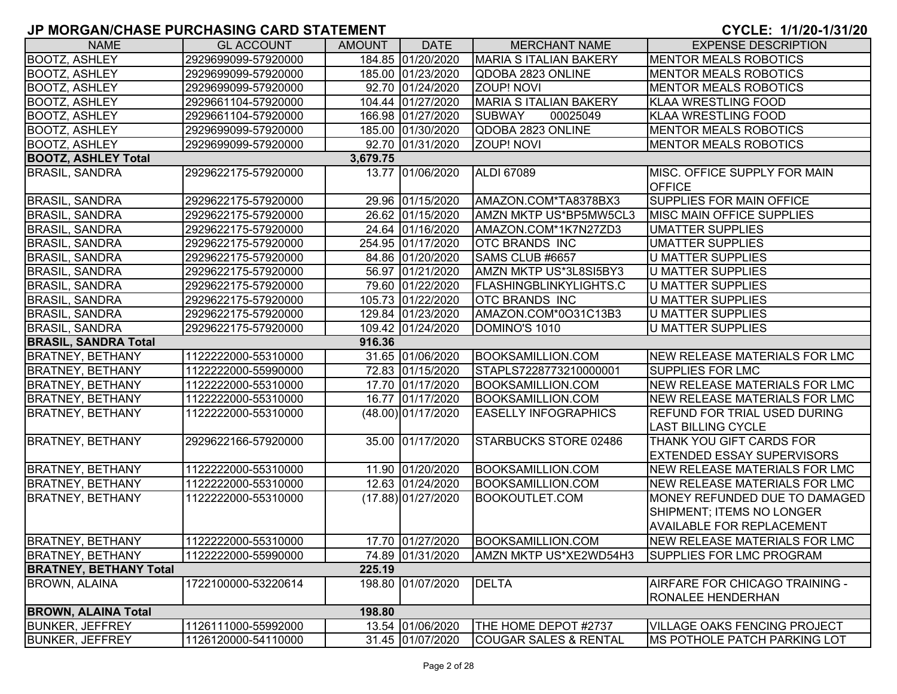| <b>NAME</b>                   | <b>GL ACCOUNT</b>   | <b>AMOUNT</b> | <b>DATE</b>        | <b>MERCHANT NAME</b>             | <b>EXPENSE DESCRIPTION</b>                                                                     |
|-------------------------------|---------------------|---------------|--------------------|----------------------------------|------------------------------------------------------------------------------------------------|
| <b>BOOTZ, ASHLEY</b>          | 2929699099-57920000 |               | 184.85 01/20/2020  | <b>MARIA S ITALIAN BAKERY</b>    | <b>MENTOR MEALS ROBOTICS</b>                                                                   |
| <b>BOOTZ, ASHLEY</b>          | 2929699099-57920000 |               | 185.00 01/23/2020  | QDOBA 2823 ONLINE                | <b>MENTOR MEALS ROBOTICS</b>                                                                   |
| <b>BOOTZ, ASHLEY</b>          | 2929699099-57920000 |               | 92.70 01/24/2020   | <b>ZOUP! NOVI</b>                | <b>MENTOR MEALS ROBOTICS</b>                                                                   |
| <b>BOOTZ, ASHLEY</b>          | 2929661104-57920000 |               | 104.44 01/27/2020  | MARIA S ITALIAN BAKERY           | <b>KLAA WRESTLING FOOD</b>                                                                     |
| <b>BOOTZ, ASHLEY</b>          | 2929661104-57920000 |               | 166.98 01/27/2020  | <b>SUBWAY</b><br>00025049        | <b>KLAA WRESTLING FOOD</b>                                                                     |
| <b>BOOTZ, ASHLEY</b>          | 2929699099-57920000 |               | 185.00 01/30/2020  | QDOBA 2823 ONLINE                | <b>MENTOR MEALS ROBOTICS</b>                                                                   |
| <b>BOOTZ, ASHLEY</b>          | 2929699099-57920000 |               | 92.70 01/31/2020   | <b>ZOUP! NOVI</b>                | <b>MENTOR MEALS ROBOTICS</b>                                                                   |
| <b>BOOTZ, ASHLEY Total</b>    |                     | 3,679.75      |                    |                                  |                                                                                                |
| <b>BRASIL, SANDRA</b>         | 2929622175-57920000 |               | 13.77 01/06/2020   | <b>ALDI 67089</b>                | MISC. OFFICE SUPPLY FOR MAIN<br><b>OFFICE</b>                                                  |
| <b>BRASIL, SANDRA</b>         | 2929622175-57920000 |               | 29.96 01/15/2020   | AMAZON.COM*TA8378BX3             | SUPPLIES FOR MAIN OFFICE                                                                       |
| <b>BRASIL, SANDRA</b>         | 2929622175-57920000 |               | 26.62 01/15/2020   | AMZN MKTP US*BP5MW5CL3           | <b>IMISC MAIN OFFICE SUPPLIES</b>                                                              |
| <b>BRASIL, SANDRA</b>         | 2929622175-57920000 |               | 24.64 01/16/2020   | AMAZON.COM*1K7N27ZD3             | <b>UMATTER SUPPLIES</b>                                                                        |
| <b>BRASIL, SANDRA</b>         | 2929622175-57920000 |               | 254.95 01/17/2020  | <b>OTC BRANDS INC</b>            | <b>UMATTER SUPPLIES</b>                                                                        |
| <b>BRASIL, SANDRA</b>         | 2929622175-57920000 |               | 84.86 01/20/2020   | SAMS CLUB #6657                  | <b>U MATTER SUPPLIES</b>                                                                       |
| <b>BRASIL, SANDRA</b>         | 2929622175-57920000 |               | 56.97 01/21/2020   | AMZN MKTP US*3L8SI5BY3           | <b>U MATTER SUPPLIES</b>                                                                       |
| <b>BRASIL, SANDRA</b>         | 2929622175-57920000 |               | 79.60 01/22/2020   | <b>FLASHINGBLINKYLIGHTS.C</b>    | <b>U MATTER SUPPLIES</b>                                                                       |
| <b>BRASIL, SANDRA</b>         | 2929622175-57920000 |               | 105.73 01/22/2020  | <b>OTC BRANDS INC</b>            | <b>U MATTER SUPPLIES</b>                                                                       |
| <b>BRASIL, SANDRA</b>         | 2929622175-57920000 |               | 129.84 01/23/2020  | AMAZON.COM*0O31C13B3             | <b>U MATTER SUPPLIES</b>                                                                       |
| <b>BRASIL, SANDRA</b>         | 2929622175-57920000 |               | 109.42 01/24/2020  | DOMINO'S 1010                    | U MATTER SUPPLIES                                                                              |
| <b>BRASIL, SANDRA Total</b>   |                     | 916.36        |                    |                                  |                                                                                                |
| <b>BRATNEY, BETHANY</b>       | 1122222000-55310000 |               | 31.65 01/06/2020   | <b>BOOKSAMILLION.COM</b>         | <b>NEW RELEASE MATERIALS FOR LMC</b>                                                           |
| <b>BRATNEY, BETHANY</b>       | 1122222000-55990000 |               | 72.83 01/15/2020   | STAPLS7228773210000001           | SUPPLIES FOR LMC                                                                               |
| <b>BRATNEY, BETHANY</b>       | 1122222000-55310000 |               | 17.70 01/17/2020   | <b>BOOKSAMILLION.COM</b>         | NEW RELEASE MATERIALS FOR LMC                                                                  |
| <b>BRATNEY, BETHANY</b>       | 1122222000-55310000 |               | 16.77 01/17/2020   | <b>BOOKSAMILLION.COM</b>         | NEW RELEASE MATERIALS FOR LMC                                                                  |
| <b>BRATNEY, BETHANY</b>       | 1122222000-55310000 |               | (48.00) 01/17/2020 | <b>EASELLY INFOGRAPHICS</b>      | <b>REFUND FOR TRIAL USED DURING</b><br><b>LAST BILLING CYCLE</b>                               |
| <b>BRATNEY, BETHANY</b>       | 2929622166-57920000 |               | 35.00 01/17/2020   | STARBUCKS STORE 02486            | THANK YOU GIFT CARDS FOR<br><b>EXTENDED ESSAY SUPERVISORS</b>                                  |
| <b>BRATNEY, BETHANY</b>       | 1122222000-55310000 |               | 11.90 01/20/2020   | <b>BOOKSAMILLION.COM</b>         | <b>NEW RELEASE MATERIALS FOR LMC</b>                                                           |
| <b>BRATNEY, BETHANY</b>       | 1122222000-55310000 |               | 12.63 01/24/2020   | <b>BOOKSAMILLION.COM</b>         | <b>NEW RELEASE MATERIALS FOR LMC</b>                                                           |
| <b>BRATNEY, BETHANY</b>       | 1122222000-55310000 |               | (17.88) 01/27/2020 | <b>BOOKOUTLET.COM</b>            | MONEY REFUNDED DUE TO DAMAGED<br>SHIPMENT; ITEMS NO LONGER<br><b>AVAILABLE FOR REPLACEMENT</b> |
| <b>BRATNEY, BETHANY</b>       | 1122222000-55310000 |               | 17.70 01/27/2020   | BOOKSAMILLION.COM                | NEW RELEASE MATERIALS FOR LMC                                                                  |
| <b>BRATNEY, BETHANY</b>       | 1122222000-55990000 |               | 74.89 01/31/2020   | AMZN MKTP US*XE2WD54H3           | <b>SUPPLIES FOR LMC PROGRAM</b>                                                                |
| <b>BRATNEY, BETHANY Total</b> |                     | 225.19        |                    |                                  |                                                                                                |
| <b>BROWN, ALAINA</b>          | 1722100000-53220614 |               | 198.80 01/07/2020  | <b>DELTA</b>                     | AIRFARE FOR CHICAGO TRAINING -<br>RONALEE HENDERHAN                                            |
| <b>BROWN, ALAINA Total</b>    |                     | 198.80        |                    |                                  |                                                                                                |
| <b>BUNKER, JEFFREY</b>        | 1126111000-55992000 |               | 13.54 01/06/2020   | THE HOME DEPOT #2737             | <b>VILLAGE OAKS FENCING PROJECT</b>                                                            |
| <b>BUNKER, JEFFREY</b>        | 1126120000-54110000 |               | 31.45 01/07/2020   | <b>COUGAR SALES &amp; RENTAL</b> | <b>IMS POTHOLE PATCH PARKING LOT</b>                                                           |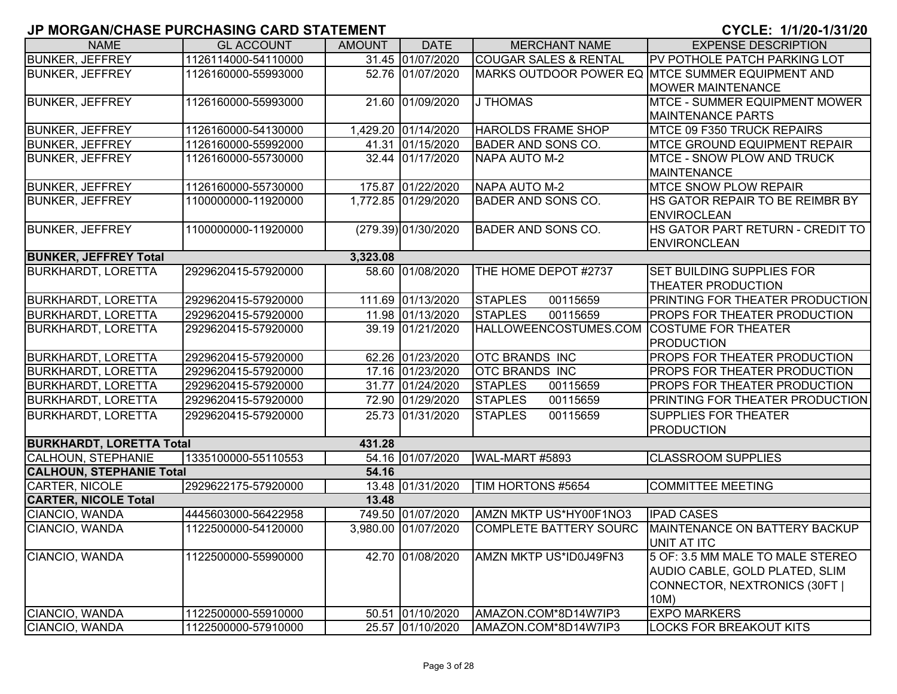| <b>NAME</b>                     | <b>GL ACCOUNT</b>   | <b>AMOUNT</b> | <b>DATE</b>         | <b>MERCHANT NAME</b>                      | <b>EXPENSE DESCRIPTION</b>                            |
|---------------------------------|---------------------|---------------|---------------------|-------------------------------------------|-------------------------------------------------------|
| <b>BUNKER, JEFFREY</b>          | 1126114000-54110000 |               | 31.45 01/07/2020    | <b>COUGAR SALES &amp; RENTAL</b>          | PV POTHOLE PATCH PARKING LOT                          |
| <b>BUNKER, JEFFREY</b>          | 1126160000-55993000 |               | 52.76 01/07/2020    |                                           | MARKS OUTDOOR POWER EQ MTCE SUMMER EQUIPMENT AND      |
|                                 |                     |               |                     |                                           | <b>MOWER MAINTENANCE</b>                              |
| <b>BUNKER, JEFFREY</b>          | 1126160000-55993000 |               | 21.60 01/09/2020    | <b>J THOMAS</b>                           | MTCE - SUMMER EQUIPMENT MOWER                         |
|                                 |                     |               |                     |                                           | <b>MAINTENANCE PARTS</b>                              |
| <b>BUNKER, JEFFREY</b>          | 1126160000-54130000 |               | 1,429.20 01/14/2020 | <b>HAROLDS FRAME SHOP</b>                 | MTCE 09 F350 TRUCK REPAIRS                            |
| <b>BUNKER, JEFFREY</b>          | 1126160000-55992000 |               | 41.31 01/15/2020    | <b>BADER AND SONS CO.</b>                 | <b>MTCE GROUND EQUIPMENT REPAIR</b>                   |
| <b>BUNKER, JEFFREY</b>          | 1126160000-55730000 |               | 32.44 01/17/2020    | <b>NAPA AUTO M-2</b>                      | <b>MTCE - SNOW PLOW AND TRUCK</b>                     |
|                                 |                     |               |                     |                                           | <b>MAINTENANCE</b>                                    |
| <b>BUNKER, JEFFREY</b>          | 1126160000-55730000 |               | 175.87 01/22/2020   | NAPA AUTO M-2                             | <b>IMTCE SNOW PLOW REPAIR</b>                         |
| <b>BUNKER, JEFFREY</b>          | 1100000000-11920000 |               | 1,772.85 01/29/2020 | <b>BADER AND SONS CO.</b>                 | HS GATOR REPAIR TO BE REIMBR BY<br><b>ENVIROCLEAN</b> |
| <b>BUNKER, JEFFREY</b>          | 1100000000-11920000 |               | (279.39) 01/30/2020 | <b>BADER AND SONS CO.</b>                 | HS GATOR PART RETURN - CREDIT TO                      |
|                                 |                     |               |                     |                                           | <b>ENVIRONCLEAN</b>                                   |
| <b>BUNKER, JEFFREY Total</b>    |                     | 3,323.08      |                     |                                           |                                                       |
| <b>BURKHARDT, LORETTA</b>       | 2929620415-57920000 |               | 58.60 01/08/2020    | THE HOME DEPOT #2737                      | <b>SET BUILDING SUPPLIES FOR</b>                      |
|                                 |                     |               |                     |                                           | <b>THEATER PRODUCTION</b>                             |
| <b>BURKHARDT, LORETTA</b>       | 2929620415-57920000 |               | 111.69 01/13/2020   | <b>STAPLES</b><br>00115659                | <b>PRINTING FOR THEATER PRODUCTION</b>                |
| <b>BURKHARDT, LORETTA</b>       | 2929620415-57920000 |               | 11.98 01/13/2020    | <b>STAPLES</b><br>00115659                | <b>PROPS FOR THEATER PRODUCTION</b>                   |
| <b>BURKHARDT, LORETTA</b>       | 2929620415-57920000 |               | 39.19 01/21/2020    | HALLOWEENCOSTUMES.COM COSTUME FOR THEATER |                                                       |
|                                 |                     |               |                     |                                           | <b>PRODUCTION</b>                                     |
| <b>BURKHARDT, LORETTA</b>       | 2929620415-57920000 |               | 62.26 01/23/2020    | <b>OTC BRANDS INC</b>                     | <b>PROPS FOR THEATER PRODUCTION</b>                   |
| <b>BURKHARDT, LORETTA</b>       | 2929620415-57920000 |               | 17.16 01/23/2020    | <b>OTC BRANDS INC</b>                     | PROPS FOR THEATER PRODUCTION                          |
| <b>BURKHARDT, LORETTA</b>       | 2929620415-57920000 |               | 31.77 01/24/2020    | <b>STAPLES</b><br>00115659                | <b>PROPS FOR THEATER PRODUCTION</b>                   |
| <b>BURKHARDT, LORETTA</b>       | 2929620415-57920000 |               | 72.90 01/29/2020    | <b>STAPLES</b><br>00115659                | <b>PRINTING FOR THEATER PRODUCTION</b>                |
| <b>BURKHARDT, LORETTA</b>       | 2929620415-57920000 |               | 25.73 01/31/2020    | <b>STAPLES</b><br>00115659                | <b>SUPPLIES FOR THEATER</b>                           |
|                                 |                     |               |                     |                                           | <b>PRODUCTION</b>                                     |
| <b>BURKHARDT, LORETTA Total</b> |                     | 431.28        |                     |                                           |                                                       |
| <b>CALHOUN, STEPHANIE</b>       | 1335100000-55110553 |               | 54.16 01/07/2020    | <b>WAL-MART #5893</b>                     | <b>CLASSROOM SUPPLIES</b>                             |
| <b>CALHOUN, STEPHANIE Total</b> |                     | 54.16         |                     |                                           |                                                       |
| <b>CARTER, NICOLE</b>           | 2929622175-57920000 |               | 13.48 01/31/2020    | TIM HORTONS #5654                         | <b>COMMITTEE MEETING</b>                              |
| <b>CARTER, NICOLE Total</b>     |                     | 13.48         |                     |                                           |                                                       |
| CIANCIO, WANDA                  | 4445603000-56422958 |               | 749.50 01/07/2020   | AMZN MKTP US*HY00F1NO3                    | <b>IPAD CASES</b>                                     |
| CIANCIO, WANDA                  | 1122500000-54120000 |               | 3,980.00 01/07/2020 | <b>COMPLETE BATTERY SOURC</b>             | MAINTENANCE ON BATTERY BACKUP                         |
|                                 |                     |               |                     |                                           | UNIT AT ITC                                           |
| CIANCIO, WANDA                  | 1122500000-55990000 |               | 42.70 01/08/2020    | AMZN MKTP US*ID0J49FN3                    | 5 OF: 3.5 MM MALE TO MALE STEREO                      |
|                                 |                     |               |                     |                                           | AUDIO CABLE, GOLD PLATED, SLIM                        |
|                                 |                     |               |                     |                                           | CONNECTOR, NEXTRONICS (30FT                           |
|                                 |                     |               |                     |                                           | 10M)                                                  |
| CIANCIO, WANDA                  | 1122500000-55910000 |               | 50.51 01/10/2020    | AMAZON.COM*8D14W7IP3                      | <b>EXPO MARKERS</b>                                   |
| CIANCIO, WANDA                  | 1122500000-57910000 |               | 25.57 01/10/2020    | AMAZON.COM*8D14W7IP3                      | LOCKS FOR BREAKOUT KITS                               |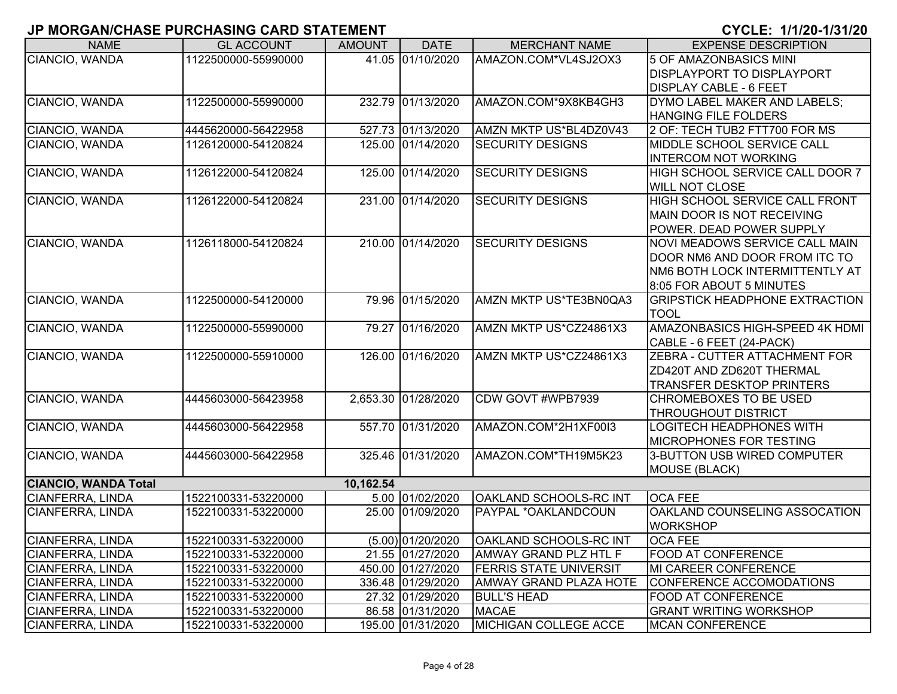| <b>NAME</b>                 | <b>GL ACCOUNT</b>   | <b>AMOUNT</b> | <b>DATE</b>         | <b>MERCHANT NAME</b>          | <b>EXPENSE DESCRIPTION</b>            |
|-----------------------------|---------------------|---------------|---------------------|-------------------------------|---------------------------------------|
| CIANCIO, WANDA              | 1122500000-55990000 |               | 41.05 01/10/2020    | AMAZON.COM*VL4SJ2OX3          | <b>5 OF AMAZONBASICS MINI</b>         |
|                             |                     |               |                     |                               | <b>DISPLAYPORT TO DISPLAYPORT</b>     |
|                             |                     |               |                     |                               | <b>DISPLAY CABLE - 6 FEET</b>         |
| CIANCIO, WANDA              | 1122500000-55990000 |               | 232.79 01/13/2020   | AMAZON.COM*9X8KB4GH3          | DYMO LABEL MAKER AND LABELS;          |
|                             |                     |               |                     |                               | <b>HANGING FILE FOLDERS</b>           |
| CIANCIO, WANDA              | 4445620000-56422958 |               | 527.73 01/13/2020   | AMZN MKTP US*BL4DZ0V43        | 2 OF: TECH TUB2 FTT700 FOR MS         |
| CIANCIO, WANDA              | 1126120000-54120824 |               | 125.00 01/14/2020   | <b>SECURITY DESIGNS</b>       | MIDDLE SCHOOL SERVICE CALL            |
|                             |                     |               |                     |                               | <b>INTERCOM NOT WORKING</b>           |
| CIANCIO, WANDA              | 1126122000-54120824 |               | 125.00 01/14/2020   | <b>SECURITY DESIGNS</b>       | HIGH SCHOOL SERVICE CALL DOOR 7       |
|                             |                     |               |                     |                               | <b>WILL NOT CLOSE</b>                 |
| CIANCIO, WANDA              | 1126122000-54120824 |               | 231.00 01/14/2020   | <b>SECURITY DESIGNS</b>       | <b>HIGH SCHOOL SERVICE CALL FRONT</b> |
|                             |                     |               |                     |                               | MAIN DOOR IS NOT RECEIVING            |
|                             |                     |               |                     |                               | POWER. DEAD POWER SUPPLY              |
| CIANCIO, WANDA              | 1126118000-54120824 |               | 210.00 01/14/2020   | <b>SECURITY DESIGNS</b>       | NOVI MEADOWS SERVICE CALL MAIN        |
|                             |                     |               |                     |                               | DOOR NM6 AND DOOR FROM ITC TO         |
|                             |                     |               |                     |                               | NM6 BOTH LOCK INTERMITTENTLY AT       |
|                             |                     |               |                     |                               | 8:05 FOR ABOUT 5 MINUTES              |
| CIANCIO, WANDA              | 1122500000-54120000 |               | 79.96 01/15/2020    | AMZN MKTP US*TE3BN0QA3        | <b>GRIPSTICK HEADPHONE EXTRACTION</b> |
|                             |                     |               |                     |                               | <b>TOOL</b>                           |
| CIANCIO, WANDA              | 1122500000-55990000 |               | 79.27 01/16/2020    | AMZN MKTP US*CZ24861X3        | AMAZONBASICS HIGH-SPEED 4K HDMI       |
|                             |                     |               |                     |                               | CABLE - 6 FEET (24-PACK)              |
| CIANCIO, WANDA              | 1122500000-55910000 |               | 126.00 01/16/2020   | AMZN MKTP US*CZ24861X3        | ZEBRA - CUTTER ATTACHMENT FOR         |
|                             |                     |               |                     |                               | ZD420T AND ZD620T THERMAL             |
|                             |                     |               |                     |                               | <b>TRANSFER DESKTOP PRINTERS</b>      |
| CIANCIO, WANDA              | 4445603000-56423958 |               | 2,653.30 01/28/2020 | CDW GOVT #WPB7939             | <b>CHROMEBOXES TO BE USED</b>         |
|                             |                     |               |                     |                               | <b>THROUGHOUT DISTRICT</b>            |
| CIANCIO, WANDA              | 4445603000-56422958 |               | 557.70 01/31/2020   | AMAZON.COM*2H1XF00I3          | <b>LOGITECH HEADPHONES WITH</b>       |
|                             |                     |               |                     |                               | <b>IMICROPHONES FOR TESTING</b>       |
| CIANCIO, WANDA              | 4445603000-56422958 |               | 325.46 01/31/2020   | AMAZON.COM*TH19M5K23          | 3-BUTTON USB WIRED COMPUTER           |
|                             |                     |               |                     |                               | MOUSE (BLACK)                         |
| <b>CIANCIO, WANDA Total</b> |                     | 10,162.54     |                     |                               |                                       |
| <b>CIANFERRA, LINDA</b>     | 1522100331-53220000 |               | 5.00 01/02/2020     | <b>OAKLAND SCHOOLS-RC INT</b> | <b>OCA FEE</b>                        |
| CIANFERRA, LINDA            | 1522100331-53220000 |               | 25.00 01/09/2020    | PAYPAL *OAKLANDCOUN           | OAKLAND COUNSELING ASSOCATION         |
|                             |                     |               |                     |                               | <b>WORKSHOP</b>                       |
| <b>CIANFERRA, LINDA</b>     | 1522100331-53220000 |               | (5.00) 01/20/2020   | <b>OAKLAND SCHOOLS-RC INT</b> | <b>OCA FEE</b>                        |
| CIANFERRA, LINDA            | 1522100331-53220000 |               | 21.55 01/27/2020    | AMWAY GRAND PLZ HTL F         | <b>FOOD AT CONFERENCE</b>             |
| <b>CIANFERRA, LINDA</b>     | 1522100331-53220000 |               | 450.00 01/27/2020   | <b>FERRIS STATE UNIVERSIT</b> | <b>MI CAREER CONFERENCE</b>           |
| <b>CIANFERRA, LINDA</b>     | 1522100331-53220000 |               | 336.48 01/29/2020   | <b>AMWAY GRAND PLAZA HOTE</b> | CONFERENCE ACCOMODATIONS              |
| <b>CIANFERRA, LINDA</b>     | 1522100331-53220000 |               | 27.32 01/29/2020    | <b>BULL'S HEAD</b>            | <b>FOOD AT CONFERENCE</b>             |
| <b>CIANFERRA, LINDA</b>     | 1522100331-53220000 |               | 86.58 01/31/2020    | <b>MACAE</b>                  | <b>GRANT WRITING WORKSHOP</b>         |
| <b>CIANFERRA, LINDA</b>     | 1522100331-53220000 |               | 195.00 01/31/2020   | MICHIGAN COLLEGE ACCE         | <b>MCAN CONFERENCE</b>                |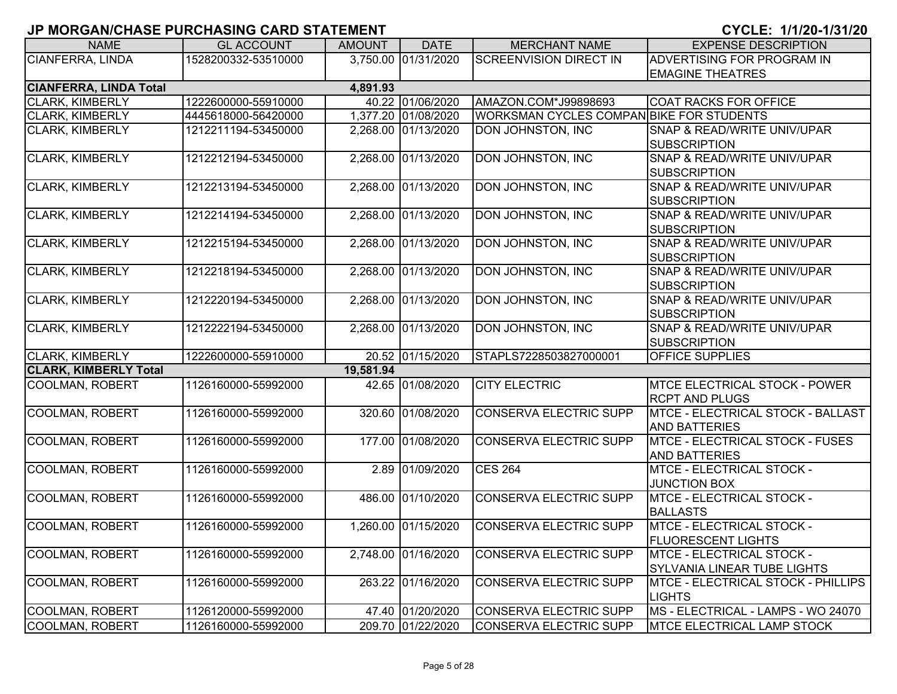| <b>NAME</b>                   | <b>GL ACCOUNT</b>   | <b>AMOUNT</b> | <b>DATE</b>         | <b>MERCHANT NAME</b>                     | <b>EXPENSE DESCRIPTION</b>             |
|-------------------------------|---------------------|---------------|---------------------|------------------------------------------|----------------------------------------|
| <b>CIANFERRA, LINDA</b>       | 1528200332-53510000 |               | 3,750.00 01/31/2020 | <b>SCREENVISION DIRECT IN</b>            | ADVERTISING FOR PROGRAM IN             |
|                               |                     |               |                     |                                          | <b>EMAGINE THEATRES</b>                |
| <b>CIANFERRA, LINDA Total</b> |                     | 4,891.93      |                     |                                          |                                        |
| <b>CLARK, KIMBERLY</b>        | 1222600000-55910000 |               | 40.22 01/06/2020    | AMAZON.COM*J99898693                     | <b>COAT RACKS FOR OFFICE</b>           |
| <b>CLARK, KIMBERLY</b>        | 4445618000-56420000 |               | 1,377.20 01/08/2020 | WORKSMAN CYCLES COMPAN BIKE FOR STUDENTS |                                        |
| <b>CLARK, KIMBERLY</b>        | 1212211194-53450000 |               | 2,268.00 01/13/2020 | DON JOHNSTON, INC                        | SNAP & READ/WRITE UNIV/UPAR            |
|                               |                     |               |                     |                                          | <b>SUBSCRIPTION</b>                    |
| <b>CLARK, KIMBERLY</b>        | 1212212194-53450000 |               | 2,268.00 01/13/2020 | <b>DON JOHNSTON, INC</b>                 | SNAP & READ/WRITE UNIV/UPAR            |
|                               |                     |               |                     |                                          | <b>SUBSCRIPTION</b>                    |
| <b>CLARK, KIMBERLY</b>        | 1212213194-53450000 |               | 2,268.00 01/13/2020 | DON JOHNSTON, INC                        | SNAP & READ/WRITE UNIV/UPAR            |
|                               |                     |               |                     |                                          | <b>SUBSCRIPTION</b>                    |
| <b>CLARK, KIMBERLY</b>        | 1212214194-53450000 |               | 2,268.00 01/13/2020 | DON JOHNSTON, INC                        | SNAP & READ/WRITE UNIV/UPAR            |
|                               |                     |               |                     |                                          | <b>SUBSCRIPTION</b>                    |
| <b>CLARK, KIMBERLY</b>        | 1212215194-53450000 |               | 2,268.00 01/13/2020 | DON JOHNSTON, INC                        | SNAP & READ/WRITE UNIV/UPAR            |
|                               |                     |               |                     |                                          | <b>SUBSCRIPTION</b>                    |
| <b>CLARK, KIMBERLY</b>        | 1212218194-53450000 |               | 2,268.00 01/13/2020 | <b>DON JOHNSTON, INC</b>                 | SNAP & READ/WRITE UNIV/UPAR            |
|                               |                     |               |                     |                                          | <b>SUBSCRIPTION</b>                    |
| <b>CLARK, KIMBERLY</b>        | 1212220194-53450000 |               | 2,268.00 01/13/2020 | <b>DON JOHNSTON, INC</b>                 | SNAP & READ/WRITE UNIV/UPAR            |
|                               |                     |               |                     |                                          | <b>SUBSCRIPTION</b>                    |
| <b>CLARK, KIMBERLY</b>        | 1212222194-53450000 |               | 2,268.00 01/13/2020 | <b>DON JOHNSTON, INC</b>                 | SNAP & READ/WRITE UNIV/UPAR            |
|                               |                     |               |                     |                                          | <b>SUBSCRIPTION</b>                    |
| <b>CLARK, KIMBERLY</b>        | 1222600000-55910000 |               | 20.52 01/15/2020    | STAPLS7228503827000001                   | <b>OFFICE SUPPLIES</b>                 |
| <b>CLARK, KIMBERLY Total</b>  |                     | 19,581.94     |                     |                                          |                                        |
| <b>COOLMAN, ROBERT</b>        | 1126160000-55992000 |               | 42.65 01/08/2020    | <b>CITY ELECTRIC</b>                     | <b>MTCE ELECTRICAL STOCK - POWER</b>   |
|                               |                     |               |                     |                                          | <b>RCPT AND PLUGS</b>                  |
| <b>COOLMAN, ROBERT</b>        | 1126160000-55992000 |               | 320.60 01/08/2020   | <b>CONSERVA ELECTRIC SUPP</b>            | MTCE - ELECTRICAL STOCK - BALLAST      |
|                               |                     |               |                     |                                          | <b>AND BATTERIES</b>                   |
| <b>COOLMAN, ROBERT</b>        | 1126160000-55992000 |               | 177.00 01/08/2020   | <b>CONSERVA ELECTRIC SUPP</b>            | <b>MTCE - ELECTRICAL STOCK - FUSES</b> |
|                               |                     |               |                     |                                          | <b>AND BATTERIES</b>                   |
| <b>COOLMAN, ROBERT</b>        | 1126160000-55992000 |               | 2.89 01/09/2020     | <b>CES 264</b>                           | MTCE - ELECTRICAL STOCK -              |
|                               |                     |               |                     |                                          | <b>JUNCTION BOX</b>                    |
| <b>COOLMAN, ROBERT</b>        | 1126160000-55992000 |               | 486.00 01/10/2020   | <b>CONSERVA ELECTRIC SUPP</b>            | MTCE - ELECTRICAL STOCK -              |
|                               |                     |               |                     |                                          | <b>BALLASTS</b>                        |
| <b>COOLMAN, ROBERT</b>        | 1126160000-55992000 |               | 1,260.00 01/15/2020 | <b>CONSERVA ELECTRIC SUPP</b>            | <b>MTCE - ELECTRICAL STOCK -</b>       |
|                               |                     |               |                     |                                          | <b>FLUORESCENT LIGHTS</b>              |
| <b>COOLMAN, ROBERT</b>        | 1126160000-55992000 |               | 2,748.00 01/16/2020 | <b>CONSERVA ELECTRIC SUPP</b>            | <b>MTCE - ELECTRICAL STOCK -</b>       |
|                               |                     |               |                     |                                          | SYLVANIA LINEAR TUBE LIGHTS            |
| <b>COOLMAN, ROBERT</b>        | 1126160000-55992000 |               | 263.22 01/16/2020   | <b>CONSERVA ELECTRIC SUPP</b>            | MTCE - ELECTRICAL STOCK - PHILLIPS     |
|                               |                     |               |                     |                                          | <b>LIGHTS</b>                          |
| <b>COOLMAN, ROBERT</b>        | 1126120000-55992000 |               | 47.40 01/20/2020    | <b>CONSERVA ELECTRIC SUPP</b>            | MS - ELECTRICAL - LAMPS - WO 24070     |
| COOLMAN, ROBERT               | 1126160000-55992000 |               | 209.70 01/22/2020   | CONSERVA ELECTRIC SUPP                   | MTCE ELECTRICAL LAMP STOCK             |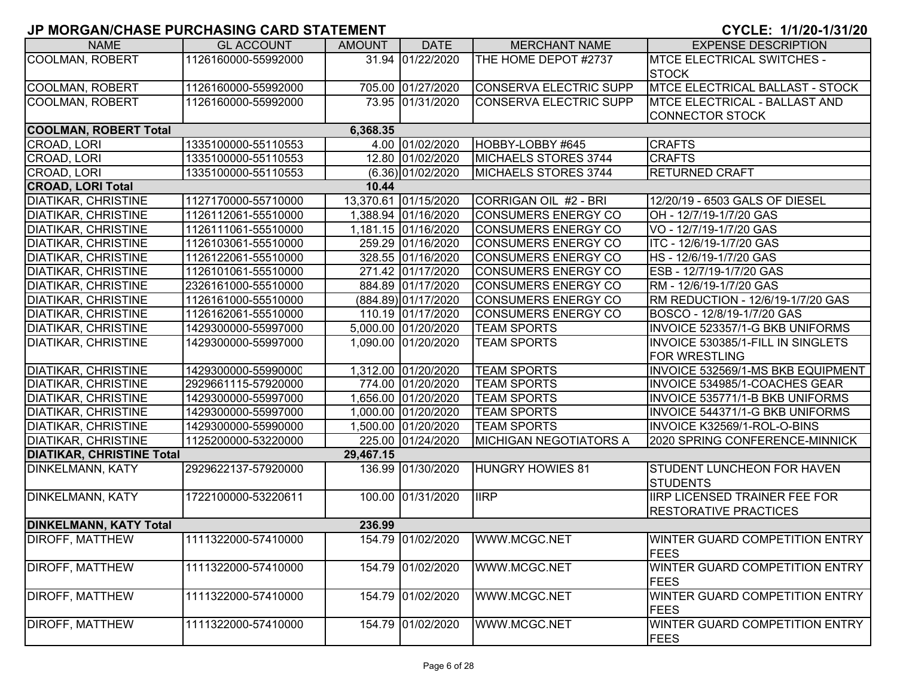| <b>NAME</b>                      | <b>GL ACCOUNT</b>   | <b>AMOUNT</b> | <b>DATE</b>          | <b>MERCHANT NAME</b>          | <b>EXPENSE DESCRIPTION</b>             |
|----------------------------------|---------------------|---------------|----------------------|-------------------------------|----------------------------------------|
| COOLMAN, ROBERT                  | 1126160000-55992000 |               | 31.94 01/22/2020     | THE HOME DEPOT #2737          | <b>MTCE ELECTRICAL SWITCHES -</b>      |
|                                  |                     |               |                      |                               | <b>STOCK</b>                           |
| <b>COOLMAN, ROBERT</b>           | 1126160000-55992000 |               | 705.00 01/27/2020    | <b>CONSERVA ELECTRIC SUPP</b> | <b>MTCE ELECTRICAL BALLAST - STOCK</b> |
| COOLMAN, ROBERT                  | 1126160000-55992000 |               | 73.95 01/31/2020     | <b>CONSERVA ELECTRIC SUPP</b> | <b>MTCE ELECTRICAL - BALLAST AND</b>   |
|                                  |                     |               |                      |                               | <b>CONNECTOR STOCK</b>                 |
| <b>COOLMAN, ROBERT Total</b>     |                     | 6,368.35      |                      |                               |                                        |
| CROAD, LORI                      | 1335100000-55110553 |               | 4.00 01/02/2020      | HOBBY-LOBBY #645              | <b>CRAFTS</b>                          |
| CROAD, LORI                      | 1335100000-55110553 |               | 12.80 01/02/2020     | MICHAELS STORES 3744          | <b>CRAFTS</b>                          |
| CROAD, LORI                      | 1335100000-55110553 |               | $(6.36)$ 01/02/2020  | MICHAELS STORES 3744          | <b>RETURNED CRAFT</b>                  |
| <b>CROAD, LORI Total</b>         |                     | 10.44         |                      |                               |                                        |
| DIATIKAR, CHRISTINE              | 1127170000-55710000 |               | 13,370.61 01/15/2020 | CORRIGAN OIL #2 - BRI         | 12/20/19 - 6503 GALS OF DIESEL         |
| DIATIKAR, CHRISTINE              | 1126112061-55510000 |               | 1,388.94 01/16/2020  | <b>CONSUMERS ENERGY CO</b>    | OH - 12/7/19-1/7/20 GAS                |
| DIATIKAR, CHRISTINE              | 1126111061-55510000 |               | 1,181.15 01/16/2020  | <b>CONSUMERS ENERGY CO</b>    | VO - 12/7/19-1/7/20 GAS                |
| <b>DIATIKAR, CHRISTINE</b>       | 1126103061-55510000 |               | 259.29 01/16/2020    | <b>CONSUMERS ENERGY CO</b>    | ITC - 12/6/19-1/7/20 GAS               |
| DIATIKAR, CHRISTINE              | 1126122061-55510000 |               | 328.55 01/16/2020    | <b>CONSUMERS ENERGY CO</b>    | HS-12/6/19-1/7/20 GAS                  |
| <b>DIATIKAR, CHRISTINE</b>       | 1126101061-55510000 |               | 271.42 01/17/2020    | <b>CONSUMERS ENERGY CO</b>    | ESB - 12/7/19-1/7/20 GAS               |
| DIATIKAR, CHRISTINE              | 2326161000-55510000 |               | 884.89 01/17/2020    | <b>CONSUMERS ENERGY CO</b>    | RM - 12/6/19-1/7/20 GAS                |
| DIATIKAR, CHRISTINE              | 1126161000-55510000 |               | (884.89) 01/17/2020  | <b>CONSUMERS ENERGY CO</b>    | RM REDUCTION - 12/6/19-1/7/20 GAS      |
| DIATIKAR, CHRISTINE              | 1126162061-55510000 |               | 110.19 01/17/2020    | <b>CONSUMERS ENERGY CO</b>    | BOSCO - 12/8/19-1/7/20 GAS             |
| DIATIKAR, CHRISTINE              | 1429300000-55997000 |               | 5,000.00 01/20/2020  | <b>TEAM SPORTS</b>            | INVOICE 523357/1-G BKB UNIFORMS        |
| DIATIKAR, CHRISTINE              | 1429300000-55997000 |               | 1,090.00 01/20/2020  | <b>TEAM SPORTS</b>            | INVOICE 530385/1-FILL IN SINGLETS      |
|                                  |                     |               |                      |                               | <b>FOR WRESTLING</b>                   |
| <b>DIATIKAR, CHRISTINE</b>       | 1429300000-55990000 |               | 1,312.00 01/20/2020  | <b>TEAM SPORTS</b>            | INVOICE 532569/1-MS BKB EQUIPMENT      |
| DIATIKAR, CHRISTINE              | 2929661115-57920000 |               | 774.00 01/20/2020    | <b>TEAM SPORTS</b>            | INVOICE 534985/1-COACHES GEAR          |
| DIATIKAR, CHRISTINE              | 1429300000-55997000 |               | 1,656.00 01/20/2020  | <b>TEAM SPORTS</b>            | INVOICE 535771/1-B BKB UNIFORMS        |
| DIATIKAR, CHRISTINE              | 1429300000-55997000 |               | 1,000.00 01/20/2020  | <b>TEAM SPORTS</b>            | <b>INVOICE 544371/1-G BKB UNIFORMS</b> |
| DIATIKAR, CHRISTINE              | 1429300000-55990000 |               | 1,500.00 01/20/2020  | <b>TEAM SPORTS</b>            | INVOICE K32569/1-ROL-O-BINS            |
| <b>DIATIKAR, CHRISTINE</b>       | 1125200000-53220000 |               | 225.00 01/24/2020    | <b>MICHIGAN NEGOTIATORS A</b> | 2020 SPRING CONFERENCE-MINNICK         |
| <b>DIATIKAR, CHRISTINE Total</b> |                     | 29,467.15     |                      |                               |                                        |
| DINKELMANN, KATY                 | 2929622137-57920000 |               | 136.99 01/30/2020    | <b>HUNGRY HOWIES 81</b>       | <b>STUDENT LUNCHEON FOR HAVEN</b>      |
|                                  |                     |               |                      |                               | <b>STUDENTS</b>                        |
| DINKELMANN, KATY                 | 1722100000-53220611 |               | 100.00 01/31/2020    | <b>IIRP</b>                   | <b>IRP LICENSED TRAINER FEE FOR</b>    |
|                                  |                     |               |                      |                               | <b>RESTORATIVE PRACTICES</b>           |
| <b>DINKELMANN, KATY Total</b>    |                     | 236.99        |                      |                               |                                        |
| <b>DIROFF, MATTHEW</b>           | 1111322000-57410000 |               | 154.79 01/02/2020    | WWW.MCGC.NET                  | WINTER GUARD COMPETITION ENTRY         |
|                                  |                     |               |                      |                               | <b>FEES</b>                            |
| DIROFF, MATTHEW                  | 1111322000-57410000 |               | 154.79 01/02/2020    | WWW.MCGC.NET                  | WINTER GUARD COMPETITION ENTRY         |
|                                  |                     |               |                      |                               | <b>FEES</b>                            |
| <b>DIROFF, MATTHEW</b>           | 1111322000-57410000 |               | 154.79 01/02/2020    | WWW.MCGC.NET                  | WINTER GUARD COMPETITION ENTRY         |
|                                  |                     |               |                      |                               | <b>FEES</b>                            |
| DIROFF, MATTHEW                  | 1111322000-57410000 |               | 154.79 01/02/2020    | WWW.MCGC.NET                  | WINTER GUARD COMPETITION ENTRY         |
|                                  |                     |               |                      |                               | <b>FEES</b>                            |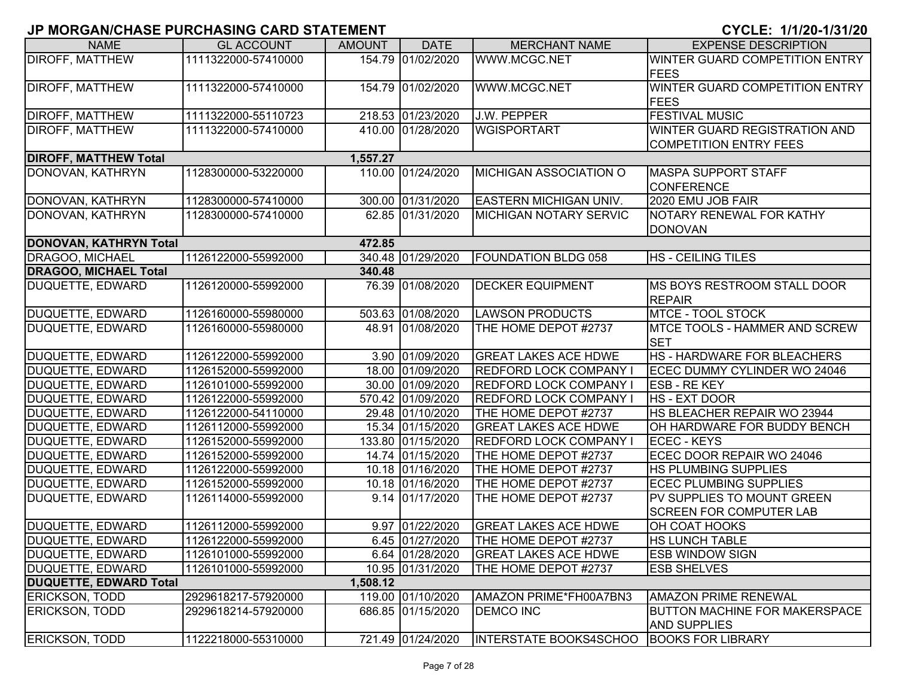| <b>NAME</b>                   | <b>GL ACCOUNT</b>   | <b>AMOUNT</b> | <b>DATE</b>       | <b>MERCHANT NAME</b>          | <b>EXPENSE DESCRIPTION</b>           |
|-------------------------------|---------------------|---------------|-------------------|-------------------------------|--------------------------------------|
| <b>DIROFF, MATTHEW</b>        | 1111322000-57410000 |               | 154.79 01/02/2020 | WWW.MCGC.NET                  | WINTER GUARD COMPETITION ENTRY       |
|                               |                     |               |                   |                               | <b>FEES</b>                          |
| <b>DIROFF, MATTHEW</b>        | 1111322000-57410000 |               | 154.79 01/02/2020 | WWW.MCGC.NET                  | WINTER GUARD COMPETITION ENTRY       |
|                               |                     |               |                   |                               | <b>FEES</b>                          |
| <b>DIROFF, MATTHEW</b>        | 1111322000-55110723 |               | 218.53 01/23/2020 | J.W. PEPPER                   | <b>FESTIVAL MUSIC</b>                |
| <b>DIROFF, MATTHEW</b>        | 1111322000-57410000 |               | 410.00 01/28/2020 | <b>WGISPORTART</b>            | WINTER GUARD REGISTRATION AND        |
|                               |                     |               |                   |                               | <b>COMPETITION ENTRY FEES</b>        |
| <b>DIROFF, MATTHEW Total</b>  |                     | 1,557.27      |                   |                               |                                      |
| DONOVAN, KATHRYN              | 1128300000-53220000 |               | 110.00 01/24/2020 | <b>MICHIGAN ASSOCIATION O</b> | <b>MASPA SUPPORT STAFF</b>           |
|                               |                     |               |                   |                               | <b>CONFERENCE</b>                    |
| DONOVAN, KATHRYN              | 1128300000-57410000 |               | 300.00 01/31/2020 | EASTERN MICHIGAN UNIV.        | 2020 EMU JOB FAIR                    |
| DONOVAN, KATHRYN              | 1128300000-57410000 |               | 62.85 01/31/2020  | <b>MICHIGAN NOTARY SERVIC</b> | NOTARY RENEWAL FOR KATHY             |
|                               |                     |               |                   |                               | <b>DONOVAN</b>                       |
| <b>DONOVAN, KATHRYN Total</b> |                     | 472.85        |                   |                               |                                      |
| DRAGOO, MICHAEL               | 1126122000-55992000 |               | 340.48 01/29/2020 | <b>FOUNDATION BLDG 058</b>    | <b>HS - CEILING TILES</b>            |
| <b>DRAGOO, MICHAEL Total</b>  |                     | 340.48        |                   |                               |                                      |
| DUQUETTE, EDWARD              | 1126120000-55992000 |               | 76.39 01/08/2020  | <b>DECKER EQUIPMENT</b>       | MS BOYS RESTROOM STALL DOOR          |
|                               |                     |               |                   |                               | <b>REPAIR</b>                        |
| DUQUETTE, EDWARD              | 1126160000-55980000 |               | 503.63 01/08/2020 | <b>LAWSON PRODUCTS</b>        | <b>MTCE - TOOL STOCK</b>             |
| DUQUETTE, EDWARD              | 1126160000-55980000 |               | 48.91 01/08/2020  | THE HOME DEPOT #2737          | MTCE TOOLS - HAMMER AND SCREW        |
|                               |                     |               |                   |                               | <b>SET</b>                           |
| DUQUETTE, EDWARD              | 1126122000-55992000 |               | 3.90 01/09/2020   | <b>GREAT LAKES ACE HDWE</b>   | <b>HS - HARDWARE FOR BLEACHERS</b>   |
| DUQUETTE, EDWARD              | 1126152000-55992000 |               | 18.00 01/09/2020  | <b>REDFORD LOCK COMPANY</b>   | ECEC DUMMY CYLINDER WO 24046         |
| <b>DUQUETTE, EDWARD</b>       | 1126101000-55992000 |               | 30.00 01/09/2020  | <b>REDFORD LOCK COMPANY</b>   | <b>ESB - RE KEY</b>                  |
| DUQUETTE, EDWARD              | 1126122000-55992000 |               | 570.42 01/09/2020 | <b>REDFORD LOCK COMPANY</b>   | <b>HS - EXT DOOR</b>                 |
| DUQUETTE, EDWARD              | 1126122000-54110000 |               | 29.48 01/10/2020  | THE HOME DEPOT #2737          | HS BLEACHER REPAIR WO 23944          |
| DUQUETTE, EDWARD              | 1126112000-55992000 |               | 15.34 01/15/2020  | <b>GREAT LAKES ACE HDWE</b>   | OH HARDWARE FOR BUDDY BENCH          |
| DUQUETTE, EDWARD              | 1126152000-55992000 |               | 133.80 01/15/2020 | <b>REDFORD LOCK COMPANY I</b> | <b>ECEC - KEYS</b>                   |
| DUQUETTE, EDWARD              | 1126152000-55992000 |               | 14.74 01/15/2020  | THE HOME DEPOT #2737          | ECEC DOOR REPAIR WO 24046            |
| <b>DUQUETTE, EDWARD</b>       | 1126122000-55992000 |               | 10.18 01/16/2020  | THE HOME DEPOT #2737          | <b>HS PLUMBING SUPPLIES</b>          |
| DUQUETTE, EDWARD              | 1126152000-55992000 |               | 10.18 01/16/2020  | THE HOME DEPOT #2737          | <b>ECEC PLUMBING SUPPLIES</b>        |
| DUQUETTE, EDWARD              | 1126114000-55992000 |               | 9.14 01/17/2020   | THE HOME DEPOT #2737          | PV SUPPLIES TO MOUNT GREEN           |
|                               |                     |               |                   |                               | <b>SCREEN FOR COMPUTER LAB</b>       |
| DUQUETTE, EDWARD              | 1126112000-55992000 |               | 9.97 01/22/2020   | <b>GREAT LAKES ACE HDWE</b>   | OH COAT HOOKS                        |
| DUQUETTE, EDWARD              | 1126122000-55992000 |               | 6.45 01/27/2020   | THE HOME DEPOT #2737          | <b>HS LUNCH TABLE</b>                |
| DUQUETTE, EDWARD              | 1126101000-55992000 |               | 6.64 01/28/2020   | <b>GREAT LAKES ACE HDWE</b>   | <b>ESB WINDOW SIGN</b>               |
| DUQUETTE, EDWARD              | 1126101000-55992000 |               | 10.95 01/31/2020  | THE HOME DEPOT #2737          | <b>ESB SHELVES</b>                   |
| <b>DUQUETTE, EDWARD Total</b> |                     | 1,508.12      |                   |                               |                                      |
| <b>ERICKSON, TODD</b>         | 2929618217-57920000 |               | 119.00 01/10/2020 | AMAZON PRIME*FH00A7BN3        | <b>AMAZON PRIME RENEWAL</b>          |
| <b>ERICKSON, TODD</b>         | 2929618214-57920000 |               | 686.85 01/15/2020 | <b>DEMCO INC</b>              | <b>BUTTON MACHINE FOR MAKERSPACE</b> |
|                               |                     |               |                   |                               | <b>AND SUPPLIES</b>                  |
| <b>ERICKSON, TODD</b>         | 1122218000-55310000 |               | 721.49 01/24/2020 | <b>INTERSTATE BOOKS4SCHOO</b> | <b>BOOKS FOR LIBRARY</b>             |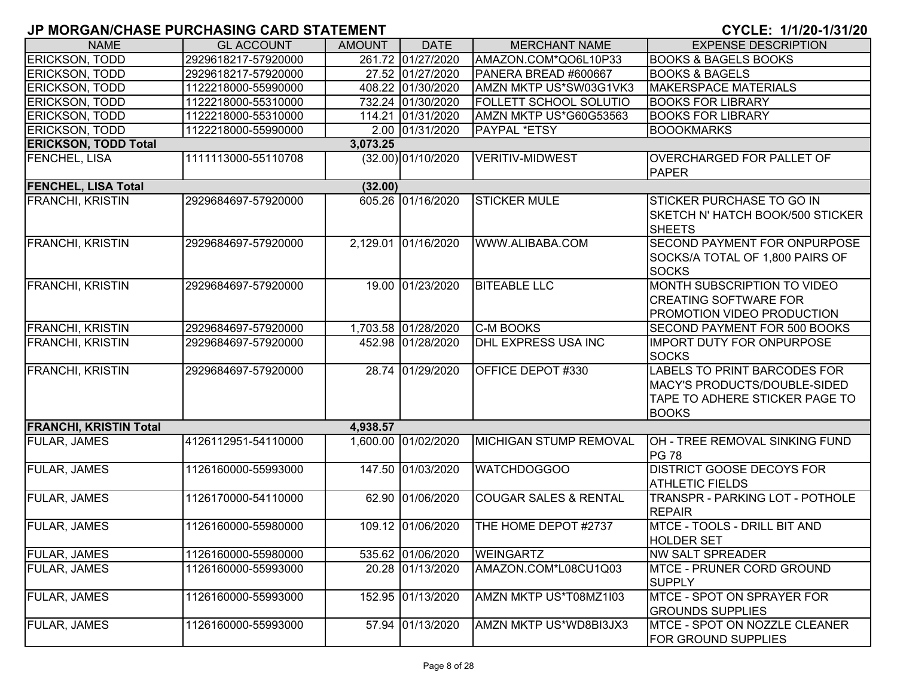| <b>NAME</b>                   | <b>GL ACCOUNT</b>   | <b>AMOUNT</b> | <b>DATE</b>         | <b>MERCHANT NAME</b>             | <b>EXPENSE DESCRIPTION</b>                                                                                     |
|-------------------------------|---------------------|---------------|---------------------|----------------------------------|----------------------------------------------------------------------------------------------------------------|
| <b>ERICKSON, TODD</b>         | 2929618217-57920000 |               | 261.72 01/27/2020   | AMAZON.COM*QO6L10P33             | <b>BOOKS &amp; BAGELS BOOKS</b>                                                                                |
| <b>ERICKSON, TODD</b>         | 2929618217-57920000 |               | 27.52 01/27/2020    | PANERA BREAD #600667             | <b>BOOKS &amp; BAGELS</b>                                                                                      |
| <b>ERICKSON, TODD</b>         | 1122218000-55990000 |               | 408.22 01/30/2020   | AMZN MKTP US*SW03G1VK3           | <b>MAKERSPACE MATERIALS</b>                                                                                    |
| <b>ERICKSON, TODD</b>         | 1122218000-55310000 |               | 732.24 01/30/2020   | <b>FOLLETT SCHOOL SOLUTIO</b>    | <b>BOOKS FOR LIBRARY</b>                                                                                       |
| <b>ERICKSON, TODD</b>         | 1122218000-55310000 |               | 114.21 01/31/2020   | AMZN MKTP US*G60G53563           | <b>BOOKS FOR LIBRARY</b>                                                                                       |
| <b>ERICKSON, TODD</b>         | 1122218000-55990000 |               | 2.00 01/31/2020     | <b>PAYPAL *ETSY</b>              | <b>BOOOKMARKS</b>                                                                                              |
| <b>ERICKSON, TODD Total</b>   |                     | 3,073.25      |                     |                                  |                                                                                                                |
| <b>FENCHEL, LISA</b>          | 1111113000-55110708 |               | (32.00) 01/10/2020  | <b>VERITIV-MIDWEST</b>           | <b>OVERCHARGED FOR PALLET OF</b><br><b>PAPER</b>                                                               |
| <b>FENCHEL, LISA Total</b>    |                     | (32.00)       |                     |                                  |                                                                                                                |
| <b>FRANCHI, KRISTIN</b>       | 2929684697-57920000 |               | 605.26 01/16/2020   | <b>STICKER MULE</b>              | <b>STICKER PURCHASE TO GO IN</b><br>SKETCH N' HATCH BOOK/500 STICKER<br><b>SHEETS</b>                          |
| <b>FRANCHI, KRISTIN</b>       | 2929684697-57920000 |               | 2,129.01 01/16/2020 | WWW.ALIBABA.COM                  | <b>SECOND PAYMENT FOR ONPURPOSE</b><br>SOCKS/A TOTAL OF 1,800 PAIRS OF<br><b>SOCKS</b>                         |
| <b>FRANCHI, KRISTIN</b>       | 2929684697-57920000 |               | 19.00 01/23/2020    | <b>BITEABLE LLC</b>              | MONTH SUBSCRIPTION TO VIDEO<br><b>CREATING SOFTWARE FOR</b><br>PROMOTION VIDEO PRODUCTION                      |
| <b>FRANCHI, KRISTIN</b>       | 2929684697-57920000 |               | 1,703.58 01/28/2020 | <b>C-M BOOKS</b>                 | SECOND PAYMENT FOR 500 BOOKS                                                                                   |
| <b>FRANCHI, KRISTIN</b>       | 2929684697-57920000 |               | 452.98 01/28/2020   | <b>DHL EXPRESS USA INC</b>       | <b>IMPORT DUTY FOR ONPURPOSE</b><br><b>SOCKS</b>                                                               |
| <b>FRANCHI, KRISTIN</b>       | 2929684697-57920000 |               | 28.74 01/29/2020    | OFFICE DEPOT #330                | LABELS TO PRINT BARCODES FOR<br>MACY'S PRODUCTS/DOUBLE-SIDED<br>TAPE TO ADHERE STICKER PAGE TO<br><b>BOOKS</b> |
| <b>FRANCHI, KRISTIN Total</b> |                     | 4,938.57      |                     |                                  |                                                                                                                |
| <b>FULAR, JAMES</b>           | 4126112951-54110000 |               | 1,600.00 01/02/2020 | <b>MICHIGAN STUMP REMOVAL</b>    | OH - TREE REMOVAL SINKING FUND<br><b>PG 78</b>                                                                 |
| <b>FULAR, JAMES</b>           | 1126160000-55993000 |               | 147.50 01/03/2020   | <b>WATCHDOGGOO</b>               | <b>DISTRICT GOOSE DECOYS FOR</b><br><b>ATHLETIC FIELDS</b>                                                     |
| <b>FULAR, JAMES</b>           | 1126170000-54110000 |               | 62.90 01/06/2020    | <b>COUGAR SALES &amp; RENTAL</b> | TRANSPR - PARKING LOT - POTHOLE<br><b>REPAIR</b>                                                               |
| <b>FULAR, JAMES</b>           | 1126160000-55980000 |               | 109.12 01/06/2020   | THE HOME DEPOT #2737             | MTCE - TOOLS - DRILL BIT AND<br><b>HOLDER SET</b>                                                              |
| <b>FULAR, JAMES</b>           | 1126160000-55980000 |               | 535.62 01/06/2020   | <b>WEINGARTZ</b>                 | <b>NW SALT SPREADER</b>                                                                                        |
| <b>FULAR, JAMES</b>           | 1126160000-55993000 |               | 20.28 01/13/2020    | AMAZON.COM*L08CU1Q03             | <b>MTCE - PRUNER CORD GROUND</b><br><b>SUPPLY</b>                                                              |
| <b>FULAR, JAMES</b>           | 1126160000-55993000 |               | 152.95 01/13/2020   | AMZN MKTP US*T08MZ1I03           | MTCE - SPOT ON SPRAYER FOR<br><b>GROUNDS SUPPLIES</b>                                                          |
| <b>FULAR, JAMES</b>           | 1126160000-55993000 |               | 57.94 01/13/2020    | AMZN MKTP US*WD8BI3JX3           | MTCE - SPOT ON NOZZLE CLEANER<br><b>FOR GROUND SUPPLIES</b>                                                    |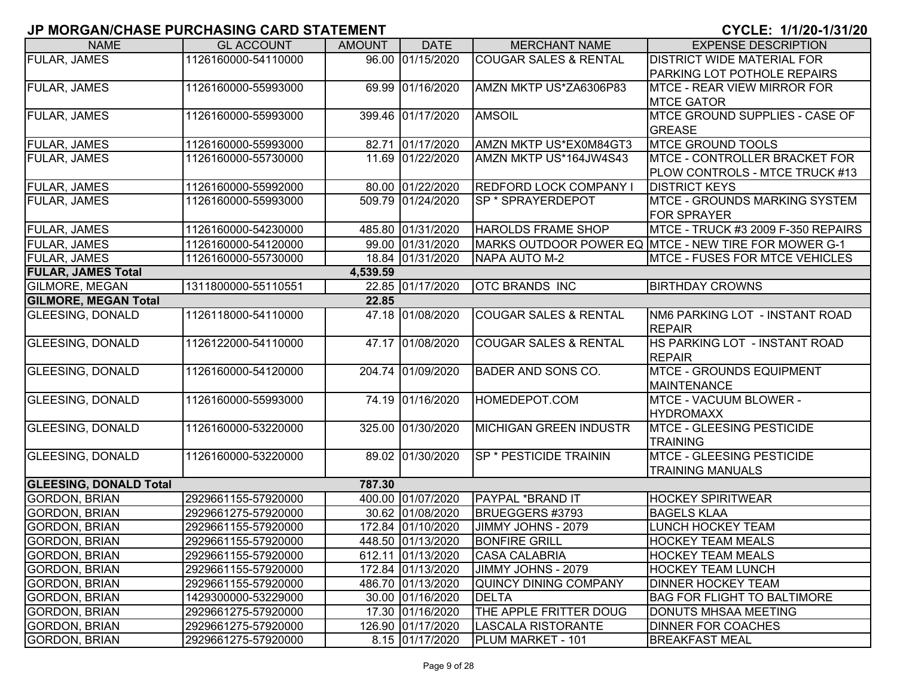| <b>NAME</b>                   | <b>GL ACCOUNT</b>   | <b>AMOUNT</b> | <b>DATE</b>       | <b>MERCHANT NAME</b>             | <b>EXPENSE DESCRIPTION</b>                           |
|-------------------------------|---------------------|---------------|-------------------|----------------------------------|------------------------------------------------------|
| <b>FULAR, JAMES</b>           | 1126160000-54110000 |               | 96.00 01/15/2020  | <b>COUGAR SALES &amp; RENTAL</b> | <b>DISTRICT WIDE MATERIAL FOR</b>                    |
|                               |                     |               |                   |                                  | <b>PARKING LOT POTHOLE REPAIRS</b>                   |
| FULAR, JAMES                  | 1126160000-55993000 |               | 69.99 01/16/2020  | AMZN MKTP US*ZA6306P83           | <b>MTCE - REAR VIEW MIRROR FOR</b>                   |
|                               |                     |               |                   |                                  | <b>MTCE GATOR</b>                                    |
| FULAR, JAMES                  | 1126160000-55993000 |               | 399.46 01/17/2020 | <b>AMSOIL</b>                    | MTCE GROUND SUPPLIES - CASE OF                       |
|                               |                     |               |                   |                                  | <b>GREASE</b>                                        |
| <b>FULAR, JAMES</b>           | 1126160000-55993000 |               | 82.71 01/17/2020  | AMZN MKTP US*EX0M84GT3           | <b>MTCE GROUND TOOLS</b>                             |
| FULAR, JAMES                  | 1126160000-55730000 |               | 11.69 01/22/2020  | AMZN MKTP US*164JW4S43           | <b>MTCE - CONTROLLER BRACKET FOR</b>                 |
|                               |                     |               |                   |                                  | PLOW CONTROLS - MTCE TRUCK #13                       |
| <b>FULAR, JAMES</b>           | 1126160000-55992000 |               | 80.00 01/22/2020  | <b>REDFORD LOCK COMPANY I</b>    | <b>DISTRICT KEYS</b>                                 |
| FULAR, JAMES                  | 1126160000-55993000 |               | 509.79 01/24/2020 | <b>SP * SPRAYERDEPOT</b>         | <b>MTCE - GROUNDS MARKING SYSTEM</b>                 |
|                               |                     |               |                   |                                  | <b>FOR SPRAYER</b>                                   |
| FULAR, JAMES                  | 1126160000-54230000 |               | 485.80 01/31/2020 | <b>HAROLDS FRAME SHOP</b>        | MTCE - TRUCK #3 2009 F-350 REPAIRS                   |
| FULAR, JAMES                  | 1126160000-54120000 |               | 99.00 01/31/2020  |                                  | MARKS OUTDOOR POWER EQ MTCE - NEW TIRE FOR MOWER G-1 |
| FULAR, JAMES                  | 1126160000-55730000 |               | 18.84 01/31/2020  | NAPA AUTO M-2                    | <b>MTCE - FUSES FOR MTCE VEHICLES</b>                |
| <b>FULAR, JAMES Total</b>     |                     | 4,539.59      |                   |                                  |                                                      |
| GILMORE, MEGAN                | 1311800000-55110551 |               | 22.85 01/17/2020  | <b>OTC BRANDS INC</b>            | <b>BIRTHDAY CROWNS</b>                               |
| <b>GILMORE, MEGAN Total</b>   |                     | 22.85         |                   |                                  |                                                      |
| <b>GLEESING, DONALD</b>       | 1126118000-54110000 |               | 47.18 01/08/2020  | <b>COUGAR SALES &amp; RENTAL</b> | NM6 PARKING LOT - INSTANT ROAD                       |
|                               |                     |               |                   |                                  | <b>REPAIR</b>                                        |
| <b>GLEESING, DONALD</b>       | 1126122000-54110000 |               | 47.17 01/08/2020  | <b>COUGAR SALES &amp; RENTAL</b> | HS PARKING LOT - INSTANT ROAD                        |
|                               |                     |               |                   |                                  | <b>REPAIR</b>                                        |
| <b>GLEESING, DONALD</b>       | 1126160000-54120000 |               | 204.74 01/09/2020 | <b>BADER AND SONS CO.</b>        | <b>MTCE - GROUNDS EQUIPMENT</b>                      |
|                               |                     |               |                   |                                  | <b>MAINTENANCE</b>                                   |
| <b>GLEESING, DONALD</b>       | 1126160000-55993000 |               | 74.19 01/16/2020  | HOMEDEPOT.COM                    | <b>MTCE - VACUUM BLOWER -</b>                        |
|                               |                     |               |                   |                                  | <b>HYDROMAXX</b>                                     |
| <b>GLEESING, DONALD</b>       | 1126160000-53220000 |               | 325.00 01/30/2020 | MICHIGAN GREEN INDUSTR           | <b>MTCE - GLEESING PESTICIDE</b>                     |
|                               |                     |               |                   |                                  | <b>TRAINING</b>                                      |
| <b>GLEESING, DONALD</b>       | 1126160000-53220000 |               | 89.02 01/30/2020  | <b>SP * PESTICIDE TRAININ</b>    | <b>MTCE - GLEESING PESTICIDE</b>                     |
|                               |                     |               |                   |                                  | <b>TRAINING MANUALS</b>                              |
| <b>GLEESING, DONALD Total</b> |                     | 787.30        |                   |                                  |                                                      |
| <b>GORDON, BRIAN</b>          | 2929661155-57920000 |               | 400.00 01/07/2020 | <b>PAYPAL *BRAND IT</b>          | <b>HOCKEY SPIRITWEAR</b>                             |
| <b>GORDON, BRIAN</b>          | 2929661275-57920000 |               | 30.62 01/08/2020  | BRUEGGERS #3793                  | <b>BAGELS KLAA</b>                                   |
| <b>GORDON, BRIAN</b>          | 2929661155-57920000 |               | 172.84 01/10/2020 | JIMMY JOHNS - 2079               | LUNCH HOCKEY TEAM                                    |
| <b>GORDON, BRIAN</b>          | 2929661155-57920000 |               | 448.50 01/13/2020 | <b>BONFIRE GRILL</b>             | IHOCKEY TEAM MEALS                                   |
| <b>GORDON, BRIAN</b>          | 2929661155-57920000 |               | 612.11 01/13/2020 | <b>CASA CALABRIA</b>             | <b>HOCKEY TEAM MEALS</b>                             |
| <b>GORDON, BRIAN</b>          | 2929661155-57920000 |               | 172.84 01/13/2020 | JIMMY JOHNS - 2079               | <b>HOCKEY TEAM LUNCH</b>                             |
| <b>GORDON, BRIAN</b>          | 2929661155-57920000 |               | 486.70 01/13/2020 | QUINCY DINING COMPANY            | <b>DINNER HOCKEY TEAM</b>                            |
| <b>GORDON, BRIAN</b>          | 1429300000-53229000 |               | 30.00 01/16/2020  | <b>DELTA</b>                     | <b>BAG FOR FLIGHT TO BALTIMORE</b>                   |
| <b>GORDON, BRIAN</b>          | 2929661275-57920000 |               | 17.30 01/16/2020  | <b>THE APPLE FRITTER DOUG</b>    | <b>DONUTS MHSAA MEETING</b>                          |
| <b>GORDON, BRIAN</b>          | 2929661275-57920000 |               | 126.90 01/17/2020 | LASCALA RISTORANTE               | <b>DINNER FOR COACHES</b>                            |
| <b>GORDON, BRIAN</b>          | 2929661275-57920000 |               | 8.15 01/17/2020   | PLUM MARKET - 101                | <b>BREAKFAST MEAL</b>                                |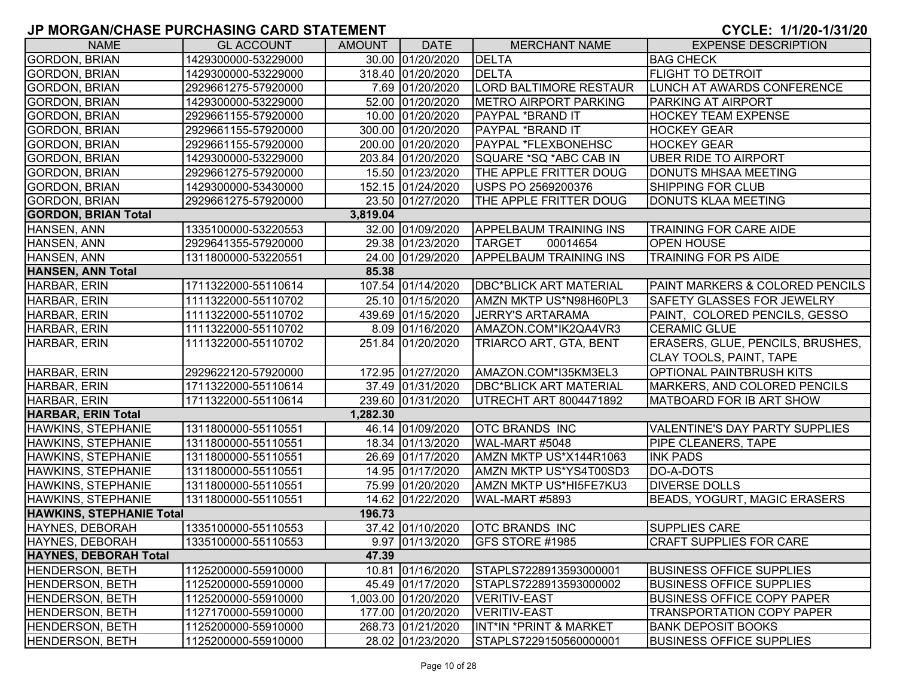| <b>NAME</b>                     | <b>GL ACCOUNT</b>   | <b>AMOUNT</b> | <b>DATE</b>         | <b>MERCHANT NAME</b>              | <b>EXPENSE DESCRIPTION</b>            |
|---------------------------------|---------------------|---------------|---------------------|-----------------------------------|---------------------------------------|
| <b>GORDON, BRIAN</b>            | 1429300000-53229000 |               | 30.00 01/20/2020    | <b>DELTA</b>                      | <b>BAG CHECK</b>                      |
| <b>GORDON, BRIAN</b>            | 1429300000-53229000 |               | 318.40 01/20/2020   | <b>DELTA</b>                      | <b>FLIGHT TO DETROIT</b>              |
| <b>GORDON, BRIAN</b>            | 2929661275-57920000 |               | 7.69 01/20/2020     | <b>LORD BALTIMORE RESTAUR</b>     | <b>LUNCH AT AWARDS CONFERENCE</b>     |
| <b>GORDON, BRIAN</b>            | 1429300000-53229000 |               | 52.00 01/20/2020    | <b>METRO AIRPORT PARKING</b>      | <b>PARKING AT AIRPORT</b>             |
| <b>GORDON, BRIAN</b>            | 2929661155-57920000 |               | 10.00 01/20/2020    | PAYPAL *BRAND IT                  | <b>HOCKEY TEAM EXPENSE</b>            |
| <b>GORDON, BRIAN</b>            | 2929661155-57920000 |               | 300.00 01/20/2020   | PAYPAL *BRAND IT                  | <b>HOCKEY GEAR</b>                    |
| <b>GORDON, BRIAN</b>            | 2929661155-57920000 |               | 200.00 01/20/2020   | PAYPAL *FLEXBONEHSC               | <b>HOCKEY GEAR</b>                    |
| <b>GORDON, BRIAN</b>            | 1429300000-53229000 |               | 203.84 01/20/2020   | SQUARE *SQ *ABC CAB IN            | <b>UBER RIDE TO AIRPORT</b>           |
| <b>GORDON, BRIAN</b>            | 2929661275-57920000 |               | 15.50 01/23/2020    | THE APPLE FRITTER DOUG            | DONUTS MHSAA MEETING                  |
| <b>GORDON, BRIAN</b>            | 1429300000-53430000 |               | 152.15 01/24/2020   | USPS PO 2569200376                | SHIPPING FOR CLUB                     |
| <b>GORDON, BRIAN</b>            | 2929661275-57920000 |               | 23.50 01/27/2020    | THE APPLE FRITTER DOUG            | DONUTS KLAA MEETING                   |
| <b>GORDON, BRIAN Total</b>      |                     | 3,819.04      |                     |                                   |                                       |
| HANSEN, ANN                     | 1335100000-53220553 |               | 32.00 01/09/2020    | <b>APPELBAUM TRAINING INS</b>     | <b>TRAINING FOR CARE AIDE</b>         |
| HANSEN, ANN                     | 2929641355-57920000 |               | 29.38 01/23/2020    | 00014654<br><b>TARGET</b>         | <b>OPEN HOUSE</b>                     |
| HANSEN, ANN                     | 1311800000-53220551 |               | 24.00 01/29/2020    | <b>APPELBAUM TRAINING INS</b>     | <b>TRAINING FOR PS AIDE</b>           |
| HANSEN, ANN Total               |                     | 85.38         |                     |                                   |                                       |
| HARBAR, ERIN                    | 1711322000-55110614 |               | 107.54 01/14/2020   | <b>DBC*BLICK ART MATERIAL</b>     | PAINT MARKERS & COLORED PENCILS       |
| HARBAR, ERIN                    | 1111322000-55110702 |               | 25.10 01/15/2020    | AMZN MKTP US*N98H60PL3            | <b>SAFETY GLASSES FOR JEWELRY</b>     |
| HARBAR, ERIN                    | 1111322000-55110702 |               | 439.69 01/15/2020   | <b>JERRY'S ARTARAMA</b>           | PAINT, COLORED PENCILS, GESSO         |
| HARBAR, ERIN                    | 1111322000-55110702 |               | 8.09 01/16/2020     | AMAZON.COM*IK2QA4VR3              | <b>CERAMIC GLUE</b>                   |
| HARBAR, ERIN                    | 1111322000-55110702 |               | 251.84 01/20/2020   | TRIARCO ART, GTA, BENT            | ERASERS, GLUE, PENCILS, BRUSHES,      |
|                                 |                     |               |                     |                                   | CLAY TOOLS, PAINT, TAPE               |
| HARBAR, ERIN                    | 2929622120-57920000 |               | 172.95 01/27/2020   | AMAZON.COM*I35KM3EL3              | <b>OPTIONAL PAINTBRUSH KITS</b>       |
| HARBAR, ERIN                    | 1711322000-55110614 |               | 37.49 01/31/2020    | <b>DBC*BLICK ART MATERIAL</b>     | MARKERS, AND COLORED PENCILS          |
| HARBAR, ERIN                    | 1711322000-55110614 |               | 239.60 01/31/2020   | UTRECHT ART 8004471892            | MATBOARD FOR IB ART SHOW              |
| <b>HARBAR, ERIN Total</b>       |                     | 1,282.30      |                     |                                   |                                       |
| HAWKINS, STEPHANIE              | 1311800000-55110551 |               | 46.14 01/09/2020    | <b>OTC BRANDS INC</b>             | <b>VALENTINE'S DAY PARTY SUPPLIES</b> |
| HAWKINS, STEPHANIE              | 1311800000-55110551 |               | 18.34 01/13/2020    | WAL-MART #5048                    | PIPE CLEANERS, TAPE                   |
| <b>HAWKINS, STEPHANIE</b>       | 1311800000-55110551 |               | 26.69 01/17/2020    | AMZN MKTP US*X144R1063            | <b>INK PADS</b>                       |
| HAWKINS, STEPHANIE              | 1311800000-55110551 |               | 14.95 01/17/2020    | AMZN MKTP US*YS4T00SD3            | DO-A-DOTS                             |
| HAWKINS, STEPHANIE              | 1311800000-55110551 |               | 75.99 01/20/2020    | AMZN MKTP US*HI5FE7KU3            | <b>DIVERSE DOLLS</b>                  |
| <b>HAWKINS, STEPHANIE</b>       | 1311800000-55110551 |               | 14.62 01/22/2020    | WAL-MART #5893                    | <b>BEADS, YOGURT, MAGIC ERASERS</b>   |
| <b>HAWKINS, STEPHANIE Total</b> |                     | 196.73        |                     |                                   |                                       |
| HAYNES, DEBORAH                 | 1335100000-55110553 |               | 37.42 01/10/2020    | <b>OTC BRANDS INC</b>             | <b>SUPPLIES CARE</b>                  |
| HAYNES, DEBORAH                 | 1335100000-55110553 |               | 9.97 01/13/2020     | <b>IGFS STORE #1985</b>           | <b>CRAFT SUPPLIES FOR CARE</b>        |
| <b>HAYNES, DEBORAH Total</b>    |                     | 47.39         |                     |                                   |                                       |
| <b>HENDERSON, BETH</b>          | 1125200000-55910000 |               | 10.81 01/16/2020    | STAPLS7228913593000001            | <b>BUSINESS OFFICE SUPPLIES</b>       |
| <b>HENDERSON, BETH</b>          | 1125200000-55910000 |               | 45.49 01/17/2020    | STAPLS7228913593000002            | <b>BUSINESS OFFICE SUPPLIES</b>       |
| <b>HENDERSON, BETH</b>          | 1125200000-55910000 |               | 1,003.00 01/20/2020 | <b>VERITIV-EAST</b>               | <b>BUSINESS OFFICE COPY PAPER</b>     |
| <b>HENDERSON, BETH</b>          | 1127170000-55910000 |               | 177.00 01/20/2020   | <b>VERITIV-EAST</b>               | TRANSPORTATION COPY PAPER             |
| <b>HENDERSON, BETH</b>          | 1125200000-55910000 |               | 268.73 01/21/2020   | <b>INT*IN *PRINT &amp; MARKET</b> | <b>BANK DEPOSIT BOOKS</b>             |
| <b>HENDERSON, BETH</b>          | 1125200000-55910000 |               | 28.02 01/23/2020    | STAPLS7229150560000001            | <b>BUSINESS OFFICE SUPPLIES</b>       |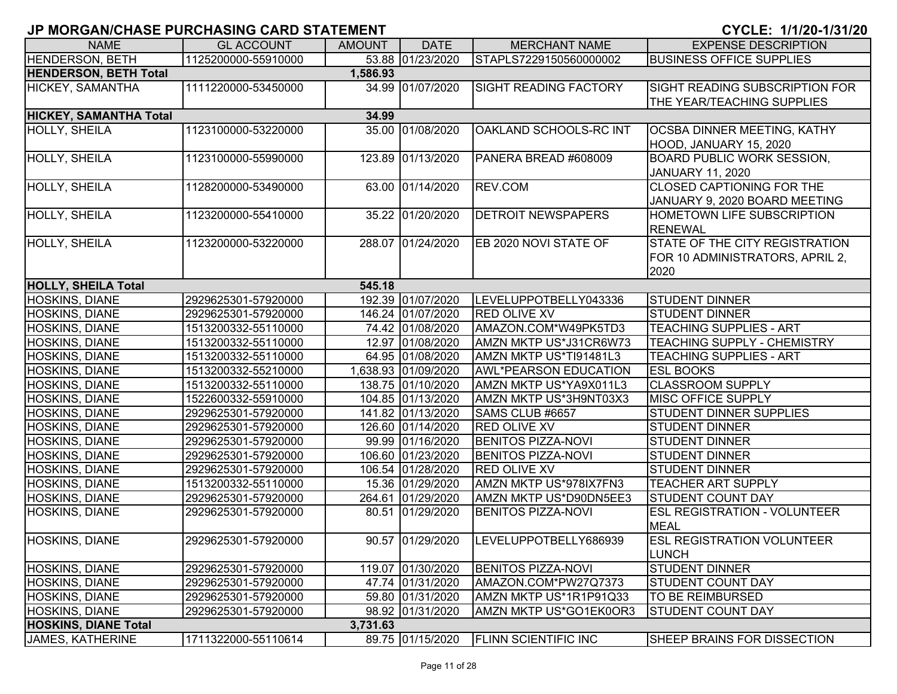| <b>NAME</b>                                         | <b>GL ACCOUNT</b>                          | <b>AMOUNT</b> | <b>DATE</b>         | <b>MERCHANT NAME</b>                         | <b>EXPENSE DESCRIPTION</b>                     |
|-----------------------------------------------------|--------------------------------------------|---------------|---------------------|----------------------------------------------|------------------------------------------------|
| <b>HENDERSON, BETH</b>                              | 1125200000-55910000                        |               | 53.88 01/23/2020    | STAPLS7229150560000002                       | <b>BUSINESS OFFICE SUPPLIES</b>                |
| <b>HENDERSON, BETH Total</b>                        |                                            | 1,586.93      |                     |                                              |                                                |
| HICKEY, SAMANTHA                                    | 1111220000-53450000                        |               | 34.99 01/07/2020    | <b>SIGHT READING FACTORY</b>                 | SIGHT READING SUBSCRIPTION FOR                 |
|                                                     |                                            |               |                     |                                              | THE YEAR/TEACHING SUPPLIES                     |
| <b>HICKEY, SAMANTHA Total</b>                       |                                            | 34.99         |                     |                                              |                                                |
| HOLLY, SHEILA                                       | 1123100000-53220000                        |               | 35.00 01/08/2020    | OAKLAND SCHOOLS-RC INT                       | OCSBA DINNER MEETING, KATHY                    |
|                                                     |                                            |               |                     |                                              | HOOD, JANUARY 15, 2020                         |
| HOLLY, SHEILA                                       | 1123100000-55990000                        |               | 123.89 01/13/2020   | PANERA BREAD #608009                         | <b>BOARD PUBLIC WORK SESSION,</b>              |
|                                                     |                                            |               |                     |                                              | JANUARY 11, 2020                               |
| <b>HOLLY, SHEILA</b>                                | 1128200000-53490000                        |               | 63.00 01/14/2020    | REV.COM                                      | CLOSED CAPTIONING FOR THE                      |
|                                                     |                                            |               |                     |                                              | JANUARY 9, 2020 BOARD MEETING                  |
| HOLLY, SHEILA                                       | 1123200000-55410000                        |               | 35.22 01/20/2020    | <b>DETROIT NEWSPAPERS</b>                    | HOMETOWN LIFE SUBSCRIPTION                     |
|                                                     |                                            |               |                     |                                              | <b>RENEWAL</b>                                 |
| <b>HOLLY, SHEILA</b>                                | 1123200000-53220000                        |               | 288.07 01/24/2020   | EB 2020 NOVI STATE OF                        | STATE OF THE CITY REGISTRATION                 |
|                                                     |                                            |               |                     |                                              | FOR 10 ADMINISTRATORS, APRIL 2,                |
|                                                     |                                            |               |                     |                                              | 2020                                           |
| <b>HOLLY, SHEILA Total</b><br><b>HOSKINS, DIANE</b> |                                            | 545.18        | 192.39 01/07/2020   |                                              |                                                |
| HOSKINS, DIANE                                      | 2929625301-57920000<br>2929625301-57920000 |               | 146.24 01/07/2020   | LEVELUPPOTBELLY043336<br><b>RED OLIVE XV</b> | <b>STUDENT DINNER</b><br><b>STUDENT DINNER</b> |
| <b>HOSKINS, DIANE</b>                               | 1513200332-55110000                        |               | 74.42 01/08/2020    | AMAZON.COM*W49PK5TD3                         | <b>TEACHING SUPPLIES - ART</b>                 |
| <b>HOSKINS, DIANE</b>                               | 1513200332-55110000                        |               | 12.97 01/08/2020    | AMZN MKTP US*J31CR6W73                       | TEACHING SUPPLY - CHEMISTRY                    |
| <b>HOSKINS, DIANE</b>                               | 1513200332-55110000                        |               | 64.95 01/08/2020    | AMZN MKTP US*TI91481L3                       | <b>TEACHING SUPPLIES - ART</b>                 |
| <b>HOSKINS, DIANE</b>                               | 1513200332-55210000                        |               | 1,638.93 01/09/2020 | <b>AWL*PEARSON EDUCATION</b>                 | <b>ESL BOOKS</b>                               |
| <b>HOSKINS, DIANE</b>                               | 1513200332-55110000                        |               | 138.75 01/10/2020   | AMZN MKTP US*YA9X011L3                       | <b>CLASSROOM SUPPLY</b>                        |
| <b>HOSKINS, DIANE</b>                               | 1522600332-55910000                        |               | 104.85 01/13/2020   | AMZN MKTP US*3H9NT03X3                       | <b>MISC OFFICE SUPPLY</b>                      |
| HOSKINS, DIANE                                      | 2929625301-57920000                        |               | 141.82 01/13/2020   | SAMS CLUB #6657                              | STUDENT DINNER SUPPLIES                        |
| HOSKINS, DIANE                                      | 2929625301-57920000                        |               | 126.60 01/14/2020   | <b>RED OLIVE XV</b>                          | <b>STUDENT DINNER</b>                          |
| <b>HOSKINS, DIANE</b>                               | 2929625301-57920000                        |               | 99.99 01/16/2020    | <b>BENITOS PIZZA-NOVI</b>                    | <b>STUDENT DINNER</b>                          |
| HOSKINS, DIANE                                      | 2929625301-57920000                        |               | 106.60 01/23/2020   | <b>BENITOS PIZZA-NOVI</b>                    | <b>STUDENT DINNER</b>                          |
| HOSKINS, DIANE                                      | 2929625301-57920000                        |               | 106.54 01/28/2020   | <b>RED OLIVE XV</b>                          | <b>STUDENT DINNER</b>                          |
| <b>HOSKINS, DIANE</b>                               | 1513200332-55110000                        |               | 15.36 01/29/2020    | AMZN MKTP US*978IX7FN3                       | <b>TEACHER ART SUPPLY</b>                      |
| HOSKINS, DIANE                                      | 2929625301-57920000                        |               | 264.61 01/29/2020   | AMZN MKTP US*D90DN5EE3                       | <b>STUDENT COUNT DAY</b>                       |
| HOSKINS, DIANE                                      | 2929625301-57920000                        |               | 80.51 01/29/2020    | <b>BENITOS PIZZA-NOVI</b>                    | <b>ESL REGISTRATION - VOLUNTEER</b>            |
|                                                     |                                            |               |                     |                                              | <b>MEAL</b>                                    |
| <b>HOSKINS, DIANE</b>                               | 2929625301-57920000                        |               | 90.57 01/29/2020    | LEVELUPPOTBELLY686939                        | <b>ESL REGISTRATION VOLUNTEER</b>              |
|                                                     |                                            |               |                     |                                              | <b>LUNCH</b>                                   |
| <b>HOSKINS, DIANE</b>                               | 2929625301-57920000                        |               | 119.07 01/30/2020   | <b>BENITOS PIZZA-NOVI</b>                    | <b>STUDENT DINNER</b>                          |
| <b>HOSKINS, DIANE</b>                               | 2929625301-57920000                        |               | 47.74 01/31/2020    | AMAZON.COM*PW27Q7373                         | STUDENT COUNT DAY                              |
| <b>HOSKINS, DIANE</b>                               | 2929625301-57920000                        |               | 59.80 01/31/2020    | AMZN MKTP US*1R1P91Q33                       | TO BE REIMBURSED                               |
| HOSKINS, DIANE                                      | 2929625301-57920000                        |               | 98.92 01/31/2020    | AMZN MKTP US*GO1EK0OR3                       | <b>STUDENT COUNT DAY</b>                       |
| <b>HOSKINS, DIANE Total</b>                         |                                            | 3,731.63      |                     |                                              |                                                |
| JAMES, KATHERINE                                    | 1711322000-55110614                        |               | 89.75 01/15/2020    | <b>FLINN SCIENTIFIC INC</b>                  | SHEEP BRAINS FOR DISSECTION                    |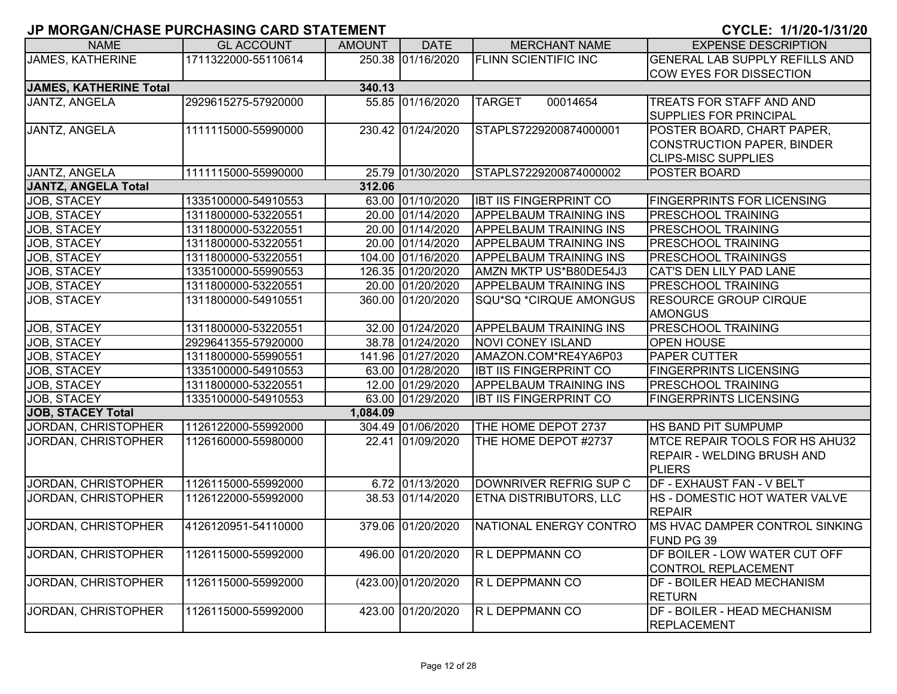| <b>NAME</b>                   | <b>GL ACCOUNT</b>   | <b>AMOUNT</b> | <b>DATE</b>         | <b>MERCHANT NAME</b>          | <b>EXPENSE DESCRIPTION</b>            |
|-------------------------------|---------------------|---------------|---------------------|-------------------------------|---------------------------------------|
| <b>JAMES, KATHERINE</b>       | 1711322000-55110614 |               | 250.38 01/16/2020   | <b>FLINN SCIENTIFIC INC</b>   | <b>GENERAL LAB SUPPLY REFILLS AND</b> |
|                               |                     |               |                     |                               | <b>COW EYES FOR DISSECTION</b>        |
| <b>JAMES, KATHERINE Total</b> |                     | 340.13        |                     |                               |                                       |
| JANTZ, ANGELA                 | 2929615275-57920000 |               | 55.85 01/16/2020    | <b>TARGET</b><br>00014654     | TREATS FOR STAFF AND AND              |
|                               |                     |               |                     |                               | SUPPLIES FOR PRINCIPAL                |
| <b>JANTZ, ANGELA</b>          | 1111115000-55990000 |               | 230.42 01/24/2020   | STAPLS7229200874000001        | POSTER BOARD, CHART PAPER,            |
|                               |                     |               |                     |                               | <b>CONSTRUCTION PAPER, BINDER</b>     |
|                               |                     |               |                     |                               | <b>CLIPS-MISC SUPPLIES</b>            |
| JANTZ, ANGELA                 | 1111115000-55990000 |               | 25.79 01/30/2020    | STAPLS7229200874000002        | POSTER BOARD                          |
| <b>JANTZ, ANGELA Total</b>    |                     | 312.06        |                     |                               |                                       |
| JOB, STACEY                   | 1335100000-54910553 |               | 63.00 01/10/2020    | <b>IBT IIS FINGERPRINT CO</b> | <b>FINGERPRINTS FOR LICENSING</b>     |
| JOB, STACEY                   | 1311800000-53220551 |               | 20.00 01/14/2020    | <b>APPELBAUM TRAINING INS</b> | PRESCHOOL TRAINING                    |
| JOB, STACEY                   | 1311800000-53220551 |               | 20.00 01/14/2020    | <b>APPELBAUM TRAINING INS</b> | PRESCHOOL TRAINING                    |
| JOB, STACEY                   | 1311800000-53220551 |               | 20.00 01/14/2020    | <b>APPELBAUM TRAINING INS</b> | PRESCHOOL TRAINING                    |
| <b>JOB, STACEY</b>            | 1311800000-53220551 |               | 104.00 01/16/2020   | <b>APPELBAUM TRAINING INS</b> | <b>PRESCHOOL TRAININGS</b>            |
| <b>JOB, STACEY</b>            | 1335100000-55990553 |               | 126.35 01/20/2020   | AMZN MKTP US*B80DE54J3        | CAT'S DEN LILY PAD LANE               |
| <b>JOB, STACEY</b>            | 1311800000-53220551 |               | 20.00 01/20/2020    | <b>APPELBAUM TRAINING INS</b> | <b>PRESCHOOL TRAINING</b>             |
| JOB, STACEY                   | 1311800000-54910551 |               | 360.00 01/20/2020   | SQU*SQ *CIRQUE AMONGUS        | <b>RESOURCE GROUP CIRQUE</b>          |
|                               |                     |               |                     |                               | <b>AMONGUS</b>                        |
| <b>JOB, STACEY</b>            | 1311800000-53220551 |               | 32.00 01/24/2020    | <b>APPELBAUM TRAINING INS</b> | PRESCHOOL TRAINING                    |
| <b>JOB, STACEY</b>            | 2929641355-57920000 |               | 38.78 01/24/2020    | <b>NOVI CONEY ISLAND</b>      | <b>OPEN HOUSE</b>                     |
| JOB, STACEY                   | 1311800000-55990551 |               | 141.96 01/27/2020   | AMAZON.COM*RE4YA6P03          | PAPER CUTTER                          |
| <b>JOB, STACEY</b>            | 1335100000-54910553 |               | 63.00 01/28/2020    | <b>IBT IIS FINGERPRINT CO</b> | <b>FINGERPRINTS LICENSING</b>         |
| JOB, STACEY                   | 1311800000-53220551 |               | 12.00 01/29/2020    | <b>APPELBAUM TRAINING INS</b> | PRESCHOOL TRAINING                    |
| <b>JOB, STACEY</b>            | 1335100000-54910553 |               | 63.00 01/29/2020    | <b>IBT IIS FINGERPRINT CO</b> | <b>FINGERPRINTS LICENSING</b>         |
| <b>JOB, STACEY Total</b>      |                     | 1,084.09      |                     |                               |                                       |
| JORDAN, CHRISTOPHER           | 1126122000-55992000 |               | 304.49 01/06/2020   | THE HOME DEPOT 2737           | HS BAND PIT SUMPUMP                   |
| <b>JORDAN, CHRISTOPHER</b>    | 1126160000-55980000 |               | 22.41 01/09/2020    | THE HOME DEPOT #2737          | MTCE REPAIR TOOLS FOR HS AHU32        |
|                               |                     |               |                     |                               | <b>REPAIR - WELDING BRUSH AND</b>     |
|                               |                     |               |                     |                               | PLIERS                                |
| <b>JORDAN, CHRISTOPHER</b>    | 1126115000-55992000 |               | 6.72 01/13/2020     | DOWNRIVER REFRIG SUP C        | DF - EXHAUST FAN - V BELT             |
| <b>JORDAN, CHRISTOPHER</b>    | 1126122000-55992000 |               | 38.53 01/14/2020    | <b>ETNA DISTRIBUTORS, LLC</b> | HS - DOMESTIC HOT WATER VALVE         |
|                               |                     |               |                     |                               | <b>REPAIR</b>                         |
| <b>JORDAN, CHRISTOPHER</b>    | 4126120951-54110000 |               | 379.06 01/20/2020   | NATIONAL ENERGY CONTRO        | MS HVAC DAMPER CONTROL SINKING        |
|                               |                     |               |                     |                               | FUND PG 39                            |
| <b>JORDAN, CHRISTOPHER</b>    | 1126115000-55992000 |               | 496.00 01/20/2020   | R L DEPPMANN CO               | DF BOILER - LOW WATER CUT OFF         |
|                               |                     |               |                     |                               | <b>CONTROL REPLACEMENT</b>            |
| <b>JORDAN, CHRISTOPHER</b>    | 1126115000-55992000 |               | (423.00) 01/20/2020 | R L DEPPMANN CO               | DF - BOILER HEAD MECHANISM            |
|                               |                     |               |                     |                               | <b>RETURN</b>                         |
| JORDAN, CHRISTOPHER           | 1126115000-55992000 |               | 423.00 01/20/2020   | R L DEPPMANN CO               | <b>DF - BOILER - HEAD MECHANISM</b>   |
|                               |                     |               |                     |                               | REPLACEMENT                           |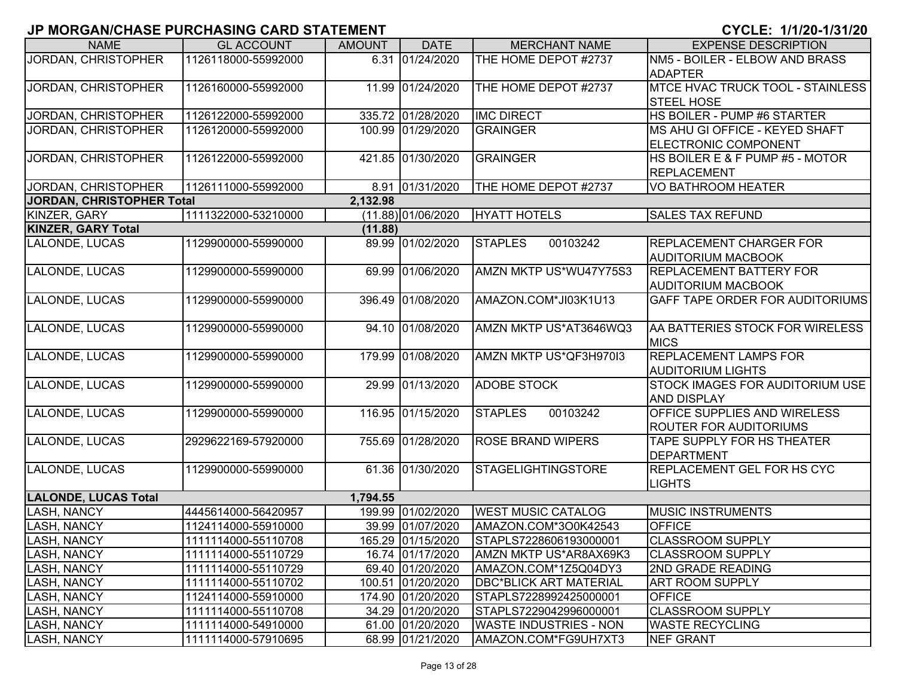| <b>NAME</b>                 | <b>GL ACCOUNT</b>   | <b>AMOUNT</b> | <b>DATE</b>        | <b>MERCHANT NAME</b>          | <b>EXPENSE DESCRIPTION</b>              |
|-----------------------------|---------------------|---------------|--------------------|-------------------------------|-----------------------------------------|
| JORDAN, CHRISTOPHER         | 1126118000-55992000 |               | 6.31 01/24/2020    | THE HOME DEPOT #2737          | NM5 - BOILER - ELBOW AND BRASS          |
|                             |                     |               |                    |                               | <b>ADAPTER</b>                          |
| JORDAN, CHRISTOPHER         | 1126160000-55992000 |               | 11.99 01/24/2020   | THE HOME DEPOT #2737          | <b>MTCE HVAC TRUCK TOOL - STAINLESS</b> |
|                             |                     |               |                    |                               | <b>STEEL HOSE</b>                       |
| JORDAN, CHRISTOPHER         | 1126122000-55992000 |               | 335.72 01/28/2020  | <b>IMC DIRECT</b>             | HS BOILER - PUMP #6 STARTER             |
| JORDAN, CHRISTOPHER         | 1126120000-55992000 |               | 100.99 01/29/2020  | <b>GRAINGER</b>               | MS AHU GI OFFICE - KEYED SHAFT          |
|                             |                     |               |                    |                               | ELECTRONIC COMPONENT                    |
| JORDAN, CHRISTOPHER         | 1126122000-55992000 |               | 421.85 01/30/2020  | <b>GRAINGER</b>               | HS BOILER E & F PUMP #5 - MOTOR         |
|                             |                     |               |                    |                               | REPLACEMENT                             |
| JORDAN, CHRISTOPHER         | 1126111000-55992000 |               | 8.91 01/31/2020    | THE HOME DEPOT #2737          | VO BATHROOM HEATER                      |
| JORDAN, CHRISTOPHER Total   |                     | 2,132.98      |                    |                               |                                         |
| KINZER, GARY                | 1111322000-53210000 |               | (11.88) 01/06/2020 | <b>HYATT HOTELS</b>           | <b>SALES TAX REFUND</b>                 |
| <b>KINZER, GARY Total</b>   |                     | (11.88)       |                    |                               |                                         |
| LALONDE, LUCAS              | 1129900000-55990000 |               | 89.99 01/02/2020   | <b>STAPLES</b><br>00103242    | <b>REPLACEMENT CHARGER FOR</b>          |
|                             |                     |               |                    |                               | <b>AUDITORIUM MACBOOK</b>               |
| LALONDE, LUCAS              | 1129900000-55990000 |               | 69.99 01/06/2020   | AMZN MKTP US*WU47Y75S3        | <b>REPLACEMENT BATTERY FOR</b>          |
|                             |                     |               |                    |                               | <b>AUDITORIUM MACBOOK</b>               |
| LALONDE, LUCAS              | 1129900000-55990000 |               | 396.49 01/08/2020  | AMAZON.COM*JI03K1U13          | <b>GAFF TAPE ORDER FOR AUDITORIUMS</b>  |
|                             |                     |               |                    |                               |                                         |
| LALONDE, LUCAS              | 1129900000-55990000 |               | 94.10 01/08/2020   | AMZN MKTP US*AT3646WQ3        | AA BATTERIES STOCK FOR WIRELESS         |
|                             |                     |               |                    |                               | <b>MICS</b>                             |
| LALONDE, LUCAS              | 1129900000-55990000 |               | 179.99 01/08/2020  | AMZN MKTP US*QF3H970I3        | <b>REPLACEMENT LAMPS FOR</b>            |
|                             |                     |               |                    |                               | <b>AUDITORIUM LIGHTS</b>                |
| LALONDE, LUCAS              | 1129900000-55990000 |               | 29.99 01/13/2020   | <b>ADOBE STOCK</b>            | <b>STOCK IMAGES FOR AUDITORIUM USE</b>  |
|                             |                     |               |                    |                               | <b>AND DISPLAY</b>                      |
| LALONDE, LUCAS              | 1129900000-55990000 |               | 116.95 01/15/2020  | <b>STAPLES</b><br>00103242    | <b>OFFICE SUPPLIES AND WIRELESS</b>     |
|                             |                     |               |                    |                               | <b>ROUTER FOR AUDITORIUMS</b>           |
| LALONDE, LUCAS              | 2929622169-57920000 |               | 755.69 01/28/2020  | <b>ROSE BRAND WIPERS</b>      | TAPE SUPPLY FOR HS THEATER              |
|                             |                     |               |                    |                               | DEPARTMENT                              |
| LALONDE, LUCAS              | 1129900000-55990000 |               | 61.36 01/30/2020   | <b>STAGELIGHTINGSTORE</b>     | <b>REPLACEMENT GEL FOR HS CYC</b>       |
|                             |                     |               |                    |                               | <b>LIGHTS</b>                           |
| <b>LALONDE, LUCAS Total</b> |                     | 1,794.55      |                    |                               |                                         |
| <b>LASH, NANCY</b>          | 4445614000-56420957 |               | 199.99 01/02/2020  | <b>WEST MUSIC CATALOG</b>     | <b>MUSIC INSTRUMENTS</b>                |
| LASH, NANCY                 | 1124114000-55910000 |               | 39.99 01/07/2020   | AMAZON.COM*3O0K42543          | <b>OFFICE</b>                           |
| <b>LASH, NANCY</b>          | 1111114000-55110708 |               | 165.29 01/15/2020  | STAPLS7228606193000001        | <b>CLASSROOM SUPPLY</b>                 |
| <b>LASH, NANCY</b>          | 1111114000-55110729 |               | 16.74 01/17/2020   | AMZN MKTP US*AR8AX69K3        | <b>CLASSROOM SUPPLY</b>                 |
| <b>LASH, NANCY</b>          | 1111114000-55110729 |               | 69.40 01/20/2020   | AMAZON.COM*1Z5Q04DY3          | <b>2ND GRADE READING</b>                |
| <b>LASH, NANCY</b>          | 1111114000-55110702 |               | 100.51 01/20/2020  | <b>DBC*BLICK ART MATERIAL</b> | <b>ART ROOM SUPPLY</b>                  |
| <b>LASH, NANCY</b>          | 1124114000-55910000 |               | 174.90 01/20/2020  | STAPLS7228992425000001        | <b>OFFICE</b>                           |
| <b>LASH, NANCY</b>          | 1111114000-55110708 |               | 34.29 01/20/2020   | STAPLS7229042996000001        | <b>CLASSROOM SUPPLY</b>                 |
| <b>LASH, NANCY</b>          | 1111114000-54910000 |               | 61.00 01/20/2020   | <b>WASTE INDUSTRIES - NON</b> | <b>WASTE RECYCLING</b>                  |
| <b>LASH, NANCY</b>          | 1111114000-57910695 |               | 68.99 01/21/2020   | AMAZON.COM*FG9UH7XT3          | <b>NEF GRANT</b>                        |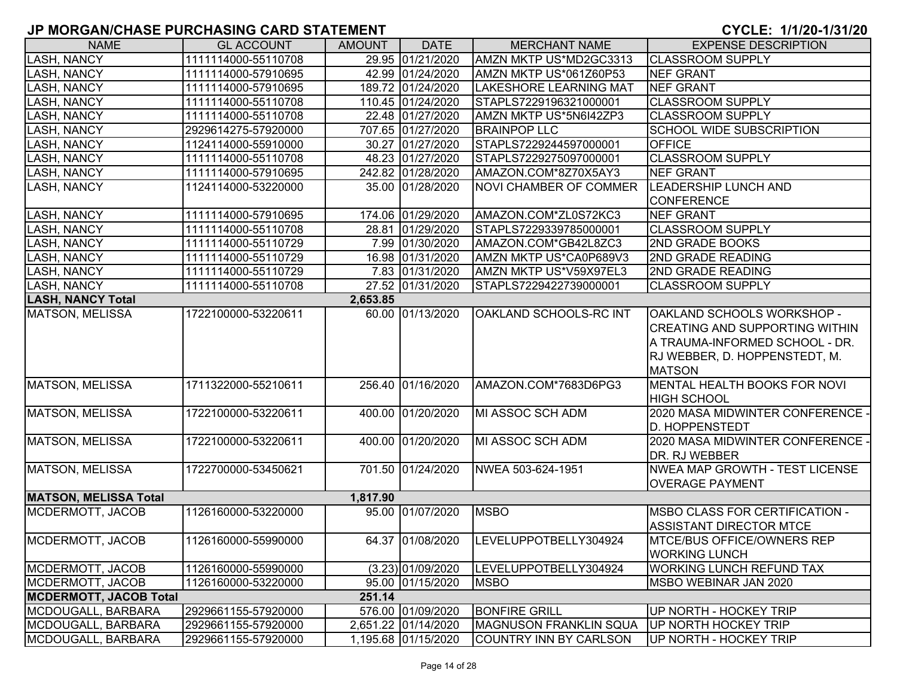| <b>NAME</b>                   | <b>GL ACCOUNT</b>   | <b>AMOUNT</b> | <b>DATE</b>         | <b>MERCHANT NAME</b>          | <b>EXPENSE DESCRIPTION</b>            |
|-------------------------------|---------------------|---------------|---------------------|-------------------------------|---------------------------------------|
| <b>LASH, NANCY</b>            | 1111114000-55110708 |               | 29.95 01/21/2020    | AMZN MKTP US*MD2GC3313        | <b>CLASSROOM SUPPLY</b>               |
| <b>LASH, NANCY</b>            | 1111114000-57910695 |               | 42.99 01/24/2020    | AMZN MKTP US*061Z60P53        | <b>NEF GRANT</b>                      |
| LASH, NANCY                   | 1111114000-57910695 |               | 189.72 01/24/2020   | <b>LAKESHORE LEARNING MAT</b> | <b>NEF GRANT</b>                      |
| <b>LASH, NANCY</b>            | 1111114000-55110708 |               | 110.45 01/24/2020   | STAPLS7229196321000001        | <b>CLASSROOM SUPPLY</b>               |
| LASH, NANCY                   | 1111114000-55110708 |               | 22.48 01/27/2020    | AMZN MKTP US*5N6I42ZP3        | <b>CLASSROOM SUPPLY</b>               |
| <b>LASH, NANCY</b>            | 2929614275-57920000 |               | 707.65 01/27/2020   | <b>BRAINPOP LLC</b>           | <b>SCHOOL WIDE SUBSCRIPTION</b>       |
| <b>LASH, NANCY</b>            | 1124114000-55910000 |               | 30.27 01/27/2020    | STAPLS7229244597000001        | <b>OFFICE</b>                         |
| <b>LASH, NANCY</b>            | 1111114000-55110708 |               | 48.23 01/27/2020    | STAPLS7229275097000001        | <b>CLASSROOM SUPPLY</b>               |
| <b>LASH, NANCY</b>            | 1111114000-57910695 |               | 242.82 01/28/2020   | AMAZON.COM*8Z70X5AY3          | NEF GRANT                             |
| <b>LASH, NANCY</b>            | 1124114000-53220000 |               | 35.00 01/28/2020    | <b>NOVI CHAMBER OF COMMER</b> | <b>LEADERSHIP LUNCH AND</b>           |
|                               |                     |               |                     |                               | <b>CONFERENCE</b>                     |
| <b>LASH, NANCY</b>            | 1111114000-57910695 |               | 174.06 01/29/2020   | AMAZON.COM*ZL0S72KC3          | <b>NEF GRANT</b>                      |
| <b>LASH, NANCY</b>            | 1111114000-55110708 |               | 28.81 01/29/2020    | STAPLS7229339785000001        | <b>CLASSROOM SUPPLY</b>               |
| <b>LASH, NANCY</b>            | 1111114000-55110729 |               | 7.99 01/30/2020     | AMAZON.COM*GB42L8ZC3          | <b>2ND GRADE BOOKS</b>                |
| <b>LASH, NANCY</b>            | 1111114000-55110729 |               | 16.98 01/31/2020    | AMZN MKTP US*CA0P689V3        | <b>2ND GRADE READING</b>              |
| LASH, NANCY                   | 1111114000-55110729 |               | 7.83 01/31/2020     | AMZN MKTP US*V59X97EL3        | <b>2ND GRADE READING</b>              |
| LASH, NANCY                   | 1111114000-55110708 |               | 27.52 01/31/2020    | STAPLS7229422739000001        | <b>CLASSROOM SUPPLY</b>               |
| <b>LASH, NANCY Total</b>      |                     | 2,653.85      |                     |                               |                                       |
| <b>MATSON, MELISSA</b>        | 1722100000-53220611 |               | 60.00 01/13/2020    | OAKLAND SCHOOLS-RC INT        | OAKLAND SCHOOLS WORKSHOP -            |
|                               |                     |               |                     |                               | <b>CREATING AND SUPPORTING WITHIN</b> |
|                               |                     |               |                     |                               | A TRAUMA-INFORMED SCHOOL - DR.        |
|                               |                     |               |                     |                               | RJ WEBBER, D. HOPPENSTEDT, M.         |
|                               |                     |               |                     |                               | <b>MATSON</b>                         |
| MATSON, MELISSA               | 1711322000-55210611 |               | 256.40 01/16/2020   | AMAZON.COM*7683D6PG3          | MENTAL HEALTH BOOKS FOR NOVI          |
|                               |                     |               |                     |                               | <b>HIGH SCHOOL</b>                    |
| MATSON, MELISSA               | 1722100000-53220611 |               | 400.00 01/20/2020   | MI ASSOC SCH ADM              | 2020 MASA MIDWINTER CONFERENCE -      |
|                               |                     |               |                     |                               | <b>D. HOPPENSTEDT</b>                 |
| MATSON, MELISSA               | 1722100000-53220611 |               | 400.00 01/20/2020   | MI ASSOC SCH ADM              | 2020 MASA MIDWINTER CONFERENCE -      |
|                               |                     |               |                     |                               | DR. RJ WEBBER                         |
| MATSON, MELISSA               | 1722700000-53450621 |               | 701.50 01/24/2020   | NWEA 503-624-1951             | NWEA MAP GROWTH - TEST LICENSE        |
|                               |                     |               |                     |                               | <b>OVERAGE PAYMENT</b>                |
| <b>MATSON, MELISSA Total</b>  |                     | 1,817.90      |                     |                               |                                       |
| MCDERMOTT, JACOB              | 1126160000-53220000 |               | 95.00 01/07/2020    | <b>MSBO</b>                   | <b>MSBO CLASS FOR CERTIFICATION -</b> |
|                               |                     |               |                     |                               | <b>ASSISTANT DIRECTOR MTCE</b>        |
| MCDERMOTT, JACOB              | 1126160000-55990000 |               | 64.37 01/08/2020    | LEVELUPPOTBELLY304924         | <b>IMTCE/BUS OFFICE/OWNERS REP</b>    |
|                               |                     |               |                     |                               | <b>WORKING LUNCH</b>                  |
| <b>MCDERMOTT, JACOB</b>       | 1126160000-55990000 |               | $(3.23)$ 01/09/2020 | LEVELUPPOTBELLY304924         | <b>WORKING LUNCH REFUND TAX</b>       |
| MCDERMOTT, JACOB              | 1126160000-53220000 |               | 95.00 01/15/2020    | <b>MSBO</b>                   | MSBO WEBINAR JAN 2020                 |
| <b>MCDERMOTT, JACOB Total</b> |                     | 251.14        |                     |                               |                                       |
| MCDOUGALL, BARBARA            | 2929661155-57920000 |               | 576.00 01/09/2020   | <b>BONFIRE GRILL</b>          | UP NORTH - HOCKEY TRIP                |
| MCDOUGALL, BARBARA            | 2929661155-57920000 |               | 2,651.22 01/14/2020 | <b>MAGNUSON FRANKLIN SQUA</b> | UP NORTH HOCKEY TRIP                  |
| MCDOUGALL, BARBARA            | 2929661155-57920000 |               | 1,195.68 01/15/2020 | COUNTRY INN BY CARLSON        | UP NORTH - HOCKEY TRIP                |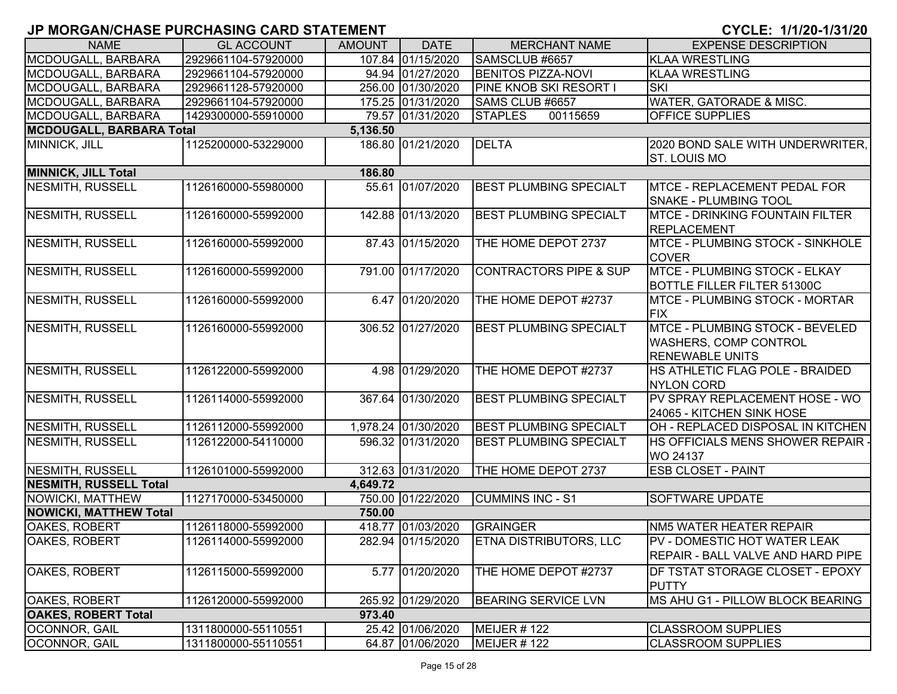| <b>NAME</b>                          | <b>GL ACCOUNT</b>   | <b>AMOUNT</b> | <b>DATE</b>         | <b>MERCHANT NAME</b>              | <b>EXPENSE DESCRIPTION</b>                                                                |  |  |  |  |
|--------------------------------------|---------------------|---------------|---------------------|-----------------------------------|-------------------------------------------------------------------------------------------|--|--|--|--|
| MCDOUGALL, BARBARA                   | 2929661104-57920000 |               | 107.84 01/15/2020   | SAMSCLUB #6657                    | <b>KLAA WRESTLING</b>                                                                     |  |  |  |  |
| MCDOUGALL, BARBARA                   | 2929661104-57920000 |               | 94.94 01/27/2020    | <b>BENITOS PIZZA-NOVI</b>         | <b>KLAA WRESTLING</b>                                                                     |  |  |  |  |
| MCDOUGALL, BARBARA                   | 2929661128-57920000 |               | 256.00 01/30/2020   | PINE KNOB SKI RESORT I            | <b>SKI</b>                                                                                |  |  |  |  |
| MCDOUGALL, BARBARA                   | 2929661104-57920000 |               | 175.25 01/31/2020   | SAMS CLUB #6657                   | <b>WATER, GATORADE &amp; MISC.</b>                                                        |  |  |  |  |
| MCDOUGALL, BARBARA                   | 1429300000-55910000 |               | 79.57 01/31/2020    | <b>STAPLES</b><br>00115659        | <b>OFFICE SUPPLIES</b>                                                                    |  |  |  |  |
| <b>MCDOUGALL, BARBARA Total</b>      |                     | 5,136.50      |                     |                                   |                                                                                           |  |  |  |  |
| MINNICK, JILL                        | 1125200000-53229000 |               | 186.80 01/21/2020   | <b>DELTA</b>                      | 2020 BOND SALE WITH UNDERWRITER,<br><b>ST. LOUIS MO</b>                                   |  |  |  |  |
| <b>MINNICK, JILL Total</b><br>186.80 |                     |               |                     |                                   |                                                                                           |  |  |  |  |
| <b>NESMITH, RUSSELL</b>              | 1126160000-55980000 |               | 55.61 01/07/2020    | <b>BEST PLUMBING SPECIALT</b>     | MTCE - REPLACEMENT PEDAL FOR<br><b>SNAKE - PLUMBING TOOL</b>                              |  |  |  |  |
| <b>NESMITH, RUSSELL</b>              | 1126160000-55992000 |               | 142.88 01/13/2020   | <b>BEST PLUMBING SPECIALT</b>     | <b>MTCE - DRINKING FOUNTAIN FILTER</b><br>REPLACEMENT                                     |  |  |  |  |
| NESMITH, RUSSELL                     | 1126160000-55992000 |               | 87.43 01/15/2020    | THE HOME DEPOT 2737               | MTCE - PLUMBING STOCK - SINKHOLE<br><b>COVER</b>                                          |  |  |  |  |
| NESMITH, RUSSELL                     | 1126160000-55992000 |               | 791.00 01/17/2020   | <b>CONTRACTORS PIPE &amp; SUP</b> | <b>MTCE - PLUMBING STOCK - ELKAY</b><br><b>BOTTLE FILLER FILTER 51300C</b>                |  |  |  |  |
| NESMITH, RUSSELL                     | 1126160000-55992000 |               | 6.47 01/20/2020     | THE HOME DEPOT #2737              | <b>IMTCE - PLUMBING STOCK - MORTAR</b><br><b>FIX</b>                                      |  |  |  |  |
| NESMITH, RUSSELL                     | 1126160000-55992000 |               | 306.52 01/27/2020   | <b>BEST PLUMBING SPECIALT</b>     | MTCE - PLUMBING STOCK - BEVELED<br><b>WASHERS, COMP CONTROL</b><br><b>RENEWABLE UNITS</b> |  |  |  |  |
| NESMITH, RUSSELL                     | 1126122000-55992000 |               | 4.98 01/29/2020     | THE HOME DEPOT #2737              | HS ATHLETIC FLAG POLE - BRAIDED<br><b>NYLON CORD</b>                                      |  |  |  |  |
| NESMITH, RUSSELL                     | 1126114000-55992000 |               | 367.64 01/30/2020   | <b>BEST PLUMBING SPECIALT</b>     | PV SPRAY REPLACEMENT HOSE - WO<br>24065 - KITCHEN SINK HOSE                               |  |  |  |  |
| NESMITH, RUSSELL                     | 1126112000-55992000 |               | 1,978.24 01/30/2020 | <b>BEST PLUMBING SPECIALT</b>     | OH - REPLACED DISPOSAL IN KITCHEN                                                         |  |  |  |  |
| NESMITH, RUSSELL                     | 1126122000-54110000 |               | 596.32 01/31/2020   | <b>BEST PLUMBING SPECIALT</b>     | <b>HS OFFICIALS MENS SHOWER REPAIR -</b><br>WO 24137                                      |  |  |  |  |
| NESMITH, RUSSELL                     | 1126101000-55992000 |               | 312.63 01/31/2020   | THE HOME DEPOT 2737               | <b>ESB CLOSET - PAINT</b>                                                                 |  |  |  |  |
| <b>NESMITH, RUSSELL Total</b>        |                     | 4,649.72      |                     |                                   |                                                                                           |  |  |  |  |
| <b>NOWICKI, MATTHEW</b>              | 1127170000-53450000 |               | 750.00 01/22/2020   | <b>CUMMINS INC - S1</b>           | <b>SOFTWARE UPDATE</b>                                                                    |  |  |  |  |
| <b>NOWICKI, MATTHEW Total</b>        |                     | 750.00        |                     |                                   |                                                                                           |  |  |  |  |
| OAKES, ROBERT                        | 1126118000-55992000 |               | 418.77 01/03/2020   | <b>GRAINGER</b>                   | NM5 WATER HEATER REPAIR                                                                   |  |  |  |  |
| <b>OAKES, ROBERT</b>                 | 1126114000-55992000 |               | 282.94 01/15/2020   | <b>ETNA DISTRIBUTORS, LLC</b>     | PV - DOMESTIC HOT WATER LEAK<br>REPAIR - BALL VALVE AND HARD PIPE                         |  |  |  |  |
| OAKES, ROBERT                        | 1126115000-55992000 |               | 5.77 01/20/2020     | THE HOME DEPOT #2737              | DF TSTAT STORAGE CLOSET - EPOXY<br><b>PUTTY</b>                                           |  |  |  |  |
| OAKES, ROBERT                        | 1126120000-55992000 |               | 265.92 01/29/2020   | <b>BEARING SERVICE LVN</b>        | MS AHU G1 - PILLOW BLOCK BEARING                                                          |  |  |  |  |
| <b>OAKES, ROBERT Total</b>           |                     | 973.40        |                     |                                   |                                                                                           |  |  |  |  |
| OCONNOR, GAIL                        | 1311800000-55110551 |               | 25.42 01/06/2020    | <b>MEIJER #122</b>                | <b>CLASSROOM SUPPLIES</b>                                                                 |  |  |  |  |
| OCONNOR, GAIL                        | 1311800000-55110551 |               | 64.87 01/06/2020    | MEIJER #122                       | <b>CLASSROOM SUPPLIES</b>                                                                 |  |  |  |  |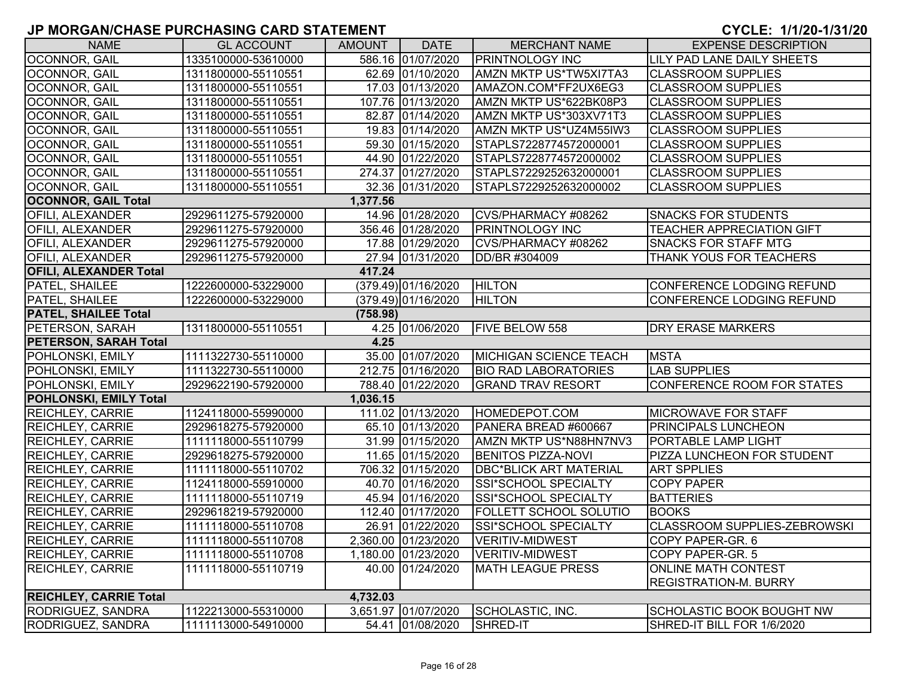| <b>NAME</b>                   | <b>GL ACCOUNT</b>   | AMOUNT   | <b>DATE</b>         | <b>MERCHANT NAME</b>          | <b>EXPENSE DESCRIPTION</b>          |
|-------------------------------|---------------------|----------|---------------------|-------------------------------|-------------------------------------|
| OCONNOR, GAIL                 | 1335100000-53610000 |          | 586.16 01/07/2020   | <b>PRINTNOLOGY INC</b>        | LILY PAD LANE DAILY SHEETS          |
| OCONNOR, GAIL                 | 1311800000-55110551 |          | 62.69 01/10/2020    | <b>AMZN MKTP US*TW5XI7TA3</b> | <b>CLASSROOM SUPPLIES</b>           |
| OCONNOR, GAIL                 | 1311800000-55110551 |          | 17.03 01/13/2020    | AMAZON.COM*FF2UX6EG3          | <b>CLASSROOM SUPPLIES</b>           |
| OCONNOR, GAIL                 | 1311800000-55110551 |          | 107.76 01/13/2020   | AMZN MKTP US*622BK08P3        | <b>CLASSROOM SUPPLIES</b>           |
| OCONNOR, GAIL                 | 1311800000-55110551 |          | 82.87 01/14/2020    | AMZN MKTP US*303XV71T3        | <b>CLASSROOM SUPPLIES</b>           |
| OCONNOR, GAIL                 | 1311800000-55110551 |          | 19.83 01/14/2020    | AMZN MKTP US*UZ4M55IW3        | <b>CLASSROOM SUPPLIES</b>           |
| OCONNOR, GAIL                 | 1311800000-55110551 |          | 59.30 01/15/2020    | STAPLS7228774572000001        | <b>CLASSROOM SUPPLIES</b>           |
| OCONNOR, GAIL                 | 1311800000-55110551 |          | 44.90 01/22/2020    | STAPLS7228774572000002        | <b>CLASSROOM SUPPLIES</b>           |
| OCONNOR, GAIL                 | 1311800000-55110551 |          | 274.37 01/27/2020   | STAPLS7229252632000001        | <b>CLASSROOM SUPPLIES</b>           |
| OCONNOR, GAIL                 | 1311800000-55110551 |          | 32.36 01/31/2020    | STAPLS7229252632000002        | <b>CLASSROOM SUPPLIES</b>           |
| <b>OCONNOR, GAIL Total</b>    |                     | 1,377.56 |                     |                               |                                     |
| OFILI, ALEXANDER              | 2929611275-57920000 |          | 14.96 01/28/2020    | CVS/PHARMACY #08262           | <b>SNACKS FOR STUDENTS</b>          |
| OFILI, ALEXANDER              | 2929611275-57920000 |          | 356.46 01/28/2020   | <b>PRINTNOLOGY INC</b>        | <b>TEACHER APPRECIATION GIFT</b>    |
| OFILI, ALEXANDER              | 2929611275-57920000 |          | 17.88 01/29/2020    | CVS/PHARMACY #08262           | <b>SNACKS FOR STAFF MTG</b>         |
| OFILI, ALEXANDER              | 2929611275-57920000 |          | 27.94 01/31/2020    | DD/BR #304009                 | THANK YOUS FOR TEACHERS             |
| <b>OFILI, ALEXANDER Total</b> |                     | 417.24   |                     |                               |                                     |
| PATEL, SHAILEE                | 1222600000-53229000 |          | (379.49) 01/16/2020 | <b>HILTON</b>                 | CONFERENCE LODGING REFUND           |
| PATEL, SHAILEE                | 1222600000-53229000 |          | (379.49) 01/16/2020 | <b>HILTON</b>                 | CONFERENCE LODGING REFUND           |
| <b>PATEL, SHAILEE Total</b>   |                     | (758.98) |                     |                               |                                     |
| PETERSON, SARAH               | 1311800000-55110551 |          | 4.25 01/06/2020     | FIVE BELOW 558                | <b>DRY ERASE MARKERS</b>            |
| <b>PETERSON, SARAH Total</b>  |                     | 4.25     |                     |                               |                                     |
| POHLONSKI, EMILY              | 1111322730-55110000 |          | 35.00 01/07/2020    | <b>MICHIGAN SCIENCE TEACH</b> | <b>MSTA</b>                         |
| POHLONSKI, EMILY              | 1111322730-55110000 |          | 212.75 01/16/2020   | <b>BIO RAD LABORATORIES</b>   | <b>LAB SUPPLIES</b>                 |
| POHLONSKI, EMILY              | 2929622190-57920000 |          | 788.40 01/22/2020   | <b>GRAND TRAV RESORT</b>      | CONFERENCE ROOM FOR STATES          |
| POHLONSKI, EMILY Total        |                     | 1,036.15 |                     |                               |                                     |
| <b>REICHLEY, CARRIE</b>       | 1124118000-55990000 |          | 111.02 01/13/2020   | HOMEDEPOT.COM                 | <b>MICROWAVE FOR STAFF</b>          |
| <b>REICHLEY, CARRIE</b>       | 2929618275-57920000 |          | 65.10 01/13/2020    | PANERA BREAD #600667          | <b>PRINCIPALS LUNCHEON</b>          |
| REICHLEY, CARRIE              | 1111118000-55110799 |          | 31.99 01/15/2020    | AMZN MKTP US*N88HN7NV3        | PORTABLE LAMP LIGHT                 |
| <b>REICHLEY, CARRIE</b>       | 2929618275-57920000 |          | 11.65 01/15/2020    | <b>BENITOS PIZZA-NOVI</b>     | PIZZA LUNCHEON FOR STUDENT          |
| <b>REICHLEY, CARRIE</b>       | 1111118000-55110702 |          | 706.32 01/15/2020   | <b>DBC*BLICK ART MATERIAL</b> | <b>ART SPPLIES</b>                  |
| <b>REICHLEY, CARRIE</b>       | 1124118000-55910000 |          | 40.70 01/16/2020    | SSI*SCHOOL SPECIALTY          | <b>COPY PAPER</b>                   |
| <b>REICHLEY, CARRIE</b>       | 1111118000-55110719 |          | 45.94 01/16/2020    | SSI*SCHOOL SPECIALTY          | <b>BATTERIES</b>                    |
| <b>REICHLEY, CARRIE</b>       | 2929618219-57920000 |          | 112.40 01/17/2020   | <b>FOLLETT SCHOOL SOLUTIO</b> | <b>BOOKS</b>                        |
| <b>REICHLEY, CARRIE</b>       | 1111118000-55110708 |          | 26.91 01/22/2020    | SSI*SCHOOL SPECIALTY          | <b>CLASSROOM SUPPLIES-ZEBROWSKI</b> |
| <b>REICHLEY, CARRIE</b>       | 1111118000-55110708 |          | 2,360.00 01/23/2020 | <b>VERITIV-MIDWEST</b>        | COPY PAPER-GR. 6                    |
| <b>REICHLEY, CARRIE</b>       | 1111118000-55110708 |          | 1,180.00 01/23/2020 | <b>VERITIV-MIDWEST</b>        | COPY PAPER-GR. 5                    |
| REICHLEY, CARRIE              | 1111118000-55110719 |          | 40.00 01/24/2020    | <b>MATH LEAGUE PRESS</b>      | <b>ONLINE MATH CONTEST</b>          |
|                               |                     |          |                     |                               | <b>REGISTRATION-M. BURRY</b>        |
| <b>REICHLEY, CARRIE Total</b> |                     | 4,732.03 |                     |                               |                                     |
| RODRIGUEZ, SANDRA             | 1122213000-55310000 |          | 3,651.97 01/07/2020 | SCHOLASTIC, INC.              | <b>SCHOLASTIC BOOK BOUGHT NW</b>    |
| <b>RODRIGUEZ, SANDRA</b>      | 1111113000-54910000 |          | 54.41 01/08/2020    | SHRED-IT                      | SHRED-IT BILL FOR 1/6/2020          |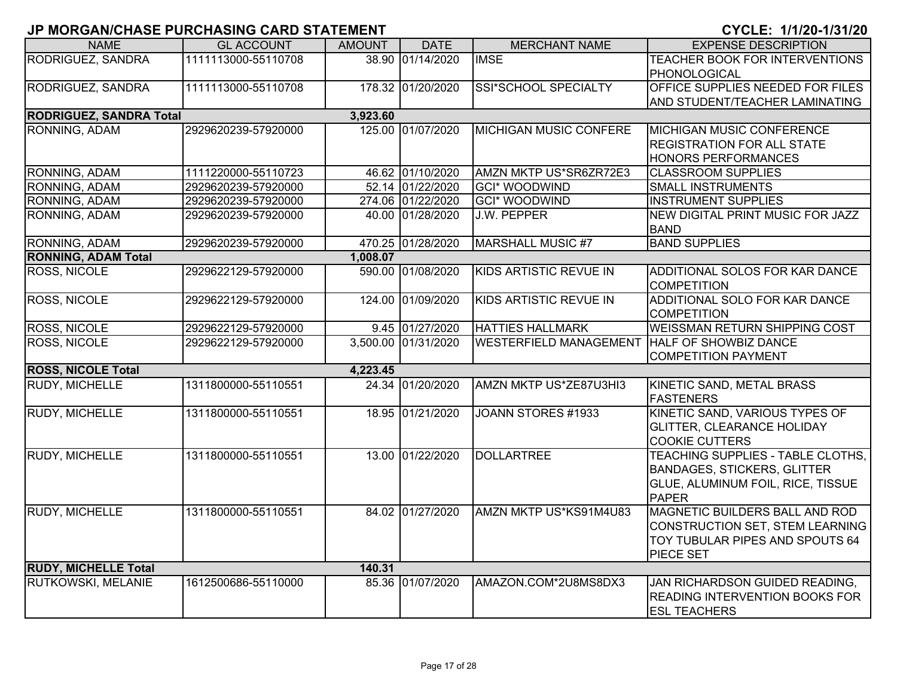| <b>NAME</b>                    | <b>GL ACCOUNT</b>   | <b>AMOUNT</b> | <b>DATE</b>         | <b>MERCHANT NAME</b>          | <b>EXPENSE DESCRIPTION</b>                      |
|--------------------------------|---------------------|---------------|---------------------|-------------------------------|-------------------------------------------------|
| RODRIGUEZ, SANDRA              | 1111113000-55110708 |               | 38.90 01/14/2020    | <b>IMSE</b>                   | TEACHER BOOK FOR INTERVENTIONS                  |
|                                |                     |               |                     |                               | PHONOLOGICAL                                    |
| RODRIGUEZ, SANDRA              | 1111113000-55110708 |               | 178.32 01/20/2020   | <b>SSI*SCHOOL SPECIALTY</b>   | <b>OFFICE SUPPLIES NEEDED FOR FILES</b>         |
|                                |                     |               |                     |                               | AND STUDENT/TEACHER LAMINATING                  |
| <b>RODRIGUEZ, SANDRA Total</b> |                     | 3,923.60      |                     |                               |                                                 |
| RONNING, ADAM                  | 2929620239-57920000 |               | 125.00 01/07/2020   | <b>MICHIGAN MUSIC CONFERE</b> | <b>MICHIGAN MUSIC CONFERENCE</b>                |
|                                |                     |               |                     |                               | <b>REGISTRATION FOR ALL STATE</b>               |
|                                |                     |               |                     |                               | <b>HONORS PERFORMANCES</b>                      |
| RONNING, ADAM                  | 1111220000-55110723 |               | 46.62 01/10/2020    | AMZN MKTP US*SR6ZR72E3        | <b>CLASSROOM SUPPLIES</b>                       |
| RONNING, ADAM                  | 2929620239-57920000 |               | 52.14 01/22/2020    | <b>GCI* WOODWIND</b>          | <b>SMALL INSTRUMENTS</b>                        |
| RONNING, ADAM                  | 2929620239-57920000 |               | 274.06 01/22/2020   | <b>GCI* WOODWIND</b>          | <b>INSTRUMENT SUPPLIES</b>                      |
| RONNING, ADAM                  | 2929620239-57920000 |               | 40.00 01/28/2020    | J.W. PEPPER                   | NEW DIGITAL PRINT MUSIC FOR JAZZ<br><b>BAND</b> |
| RONNING, ADAM                  | 2929620239-57920000 |               | 470.25 01/28/2020   | <b>MARSHALL MUSIC #7</b>      | <b>BAND SUPPLIES</b>                            |
| <b>RONNING, ADAM Total</b>     |                     | 1,008.07      |                     |                               |                                                 |
| <b>ROSS, NICOLE</b>            | 2929622129-57920000 |               | 590.00 01/08/2020   | KIDS ARTISTIC REVUE IN        | <b>ADDITIONAL SOLOS FOR KAR DANCE</b>           |
|                                |                     |               |                     |                               | <b>COMPETITION</b>                              |
| ROSS, NICOLE                   | 2929622129-57920000 |               | 124.00 01/09/2020   | KIDS ARTISTIC REVUE IN        | ADDITIONAL SOLO FOR KAR DANCE                   |
|                                |                     |               |                     |                               | <b>COMPETITION</b>                              |
| ROSS, NICOLE                   | 2929622129-57920000 |               | 9.45 01/27/2020     | <b>HATTIES HALLMARK</b>       | <b>WEISSMAN RETURN SHIPPING COST</b>            |
| <b>ROSS, NICOLE</b>            | 2929622129-57920000 |               | 3,500.00 01/31/2020 | <b>WESTERFIELD MANAGEMENT</b> | <b>HALF OF SHOWBIZ DANCE</b>                    |
|                                |                     |               |                     |                               | <b>COMPETITION PAYMENT</b>                      |
| <b>ROSS, NICOLE Total</b>      |                     | 4,223.45      |                     |                               |                                                 |
| <b>RUDY, MICHELLE</b>          | 1311800000-55110551 |               | 24.34 01/20/2020    | AMZN MKTP US*ZE87U3HI3        | KINETIC SAND, METAL BRASS                       |
|                                |                     |               |                     |                               | FASTENERS                                       |
| RUDY, MICHELLE                 | 1311800000-55110551 |               | 18.95 01/21/2020    | JOANN STORES #1933            | KINETIC SAND, VARIOUS TYPES OF                  |
|                                |                     |               |                     |                               | <b>GLITTER, CLEARANCE HOLIDAY</b>               |
|                                |                     |               |                     |                               | <b>COOKIE CUTTERS</b>                           |
| <b>RUDY, MICHELLE</b>          | 1311800000-55110551 |               | 13.00 01/22/2020    | <b>DOLLARTREE</b>             | TEACHING SUPPLIES - TABLE CLOTHS,               |
|                                |                     |               |                     |                               | <b>BANDAGES, STICKERS, GLITTER</b>              |
|                                |                     |               |                     |                               | GLUE, ALUMINUM FOIL, RICE, TISSUE               |
|                                |                     |               |                     |                               | <b>PAPER</b>                                    |
| <b>RUDY, MICHELLE</b>          | 1311800000-55110551 |               | 84.02 01/27/2020    | AMZN MKTP US*KS91M4U83        | MAGNETIC BUILDERS BALL AND ROD                  |
|                                |                     |               |                     |                               | CONSTRUCTION SET, STEM LEARNING                 |
|                                |                     |               |                     |                               | TOY TUBULAR PIPES AND SPOUTS 64                 |
|                                |                     |               |                     |                               | <b>PIECE SET</b>                                |
| <b>RUDY, MICHELLE Total</b>    |                     | 140.31        |                     |                               |                                                 |
| RUTKOWSKI, MELANIE             | 1612500686-55110000 |               | 85.36 01/07/2020    | AMAZON.COM*2U8MS8DX3          | JAN RICHARDSON GUIDED READING,                  |
|                                |                     |               |                     |                               | <b>READING INTERVENTION BOOKS FOR</b>           |
|                                |                     |               |                     |                               | <b>IESL TEACHERS</b>                            |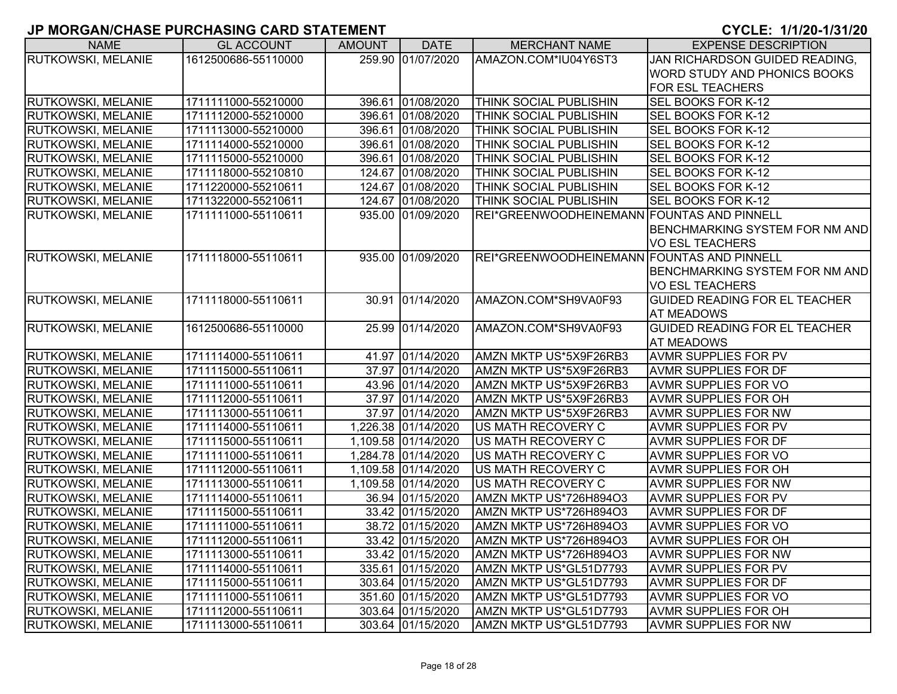| <b>NAME</b>               | <b>GL ACCOUNT</b>   | <b>AMOUNT</b> | <b>DATE</b>         | <b>MERCHANT NAME</b>                       | <b>EXPENSE DESCRIPTION</b>           |
|---------------------------|---------------------|---------------|---------------------|--------------------------------------------|--------------------------------------|
| <b>RUTKOWSKI, MELANIE</b> | 1612500686-55110000 |               | 259.90 01/07/2020   | AMAZON.COM*IU04Y6ST3                       | JAN RICHARDSON GUIDED READING,       |
|                           |                     |               |                     |                                            | <b>WORD STUDY AND PHONICS BOOKS</b>  |
|                           |                     |               |                     |                                            | <b>FOR ESL TEACHERS</b>              |
| <b>RUTKOWSKI, MELANIE</b> | 1711111000-55210000 |               | 396.61 01/08/2020   | THINK SOCIAL PUBLISHIN                     | <b>SEL BOOKS FOR K-12</b>            |
| <b>RUTKOWSKI, MELANIE</b> | 1711112000-55210000 |               | 396.61 01/08/2020   | THINK SOCIAL PUBLISHIN                     | SEL BOOKS FOR K-12                   |
| <b>RUTKOWSKI, MELANIE</b> | 1711113000-55210000 |               | 396.61 01/08/2020   | THINK SOCIAL PUBLISHIN                     | SEL BOOKS FOR K-12                   |
| <b>RUTKOWSKI, MELANIE</b> | 1711114000-55210000 |               | 396.61 01/08/2020   | <b>THINK SOCIAL PUBLISHIN</b>              | SEL BOOKS FOR K-12                   |
| <b>RUTKOWSKI, MELANIE</b> | 1711115000-55210000 |               | 396.61 01/08/2020   | <b>THINK SOCIAL PUBLISHIN</b>              | SEL BOOKS FOR K-12                   |
| <b>RUTKOWSKI, MELANIE</b> | 1711118000-55210810 |               | 124.67 01/08/2020   | THINK SOCIAL PUBLISHIN                     | SEL BOOKS FOR K-12                   |
| <b>RUTKOWSKI, MELANIE</b> | 1711220000-55210611 |               | 124.67 01/08/2020   | THINK SOCIAL PUBLISHIN                     | SEL BOOKS FOR K-12                   |
| <b>RUTKOWSKI, MELANIE</b> | 1711322000-55210611 |               | 124.67 01/08/2020   | <b>THINK SOCIAL PUBLISHIN</b>              | SEL BOOKS FOR K-12                   |
| <b>RUTKOWSKI, MELANIE</b> | 1711111000-55110611 |               | 935.00 01/09/2020   | REI*GREENWOODHEINEMANN FOUNTAS AND PINNELL |                                      |
|                           |                     |               |                     |                                            | BENCHMARKING SYSTEM FOR NM AND       |
|                           |                     |               |                     |                                            | VO ESL TEACHERS                      |
| <b>RUTKOWSKI, MELANIE</b> | 1711118000-55110611 |               | 935.00 01/09/2020   | REI*GREENWOODHEINEMANN FOUNTAS AND PINNELL |                                      |
|                           |                     |               |                     |                                            | BENCHMARKING SYSTEM FOR NM AND       |
|                           |                     |               |                     |                                            | <b>VO ESL TEACHERS</b>               |
| <b>RUTKOWSKI, MELANIE</b> | 1711118000-55110611 |               | 30.91 01/14/2020    | AMAZON.COM*SH9VA0F93                       | <b>GUIDED READING FOR EL TEACHER</b> |
|                           |                     |               |                     |                                            | <b>AT MEADOWS</b>                    |
| <b>RUTKOWSKI, MELANIE</b> | 1612500686-55110000 |               | 25.99 01/14/2020    | AMAZON.COM*SH9VA0F93                       | <b>GUIDED READING FOR EL TEACHER</b> |
|                           |                     |               |                     |                                            | <b>AT MEADOWS</b>                    |
| <b>RUTKOWSKI, MELANIE</b> | 1711114000-55110611 |               | 41.97 01/14/2020    | AMZN MKTP US*5X9F26RB3                     | <b>AVMR SUPPLIES FOR PV</b>          |
| <b>RUTKOWSKI, MELANIE</b> | 1711115000-55110611 |               | 37.97 01/14/2020    | AMZN MKTP US*5X9F26RB3                     | <b>AVMR SUPPLIES FOR DF</b>          |
| <b>RUTKOWSKI, MELANIE</b> | 1711111000-55110611 |               | 43.96 01/14/2020    | AMZN MKTP US*5X9F26RB3                     | <b>AVMR SUPPLIES FOR VO</b>          |
| <b>RUTKOWSKI, MELANIE</b> | 1711112000-55110611 |               | 37.97 01/14/2020    | AMZN MKTP US*5X9F26RB3                     | <b>AVMR SUPPLIES FOR OH</b>          |
| <b>RUTKOWSKI, MELANIE</b> | 1711113000-55110611 |               | 37.97 01/14/2020    | AMZN MKTP US*5X9F26RB3                     | <b>AVMR SUPPLIES FOR NW</b>          |
| <b>RUTKOWSKI, MELANIE</b> | 1711114000-55110611 |               | 1,226.38 01/14/2020 | US MATH RECOVERY C                         | <b>AVMR SUPPLIES FOR PV</b>          |
| <b>RUTKOWSKI, MELANIE</b> | 1711115000-55110611 |               | 1,109.58 01/14/2020 | US MATH RECOVERY C                         | <b>AVMR SUPPLIES FOR DF</b>          |
| <b>RUTKOWSKI, MELANIE</b> | 1711111000-55110611 |               | 1,284.78 01/14/2020 | US MATH RECOVERY C                         | <b>AVMR SUPPLIES FOR VO</b>          |
| <b>RUTKOWSKI, MELANIE</b> | 1711112000-55110611 |               | 1,109.58 01/14/2020 | US MATH RECOVERY C                         | <b>AVMR SUPPLIES FOR OH</b>          |
| <b>RUTKOWSKI, MELANIE</b> | 1711113000-55110611 |               | 1,109.58 01/14/2020 | US MATH RECOVERY C                         | <b>AVMR SUPPLIES FOR NW</b>          |
| <b>RUTKOWSKI, MELANIE</b> | 1711114000-55110611 |               | 36.94 01/15/2020    | AMZN MKTP US*726H894O3                     | <b>AVMR SUPPLIES FOR PV</b>          |
| <b>RUTKOWSKI, MELANIE</b> | 1711115000-55110611 |               | 33.42 01/15/2020    | AMZN MKTP US*726H894O3                     | <b>AVMR SUPPLIES FOR DF</b>          |
| <b>RUTKOWSKI, MELANIE</b> | 1711111000-55110611 |               | 38.72 01/15/2020    | AMZN MKTP US*726H894O3                     | <b>AVMR SUPPLIES FOR VO</b>          |
| <b>RUTKOWSKI, MELANIE</b> | 1711112000-55110611 |               | 33.42 01/15/2020    | AMZN MKTP US*726H894O3                     | <b>AVMR SUPPLIES FOR OH</b>          |
| <b>RUTKOWSKI, MELANIE</b> | 1711113000-55110611 |               | 33.42 01/15/2020    | AMZN MKTP US*726H894O3                     | <b>AVMR SUPPLIES FOR NW</b>          |
| <b>RUTKOWSKI, MELANIE</b> | 1711114000-55110611 |               | 335.61 01/15/2020   | AMZN MKTP US*GL51D7793                     | <b>AVMR SUPPLIES FOR PV</b>          |
| <b>RUTKOWSKI, MELANIE</b> | 1711115000-55110611 |               | 303.64 01/15/2020   | AMZN MKTP US*GL51D7793                     | <b>AVMR SUPPLIES FOR DF</b>          |
| <b>RUTKOWSKI, MELANIE</b> | 1711111000-55110611 |               | 351.60 01/15/2020   | AMZN MKTP US*GL51D7793                     | <b>AVMR SUPPLIES FOR VO</b>          |
| <b>RUTKOWSKI, MELANIE</b> | 1711112000-55110611 |               | 303.64 01/15/2020   | AMZN MKTP US*GL51D7793                     | <b>AVMR SUPPLIES FOR OH</b>          |
| <b>RUTKOWSKI, MELANIE</b> | 1711113000-55110611 |               | 303.64 01/15/2020   | AMZN MKTP US*GL51D7793                     | <b>AVMR SUPPLIES FOR NW</b>          |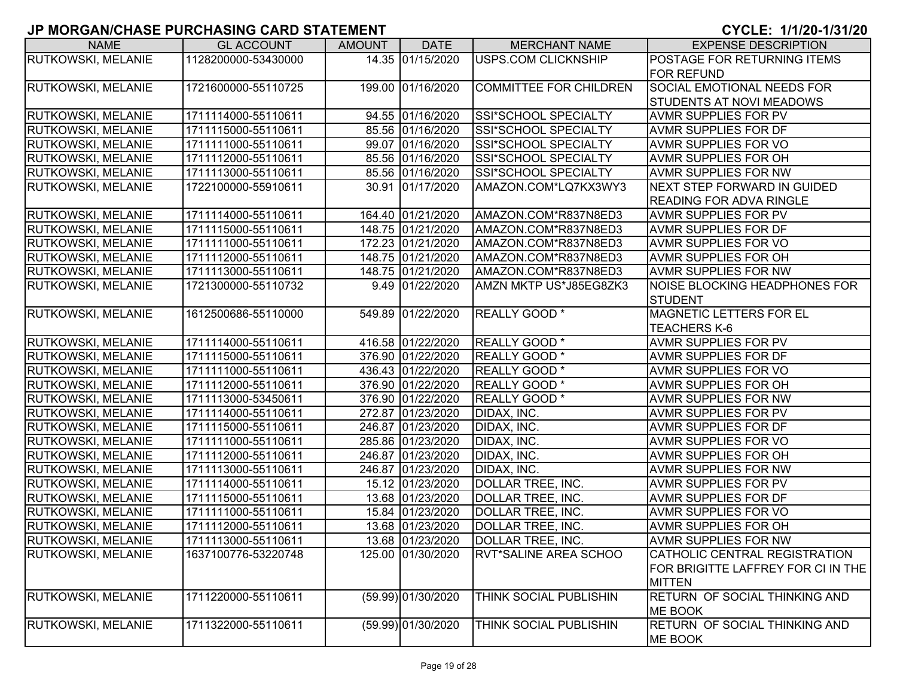| <b>NAME</b>               | <b>GL ACCOUNT</b>   | AMOUNT | <b>DATE</b>        | <b>MERCHANT NAME</b>          | <b>EXPENSE DESCRIPTION</b>         |
|---------------------------|---------------------|--------|--------------------|-------------------------------|------------------------------------|
| RUTKOWSKI, MELANIE        | 1128200000-53430000 |        | 14.35 01/15/2020   | USPS.COM CLICKNSHIP           | POSTAGE FOR RETURNING ITEMS        |
|                           |                     |        |                    |                               | <b>FOR REFUND</b>                  |
| <b>RUTKOWSKI, MELANIE</b> | 1721600000-55110725 |        | 199.00 01/16/2020  | <b>COMMITTEE FOR CHILDREN</b> | <b>SOCIAL EMOTIONAL NEEDS FOR</b>  |
|                           |                     |        |                    |                               | <b>STUDENTS AT NOVI MEADOWS</b>    |
| RUTKOWSKI, MELANIE        | 1711114000-55110611 |        | 94.55 01/16/2020   | SSI*SCHOOL SPECIALTY          | <b>AVMR SUPPLIES FOR PV</b>        |
| RUTKOWSKI, MELANIE        | 1711115000-55110611 |        | 85.56 01/16/2020   | SSI*SCHOOL SPECIALTY          | <b>AVMR SUPPLIES FOR DF</b>        |
| RUTKOWSKI, MELANIE        | 1711111000-55110611 |        | 99.07 01/16/2020   | SSI*SCHOOL SPECIALTY          | <b>AVMR SUPPLIES FOR VO</b>        |
| <b>RUTKOWSKI, MELANIE</b> | 1711112000-55110611 |        | 85.56 01/16/2020   | SSI*SCHOOL SPECIALTY          | <b>AVMR SUPPLIES FOR OH</b>        |
| <b>RUTKOWSKI, MELANIE</b> | 1711113000-55110611 |        | 85.56 01/16/2020   | SSI*SCHOOL SPECIALTY          | <b>AVMR SUPPLIES FOR NW</b>        |
| <b>RUTKOWSKI, MELANIE</b> | 1722100000-55910611 |        | 30.91 01/17/2020   | AMAZON.COM*LQ7KX3WY3          | NEXT STEP FORWARD IN GUIDED        |
|                           |                     |        |                    |                               | <b>READING FOR ADVA RINGLE</b>     |
| <b>RUTKOWSKI, MELANIE</b> | 1711114000-55110611 |        | 164.40 01/21/2020  | AMAZON.COM*R837N8ED3          | <b>AVMR SUPPLIES FOR PV</b>        |
| RUTKOWSKI, MELANIE        | 1711115000-55110611 |        | 148.75 01/21/2020  | AMAZON.COM*R837N8ED3          | <b>AVMR SUPPLIES FOR DF</b>        |
| <b>RUTKOWSKI, MELANIE</b> | 1711111000-55110611 |        | 172.23 01/21/2020  | AMAZON.COM*R837N8ED3          | <b>AVMR SUPPLIES FOR VO</b>        |
| <b>RUTKOWSKI, MELANIE</b> | 1711112000-55110611 |        | 148.75 01/21/2020  | AMAZON.COM*R837N8ED3          | <b>AVMR SUPPLIES FOR OH</b>        |
| RUTKOWSKI, MELANIE        | 1711113000-55110611 |        | 148.75 01/21/2020  | AMAZON.COM*R837N8ED3          | <b>AVMR SUPPLIES FOR NW</b>        |
| <b>RUTKOWSKI, MELANIE</b> | 1721300000-55110732 |        | 9.49 01/22/2020    | AMZN MKTP US*J85EG8ZK3        | NOISE BLOCKING HEADPHONES FOR      |
|                           |                     |        |                    |                               | <b>STUDENT</b>                     |
| RUTKOWSKI, MELANIE        | 1612500686-55110000 |        | 549.89 01/22/2020  | REALLY GOOD *                 | <b>MAGNETIC LETTERS FOR EL</b>     |
|                           |                     |        |                    |                               | <b>TEACHERS K-6</b>                |
| <b>RUTKOWSKI, MELANIE</b> | 1711114000-55110611 |        | 416.58 01/22/2020  | REALLY GOOD *                 | <b>AVMR SUPPLIES FOR PV</b>        |
| RUTKOWSKI, MELANIE        | 1711115000-55110611 |        | 376.90 01/22/2020  | REALLY GOOD *                 | <b>AVMR SUPPLIES FOR DF</b>        |
| <b>RUTKOWSKI, MELANIE</b> | 1711111000-55110611 |        | 436.43 01/22/2020  | <b>REALLY GOOD</b> *          | <b>AVMR SUPPLIES FOR VO</b>        |
| <b>RUTKOWSKI, MELANIE</b> | 1711112000-55110611 |        | 376.90 01/22/2020  | REALLY GOOD *                 | <b>AVMR SUPPLIES FOR OH</b>        |
| <b>RUTKOWSKI, MELANIE</b> | 1711113000-53450611 |        | 376.90 01/22/2020  | REALLY GOOD *                 | <b>AVMR SUPPLIES FOR NW</b>        |
| <b>RUTKOWSKI, MELANIE</b> | 1711114000-55110611 |        | 272.87 01/23/2020  | DIDAX, INC.                   | <b>AVMR SUPPLIES FOR PV</b>        |
| <b>RUTKOWSKI, MELANIE</b> | 1711115000-55110611 |        | 246.87 01/23/2020  | DIDAX, INC.                   | <b>AVMR SUPPLIES FOR DF</b>        |
| <b>RUTKOWSKI, MELANIE</b> | 1711111000-55110611 |        | 285.86 01/23/2020  | DIDAX, INC.                   | <b>AVMR SUPPLIES FOR VO</b>        |
| RUTKOWSKI, MELANIE        | 1711112000-55110611 |        | 246.87 01/23/2020  | DIDAX, INC.                   | <b>AVMR SUPPLIES FOR OH</b>        |
| <b>RUTKOWSKI, MELANIE</b> | 1711113000-55110611 |        | 246.87 01/23/2020  | DIDAX, INC.                   | <b>AVMR SUPPLIES FOR NW</b>        |
| <b>RUTKOWSKI, MELANIE</b> | 1711114000-55110611 |        | 15.12 01/23/2020   | DOLLAR TREE, INC.             | <b>AVMR SUPPLIES FOR PV</b>        |
| RUTKOWSKI, MELANIE        | 1711115000-55110611 |        | 13.68 01/23/2020   | DOLLAR TREE, INC.             | <b>AVMR SUPPLIES FOR DF</b>        |
| <b>RUTKOWSKI, MELANIE</b> | 1711111000-55110611 |        | 15.84 01/23/2020   | DOLLAR TREE, INC.             | <b>AVMR SUPPLIES FOR VO</b>        |
| <b>RUTKOWSKI, MELANIE</b> | 1711112000-55110611 |        | 13.68 01/23/2020   | DOLLAR TREE, INC.             | <b>AVMR SUPPLIES FOR OH</b>        |
| <b>RUTKOWSKI, MELANIE</b> | 1711113000-55110611 |        | 13.68 01/23/2020   | DOLLAR TREE, INC.             | <b>AVMR SUPPLIES FOR NW</b>        |
| RUTKOWSKI, MELANIE        | 1637100776-53220748 |        | 125.00 01/30/2020  | <b>RVT*SALINE AREA SCHOO</b>  | CATHOLIC CENTRAL REGISTRATION      |
|                           |                     |        |                    |                               | FOR BRIGITTE LAFFREY FOR CI IN THE |
|                           |                     |        |                    |                               | <b>MITTEN</b>                      |
| <b>RUTKOWSKI, MELANIE</b> | 1711220000-55110611 |        | (59.99) 01/30/2020 | THINK SOCIAL PUBLISHIN        | RETURN OF SOCIAL THINKING AND      |
|                           |                     |        |                    |                               | ME BOOK                            |
| <b>RUTKOWSKI, MELANIE</b> | 1711322000-55110611 |        | (59.99) 01/30/2020 | <b>THINK SOCIAL PUBLISHIN</b> | RETURN OF SOCIAL THINKING AND      |
|                           |                     |        |                    |                               | ME BOOK                            |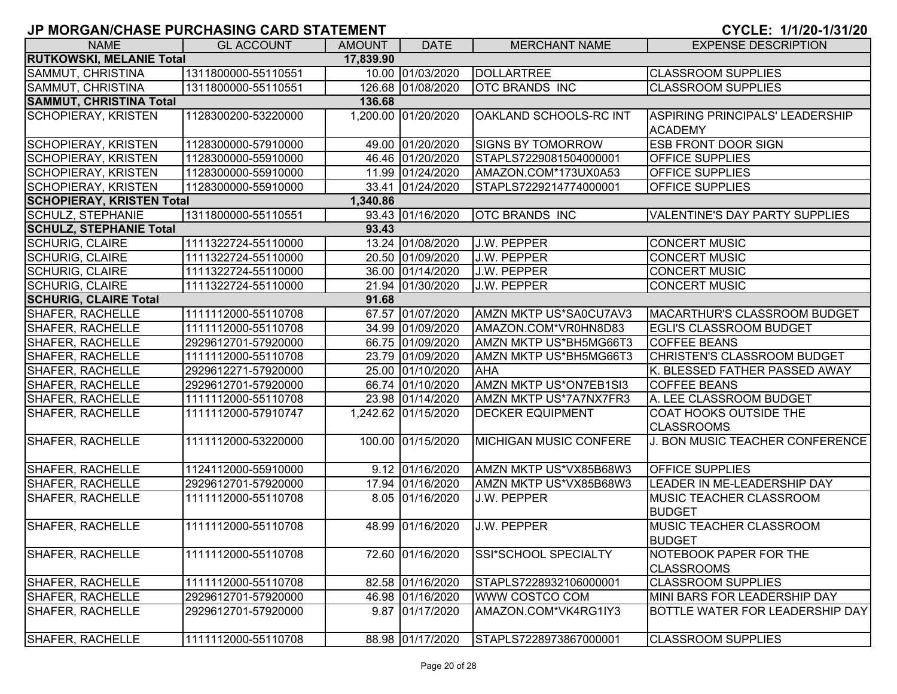| <b>NAME</b>                      | <b>GL ACCOUNT</b>   | <b>AMOUNT</b> | <b>DATE</b>         | <b>MERCHANT NAME</b>          | <b>EXPENSE DESCRIPTION</b>                  |
|----------------------------------|---------------------|---------------|---------------------|-------------------------------|---------------------------------------------|
| <b>RUTKOWSKI, MELANIE Total</b>  |                     | 17,839.90     |                     |                               |                                             |
| SAMMUT, CHRISTINA                | 1311800000-55110551 |               | 10.00 01/03/2020    | DOLLARTREE                    | <b>CLASSROOM SUPPLIES</b>                   |
| SAMMUT, CHRISTINA                | 1311800000-55110551 |               | 126.68 01/08/2020   | <b>OTC BRANDS INC</b>         | <b>CLASSROOM SUPPLIES</b>                   |
| <b>SAMMUT, CHRISTINA Total</b>   |                     | 136.68        |                     |                               |                                             |
| SCHOPIERAY, KRISTEN              | 1128300200-53220000 |               | 1,200.00 01/20/2020 | OAKLAND SCHOOLS-RC INT        | <b>ASPIRING PRINCIPALS' LEADERSHIP</b>      |
|                                  |                     |               |                     |                               | <b>ACADEMY</b>                              |
| <b>SCHOPIERAY, KRISTEN</b>       | 1128300000-57910000 |               | 49.00 01/20/2020    | <b>SIGNS BY TOMORROW</b>      | <b>ESB FRONT DOOR SIGN</b>                  |
| <b>SCHOPIERAY, KRISTEN</b>       | 1128300000-55910000 |               | 46.46 01/20/2020    | STAPLS7229081504000001        | <b>OFFICE SUPPLIES</b>                      |
| <b>SCHOPIERAY, KRISTEN</b>       | 1128300000-55910000 |               | 11.99 01/24/2020    | AMAZON.COM*173UX0A53          | <b>OFFICE SUPPLIES</b>                      |
| <b>SCHOPIERAY, KRISTEN</b>       | 1128300000-55910000 |               | 33.41 01/24/2020    | STAPLS7229214774000001        | <b>OFFICE SUPPLIES</b>                      |
| <b>SCHOPIERAY, KRISTEN Total</b> |                     | 1,340.86      |                     |                               |                                             |
| SCHULZ, STEPHANIE                | 1311800000-55110551 |               | 93.43 01/16/2020    | <b>OTC BRANDS INC</b>         | <b>VALENTINE'S DAY PARTY SUPPLIES</b>       |
| <b>SCHULZ, STEPHANIE Total</b>   |                     | 93.43         |                     |                               |                                             |
| <b>SCHURIG, CLAIRE</b>           | 1111322724-55110000 |               | 13.24 01/08/2020    | <b>J.W. PEPPER</b>            | <b>CONCERT MUSIC</b>                        |
| <b>SCHURIG, CLAIRE</b>           | 1111322724-55110000 |               | 20.50 01/09/2020    | <b>J.W. PEPPER</b>            | <b>CONCERT MUSIC</b>                        |
| <b>SCHURIG, CLAIRE</b>           | 1111322724-55110000 |               | 36.00 01/14/2020    | <b>J.W. PEPPER</b>            | <b>CONCERT MUSIC</b>                        |
| <b>SCHURIG, CLAIRE</b>           | 1111322724-55110000 |               | 21.94 01/30/2020    | <b>J.W. PEPPER</b>            | <b>CONCERT MUSIC</b>                        |
| <b>SCHURIG, CLAIRE Total</b>     |                     | 91.68         |                     |                               |                                             |
| SHAFER, RACHELLE                 | 1111112000-55110708 |               | 67.57 01/07/2020    | AMZN MKTP US*SA0CU7AV3        | MACARTHUR'S CLASSROOM BUDGET                |
| SHAFER, RACHELLE                 | 1111112000-55110708 |               | 34.99 01/09/2020    | AMAZON.COM*VR0HN8D83          | <b>EGLI'S CLASSROOM BUDGET</b>              |
| SHAFER, RACHELLE                 | 2929612701-57920000 |               | 66.75 01/09/2020    | AMZN MKTP US*BH5MG66T3        | <b>COFFEE BEANS</b>                         |
| <b>SHAFER, RACHELLE</b>          | 1111112000-55110708 |               | 23.79 01/09/2020    | AMZN MKTP US*BH5MG66T3        | CHRISTEN'S CLASSROOM BUDGET                 |
| SHAFER, RACHELLE                 | 2929612271-57920000 |               | 25.00 01/10/2020    | <b>AHA</b>                    | K. BLESSED FATHER PASSED AWAY               |
| SHAFER, RACHELLE                 | 2929612701-57920000 |               | 66.74 01/10/2020    | AMZN MKTP US*ON7EB1SI3        | <b>COFFEE BEANS</b>                         |
| SHAFER, RACHELLE                 | 1111112000-55110708 |               | 23.98 01/14/2020    | AMZN MKTP US*7A7NX7FR3        | A. LEE CLASSROOM BUDGET                     |
| SHAFER, RACHELLE                 | 1111112000-57910747 |               | 1,242.62 01/15/2020 | <b>DECKER EQUIPMENT</b>       | <b>COAT HOOKS OUTSIDE THE</b>               |
|                                  |                     |               |                     |                               | <b>CLASSROOMS</b>                           |
| SHAFER, RACHELLE                 | 1111112000-53220000 |               | 100.00 01/15/2020   | <b>MICHIGAN MUSIC CONFERE</b> | J. BON MUSIC TEACHER CONFERENCE             |
|                                  |                     |               |                     |                               |                                             |
| <b>SHAFER, RACHELLE</b>          | 1124112000-55910000 |               | 9.12 01/16/2020     | AMZN MKTP US*VX85B68W3        | <b>OFFICE SUPPLIES</b>                      |
| SHAFER, RACHELLE                 | 2929612701-57920000 |               | 17.94 01/16/2020    | AMZN MKTP US*VX85B68W3        | LEADER IN ME-LEADERSHIP DAY                 |
| SHAFER, RACHELLE                 | 1111112000-55110708 |               | 8.05 01/16/2020     | <b>J.W. PEPPER</b>            | <b>MUSIC TEACHER CLASSROOM</b>              |
|                                  |                     |               |                     |                               | <b>BUDGET</b>                               |
| <b>SHAFER, RACHELLE</b>          | 1111112000-55110708 |               | 48.99 01/16/2020    | <b>J.W. PEPPER</b>            | <b>MUSIC TEACHER CLASSROOM</b>              |
|                                  |                     |               |                     |                               | <b>BUDGET</b>                               |
| SHAFER, RACHELLE                 | 1111112000-55110708 |               | 72.60 01/16/2020    | SSI*SCHOOL SPECIALTY          | NOTEBOOK PAPER FOR THE<br><b>CLASSROOMS</b> |
| SHAFER, RACHELLE                 | 1111112000-55110708 |               | 82.58 01/16/2020    | STAPLS7228932106000001        | <b>CLASSROOM SUPPLIES</b>                   |
| SHAFER, RACHELLE                 | 2929612701-57920000 |               | 46.98 01/16/2020    | WWW COSTCO COM                | MINI BARS FOR LEADERSHIP DAY                |
| SHAFER, RACHELLE                 | 2929612701-57920000 |               | 9.87 01/17/2020     | AMAZON.COM*VK4RG1IY3          | <b>BOTTLE WATER FOR LEADERSHIP DAY</b>      |
| SHAFER, RACHELLE                 | 1111112000-55110708 |               | 88.98 01/17/2020    | STAPLS7228973867000001        | <b>CLASSROOM SUPPLIES</b>                   |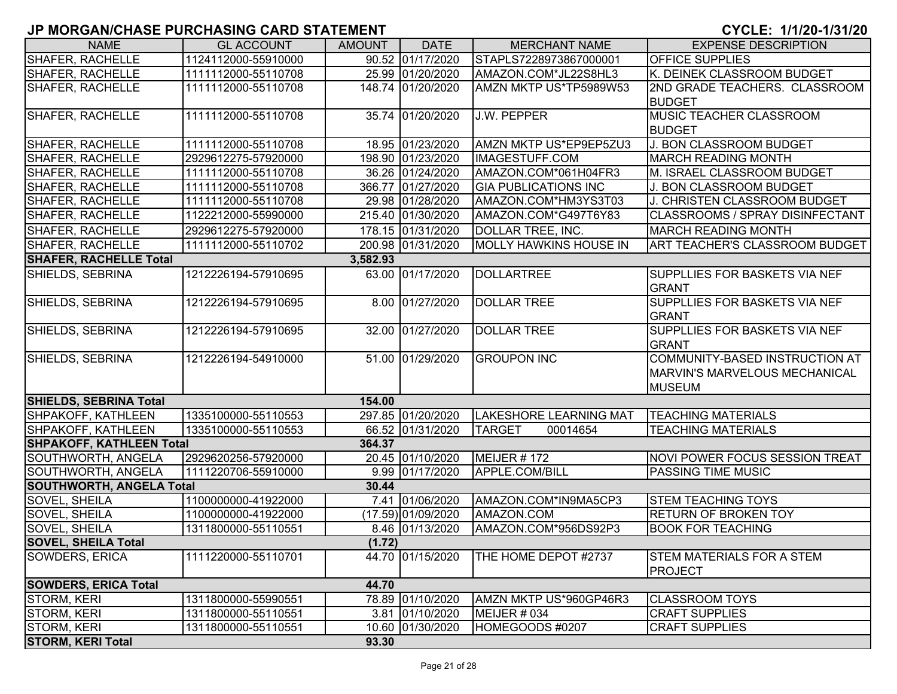| <b>NAME</b>                     | <b>GL ACCOUNT</b>   | <b>AMOUNT</b> | <b>DATE</b>        | <b>MERCHANT NAME</b>          | <b>EXPENSE DESCRIPTION</b>            |
|---------------------------------|---------------------|---------------|--------------------|-------------------------------|---------------------------------------|
| <b>SHAFER, RACHELLE</b>         | 1124112000-55910000 |               | 90.52 01/17/2020   | STAPLS7228973867000001        | <b>OFFICE SUPPLIES</b>                |
| <b>SHAFER, RACHELLE</b>         | 1111112000-55110708 |               | 25.99 01/20/2020   | AMAZON.COM*JL22S8HL3          | K. DEINEK CLASSROOM BUDGET            |
| SHAFER, RACHELLE                | 1111112000-55110708 |               | 148.74 01/20/2020  | AMZN MKTP US*TP5989W53        | 2ND GRADE TEACHERS. CLASSROOM         |
|                                 |                     |               |                    |                               | <b>BUDGET</b>                         |
| <b>SHAFER, RACHELLE</b>         | 1111112000-55110708 |               | 35.74 01/20/2020   | <b>J.W. PEPPER</b>            | MUSIC TEACHER CLASSROOM               |
|                                 |                     |               |                    |                               | <b>BUDGET</b>                         |
| <b>SHAFER, RACHELLE</b>         | 1111112000-55110708 |               | 18.95 01/23/2020   | AMZN MKTP US*EP9EP5ZU3        | J. BON CLASSROOM BUDGET               |
| <b>SHAFER, RACHELLE</b>         | 2929612275-57920000 |               | 198.90 01/23/2020  | IMAGESTUFF.COM                | <b>MARCH READING MONTH</b>            |
| <b>SHAFER, RACHELLE</b>         | 1111112000-55110708 |               | 36.26 01/24/2020   | AMAZON.COM*061H04FR3          | M. ISRAEL CLASSROOM BUDGET            |
| <b>SHAFER, RACHELLE</b>         | 1111112000-55110708 |               | 366.77 01/27/2020  | <b>GIA PUBLICATIONS INC</b>   | J. BON CLASSROOM BUDGET               |
| <b>SHAFER, RACHELLE</b>         | 1111112000-55110708 |               | 29.98 01/28/2020   | AMAZON.COM*HM3YS3T03          | J. CHRISTEN CLASSROOM BUDGET          |
| <b>SHAFER, RACHELLE</b>         | 1122212000-55990000 |               | 215.40 01/30/2020  | AMAZON.COM*G497T6Y83          | CLASSROOMS / SPRAY DISINFECTANT       |
| SHAFER, RACHELLE                | 2929612275-57920000 |               | 178.15 01/31/2020  | DOLLAR TREE, INC.             | <b>MARCH READING MONTH</b>            |
| SHAFER, RACHELLE                | 1111112000-55110702 |               | 200.98 01/31/2020  | <b>MOLLY HAWKINS HOUSE IN</b> | <b>ART TEACHER'S CLASSROOM BUDGET</b> |
| <b>SHAFER, RACHELLE Total</b>   |                     | 3,582.93      |                    |                               |                                       |
| SHIELDS, SEBRINA                | 1212226194-57910695 |               | 63.00 01/17/2020   | <b>DOLLARTREE</b>             | <b>SUPPLLIES FOR BASKETS VIA NEF</b>  |
|                                 |                     |               |                    |                               | <b>GRANT</b>                          |
| SHIELDS, SEBRINA                | 1212226194-57910695 |               | 8.00 01/27/2020    | <b>DOLLAR TREE</b>            | <b>SUPPLLIES FOR BASKETS VIA NEF</b>  |
|                                 |                     |               |                    |                               | <b>GRANT</b>                          |
| SHIELDS, SEBRINA                | 1212226194-57910695 |               | 32.00 01/27/2020   | <b>DOLLAR TREE</b>            | <b>SUPPLLIES FOR BASKETS VIA NEF</b>  |
|                                 |                     |               |                    |                               | <b>GRANT</b>                          |
| SHIELDS, SEBRINA                | 1212226194-54910000 |               | 51.00 01/29/2020   | <b>GROUPON INC</b>            | COMMUNITY-BASED INSTRUCTION AT        |
|                                 |                     |               |                    |                               | <b>MARVIN'S MARVELOUS MECHANICAL</b>  |
|                                 |                     |               |                    |                               | <b>MUSEUM</b>                         |
| <b>SHIELDS, SEBRINA Total</b>   |                     | 154.00        |                    |                               |                                       |
| SHPAKOFF, KATHLEEN              | 1335100000-55110553 |               | 297.85 01/20/2020  | <b>LAKESHORE LEARNING MAT</b> | <b>TEACHING MATERIALS</b>             |
| SHPAKOFF, KATHLEEN              | 1335100000-55110553 |               | 66.52 01/31/2020   | <b>TARGET</b><br>00014654     | <b>TEACHING MATERIALS</b>             |
| <b>SHPAKOFF, KATHLEEN Total</b> |                     | 364.37        |                    |                               |                                       |
| SOUTHWORTH, ANGELA              | 2929620256-57920000 |               | 20.45 01/10/2020   | MEIJER #172                   | NOVI POWER FOCUS SESSION TREAT        |
| SOUTHWORTH, ANGELA              | 1111220706-55910000 |               | 9.99 01/17/2020    | APPLE.COM/BILL                | <b>PASSING TIME MUSIC</b>             |
| <b>SOUTHWORTH, ANGELA Total</b> |                     | 30.44         |                    |                               |                                       |
| SOVEL, SHEILA                   | 1100000000-41922000 |               | 7.41 01/06/2020    | AMAZON.COM*IN9MA5CP3          | <b>STEM TEACHING TOYS</b>             |
| SOVEL, SHEILA                   | 1100000000-41922000 |               | (17.59) 01/09/2020 | AMAZON.COM                    | <b>RETURN OF BROKEN TOY</b>           |
| SOVEL, SHEILA                   | 1311800000-55110551 |               | 8.46 01/13/2020    | AMAZON.COM*956DS92P3          | <b>BOOK FOR TEACHING</b>              |
| <b>SOVEL, SHEILA Total</b>      |                     | (1.72)        |                    |                               |                                       |
| SOWDERS, ERICA                  | 1111220000-55110701 |               | 44.70 01/15/2020   | THE HOME DEPOT #2737          | <b>STEM MATERIALS FOR A STEM</b>      |
|                                 |                     |               |                    |                               | <b>PROJECT</b>                        |
| <b>SOWDERS, ERICA Total</b>     |                     | 44.70         |                    |                               |                                       |
| <b>STORM, KERI</b>              | 1311800000-55990551 |               | 78.89 01/10/2020   | AMZN MKTP US*960GP46R3        | <b>CLASSROOM TOYS</b>                 |
| <b>STORM, KERI</b>              | 1311800000-55110551 |               | 3.81 01/10/2020    | MEIJER # 034                  | <b>CRAFT SUPPLIES</b>                 |
| <b>STORM, KERI</b>              | 1311800000-55110551 |               | 10.60 01/30/2020   | HOMEGOODS #0207               | <b>CRAFT SUPPLIES</b>                 |
| <b>STORM, KERI Total</b>        |                     | 93.30         |                    |                               |                                       |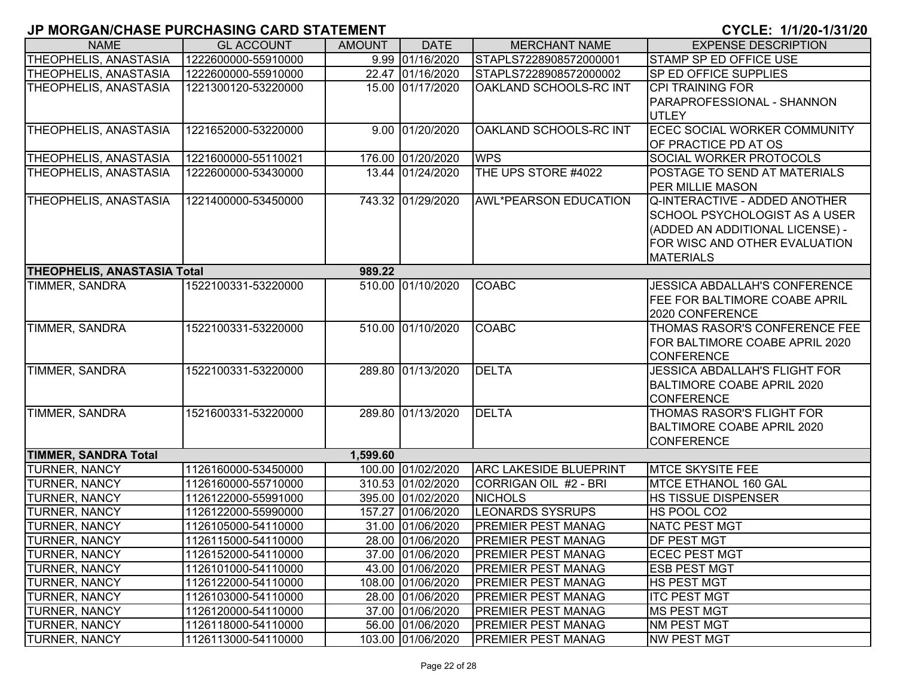| <b>NAME</b>                        | <b>GL ACCOUNT</b>   | <b>AMOUNT</b> | <b>DATE</b>       | <b>MERCHANT NAME</b>          | <b>EXPENSE DESCRIPTION</b>           |
|------------------------------------|---------------------|---------------|-------------------|-------------------------------|--------------------------------------|
| THEOPHELIS, ANASTASIA              | 1222600000-55910000 |               | 9.99 01/16/2020   | STAPLS7228908572000001        | <b>STAMP SP ED OFFICE USE</b>        |
| THEOPHELIS, ANASTASIA              | 1222600000-55910000 |               | 22.47 01/16/2020  | STAPLS7228908572000002        | SP ED OFFICE SUPPLIES                |
| <b>THEOPHELIS, ANASTASIA</b>       | 1221300120-53220000 |               | 15.00 01/17/2020  | OAKLAND SCHOOLS-RC INT        | CPI TRAINING FOR                     |
|                                    |                     |               |                   |                               | PARAPROFESSIONAL - SHANNON           |
|                                    |                     |               |                   |                               | <b>UTLEY</b>                         |
| THEOPHELIS, ANASTASIA              | 1221652000-53220000 |               | 9.00 01/20/2020   | OAKLAND SCHOOLS-RC INT        | <b>ECEC SOCIAL WORKER COMMUNITY</b>  |
|                                    |                     |               |                   |                               | OF PRACTICE PD AT OS                 |
| THEOPHELIS, ANASTASIA              | 1221600000-55110021 |               | 176.00 01/20/2020 | <b>WPS</b>                    | <b>SOCIAL WORKER PROTOCOLS</b>       |
| <b>THEOPHELIS, ANASTASIA</b>       | 1222600000-53430000 |               | 13.44 01/24/2020  | THE UPS STORE #4022           | POSTAGE TO SEND AT MATERIALS         |
|                                    |                     |               |                   |                               | PER MILLIE MASON                     |
| <b>THEOPHELIS, ANASTASIA</b>       | 1221400000-53450000 |               | 743.32 01/29/2020 | <b>AWL*PEARSON EDUCATION</b>  | Q-INTERACTIVE - ADDED ANOTHER        |
|                                    |                     |               |                   |                               | <b>SCHOOL PSYCHOLOGIST AS A USER</b> |
|                                    |                     |               |                   |                               | (ADDED AN ADDITIONAL LICENSE) -      |
|                                    |                     |               |                   |                               | FOR WISC AND OTHER EVALUATION        |
|                                    |                     |               |                   |                               | <b>MATERIALS</b>                     |
| <b>THEOPHELIS, ANASTASIA Total</b> |                     | 989.22        |                   |                               |                                      |
| TIMMER, SANDRA                     | 1522100331-53220000 |               | 510.00 01/10/2020 | <b>COABC</b>                  | <b>JESSICA ABDALLAH'S CONFERENCE</b> |
|                                    |                     |               |                   |                               | <b>FEE FOR BALTIMORE COABE APRIL</b> |
|                                    |                     |               |                   |                               | 2020 CONFERENCE                      |
| TIMMER, SANDRA                     | 1522100331-53220000 |               | 510.00 01/10/2020 | <b>COABC</b>                  | THOMAS RASOR'S CONFERENCE FEE        |
|                                    |                     |               |                   |                               | FOR BALTIMORE COABE APRIL 2020       |
|                                    |                     |               |                   |                               | <b>CONFERENCE</b>                    |
| TIMMER, SANDRA                     | 1522100331-53220000 |               | 289.80 01/13/2020 | <b>DELTA</b>                  | <b>JESSICA ABDALLAH'S FLIGHT FOR</b> |
|                                    |                     |               |                   |                               | <b>BALTIMORE COABE APRIL 2020</b>    |
|                                    |                     |               |                   |                               | <b>CONFERENCE</b>                    |
| <b>TIMMER, SANDRA</b>              | 1521600331-53220000 |               | 289.80 01/13/2020 | <b>DELTA</b>                  | THOMAS RASOR'S FLIGHT FOR            |
|                                    |                     |               |                   |                               | BALTIMORE COABE APRIL 2020           |
|                                    |                     |               |                   |                               | <b>CONFERENCE</b>                    |
| <b>TIMMER, SANDRA Total</b>        |                     | 1,599.60      |                   |                               |                                      |
| <b>TURNER, NANCY</b>               | 1126160000-53450000 |               | 100.00 01/02/2020 | <b>ARC LAKESIDE BLUEPRINT</b> | <b>MTCE SKYSITE FEE</b>              |
| <b>TURNER, NANCY</b>               | 1126160000-55710000 |               | 310.53 01/02/2020 | CORRIGAN OIL #2 - BRI         | MTCE ETHANOL 160 GAL                 |
| <b>TURNER, NANCY</b>               | 1126122000-55991000 |               | 395.00 01/02/2020 | <b>NICHOLS</b>                | <b>HS TISSUE DISPENSER</b>           |
| <b>TURNER, NANCY</b>               | 1126122000-55990000 |               | 157.27 01/06/2020 | <b>LEONARDS SYSRUPS</b>       | HS POOL CO2                          |
| <b>TURNER, NANCY</b>               | 1126105000-54110000 |               | 31.00 01/06/2020  | <b>PREMIER PEST MANAG</b>     | <b>NATC PEST MGT</b>                 |
| <b>TURNER, NANCY</b>               | 1126115000-54110000 |               | 28.00 01/06/2020  | <b>PREMIER PEST MANAG</b>     | <b>DF PEST MGT</b>                   |
| <b>TURNER, NANCY</b>               | 1126152000-54110000 |               | 37.00 01/06/2020  | <b>PREMIER PEST MANAG</b>     | <b>ECEC PEST MGT</b>                 |
| <b>TURNER, NANCY</b>               | 1126101000-54110000 |               | 43.00 01/06/2020  | <b>PREMIER PEST MANAG</b>     | <b>ESB PEST MGT</b>                  |
| <b>TURNER, NANCY</b>               | 1126122000-54110000 |               | 108.00 01/06/2020 | <b>PREMIER PEST MANAG</b>     | <b>HS PEST MGT</b>                   |
| <b>TURNER, NANCY</b>               | 1126103000-54110000 |               | 28.00 01/06/2020  | <b>PREMIER PEST MANAG</b>     | <b>ITC PEST MGT</b>                  |
| <b>TURNER, NANCY</b>               | 1126120000-54110000 |               | 37.00 01/06/2020  | <b>PREMIER PEST MANAG</b>     | <b>MS PEST MGT</b>                   |
| <b>TURNER, NANCY</b>               | 1126118000-54110000 |               | 56.00 01/06/2020  | <b>PREMIER PEST MANAG</b>     | <b>NM PEST MGT</b>                   |
| <b>TURNER, NANCY</b>               | 1126113000-54110000 |               | 103.00 01/06/2020 | <b>PREMIER PEST MANAG</b>     | <b>NW PEST MGT</b>                   |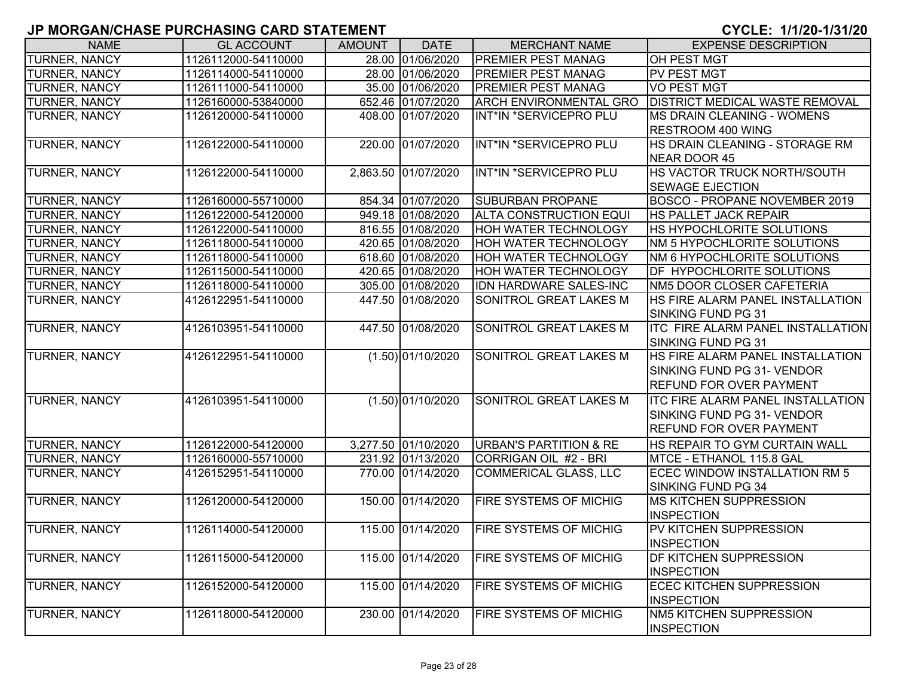| <b>NAME</b>          | <b>GL ACCOUNT</b>   | <b>AMOUNT</b> | <b>DATE</b>         | <b>MERCHANT NAME</b>              | <b>EXPENSE DESCRIPTION</b>               |
|----------------------|---------------------|---------------|---------------------|-----------------------------------|------------------------------------------|
| <b>TURNER, NANCY</b> | 1126112000-54110000 |               | 28.00 01/06/2020    | <b>PREMIER PEST MANAG</b>         | OH PEST MGT                              |
| <b>TURNER, NANCY</b> | 1126114000-54110000 |               | 28.00 01/06/2020    | <b>PREMIER PEST MANAG</b>         | <b>PV PEST MGT</b>                       |
| <b>TURNER, NANCY</b> | 1126111000-54110000 |               | 35.00 01/06/2020    | <b>PREMIER PEST MANAG</b>         | <b>VO PEST MGT</b>                       |
| <b>TURNER, NANCY</b> | 1126160000-53840000 |               | 652.46 01/07/2020   | <b>ARCH ENVIRONMENTAL GRO</b>     | <b>DISTRICT MEDICAL WASTE REMOVAL</b>    |
| <b>TURNER, NANCY</b> | 1126120000-54110000 |               | 408.00 01/07/2020   | INT*IN *SERVICEPRO PLU            | <b>IMS DRAIN CLEANING - WOMENS</b>       |
|                      |                     |               |                     |                                   | RESTROOM 400 WING                        |
| <b>TURNER, NANCY</b> | 1126122000-54110000 |               | 220.00 01/07/2020   | INT*IN *SERVICEPRO PLU            | HS DRAIN CLEANING - STORAGE RM           |
|                      |                     |               |                     |                                   | NEAR DOOR 45                             |
| <b>TURNER, NANCY</b> | 1126122000-54110000 |               | 2,863.50 01/07/2020 | INT*IN *SERVICEPRO PLU            | HS VACTOR TRUCK NORTH/SOUTH              |
|                      |                     |               |                     |                                   | <b>SEWAGE EJECTION</b>                   |
| <b>TURNER, NANCY</b> | 1126160000-55710000 |               | 854.34 01/07/2020   | <b>SUBURBAN PROPANE</b>           | <b>BOSCO - PROPANE NOVEMBER 2019</b>     |
| <b>TURNER, NANCY</b> | 1126122000-54120000 |               | 949.18 01/08/2020   | <b>ALTA CONSTRUCTION EQUI</b>     | HS PALLET JACK REPAIR                    |
| TURNER, NANCY        | 1126122000-54110000 |               | 816.55 01/08/2020   | <b>HOH WATER TECHNOLOGY</b>       | <b>HS HYPOCHLORITE SOLUTIONS</b>         |
| <b>TURNER, NANCY</b> | 1126118000-54110000 |               | 420.65 01/08/2020   | <b>HOH WATER TECHNOLOGY</b>       | NM 5 HYPOCHLORITE SOLUTIONS              |
| <b>TURNER, NANCY</b> | 1126118000-54110000 |               | 618.60 01/08/2020   | <b>HOH WATER TECHNOLOGY</b>       | NM 6 HYPOCHLORITE SOLUTIONS              |
| <b>TURNER, NANCY</b> | 1126115000-54110000 |               | 420.65 01/08/2020   | <b>HOH WATER TECHNOLOGY</b>       | <b>DF HYPOCHLORITE SOLUTIONS</b>         |
| <b>TURNER, NANCY</b> | 1126118000-54110000 |               | 305.00 01/08/2020   | <b>IDN HARDWARE SALES-INC</b>     | NM5 DOOR CLOSER CAFETERIA                |
| <b>TURNER, NANCY</b> | 4126122951-54110000 |               | 447.50 01/08/2020   | <b>SONITROL GREAT LAKES M</b>     | <b>HS FIRE ALARM PANEL INSTALLATION</b>  |
|                      |                     |               |                     |                                   | SINKING FUND PG 31                       |
| <b>TURNER, NANCY</b> | 4126103951-54110000 |               | 447.50 01/08/2020   | SONITROL GREAT LAKES M            | <b>ITC FIRE ALARM PANEL INSTALLATION</b> |
|                      |                     |               |                     |                                   | SINKING FUND PG 31                       |
| <b>TURNER, NANCY</b> | 4126122951-54110000 |               | $(1.50)$ 01/10/2020 | SONITROL GREAT LAKES M            | HS FIRE ALARM PANEL INSTALLATION         |
|                      |                     |               |                     |                                   | SINKING FUND PG 31- VENDOR               |
|                      |                     |               |                     |                                   | <b>REFUND FOR OVER PAYMENT</b>           |
| <b>TURNER, NANCY</b> | 4126103951-54110000 |               | (1.50) 01/10/2020   | <b>SONITROL GREAT LAKES M</b>     | <b>ITC FIRE ALARM PANEL INSTALLATION</b> |
|                      |                     |               |                     |                                   | SINKING FUND PG 31- VENDOR               |
|                      |                     |               |                     |                                   | <b>REFUND FOR OVER PAYMENT</b>           |
| <b>TURNER, NANCY</b> | 1126122000-54120000 |               | 3,277.50 01/10/2020 | <b>URBAN'S PARTITION &amp; RE</b> | HS REPAIR TO GYM CURTAIN WALL            |
| <b>TURNER, NANCY</b> | 1126160000-55710000 |               | 231.92 01/13/2020   | CORRIGAN OIL #2 - BRI             | MTCE - ETHANOL 115.8 GAL                 |
| TURNER, NANCY        | 4126152951-54110000 |               | 770.00 01/14/2020   | <b>COMMERICAL GLASS, LLC</b>      | <b>ECEC WINDOW INSTALLATION RM 5</b>     |
|                      |                     |               |                     |                                   | SINKING FUND PG 34                       |
| TURNER, NANCY        | 1126120000-54120000 |               | 150.00 01/14/2020   | FIRE SYSTEMS OF MICHIG            | <b>IMS KITCHEN SUPPRESSION</b>           |
|                      |                     |               |                     |                                   | <b>INSPECTION</b>                        |
| <b>TURNER, NANCY</b> | 1126114000-54120000 |               | 115.00 01/14/2020   | <b>FIRE SYSTEMS OF MICHIG</b>     | <b>PV KITCHEN SUPPRESSION</b>            |
|                      |                     |               |                     |                                   | <b>INSPECTION</b>                        |
| <b>TURNER, NANCY</b> | 1126115000-54120000 |               | 115.00 01/14/2020   | <b>FIRE SYSTEMS OF MICHIG</b>     | <b>DF KITCHEN SUPPRESSION</b>            |
|                      |                     |               |                     |                                   | <b>INSPECTION</b>                        |
| <b>TURNER, NANCY</b> | 1126152000-54120000 |               | 115.00 01/14/2020   | <b>FIRE SYSTEMS OF MICHIG</b>     | <b>ECEC KITCHEN SUPPRESSION</b>          |
|                      |                     |               |                     |                                   | <b>INSPECTION</b>                        |
| <b>TURNER, NANCY</b> | 1126118000-54120000 |               | 230.00 01/14/2020   | <b>FIRE SYSTEMS OF MICHIG</b>     | <b>NM5 KITCHEN SUPPRESSION</b>           |
|                      |                     |               |                     |                                   | <b>INSPECTION</b>                        |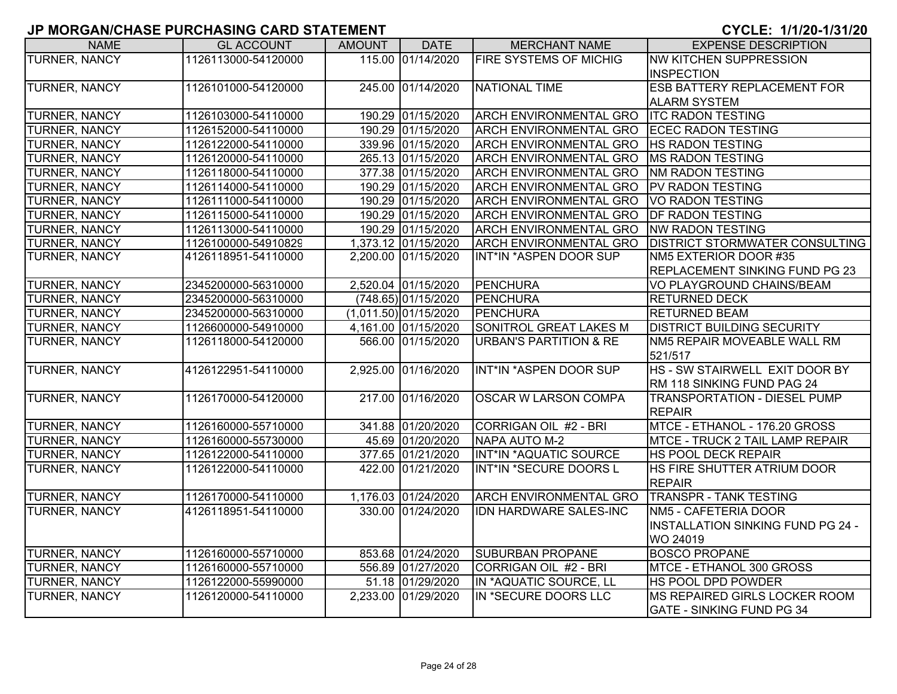| <b>NAME</b>          | <b>GL ACCOUNT</b>   | <b>AMOUNT</b> | <b>DATE</b>           | <b>MERCHANT NAME</b>              | <b>EXPENSE DESCRIPTION</b>               |
|----------------------|---------------------|---------------|-----------------------|-----------------------------------|------------------------------------------|
| <b>TURNER, NANCY</b> | 1126113000-54120000 |               | 115.00 01/14/2020     | <b>FIRE SYSTEMS OF MICHIG</b>     | <b>NW KITCHEN SUPPRESSION</b>            |
|                      |                     |               |                       |                                   | <b>INSPECTION</b>                        |
| <b>TURNER, NANCY</b> | 1126101000-54120000 |               | 245.00 01/14/2020     | <b>NATIONAL TIME</b>              | <b>ESB BATTERY REPLACEMENT FOR</b>       |
|                      |                     |               |                       |                                   | <b>ALARM SYSTEM</b>                      |
| TURNER, NANCY        | 1126103000-54110000 |               | 190.29 01/15/2020     | <b>ARCH ENVIRONMENTAL GRO</b>     | <b>ITC RADON TESTING</b>                 |
| <b>TURNER, NANCY</b> | 1126152000-54110000 |               | 190.29 01/15/2020     | <b>ARCH ENVIRONMENTAL GRO</b>     | <b>ECEC RADON TESTING</b>                |
| <b>TURNER, NANCY</b> | 1126122000-54110000 |               | 339.96 01/15/2020     | <b>ARCH ENVIRONMENTAL GRO</b>     | <b>HS RADON TESTING</b>                  |
| <b>TURNER, NANCY</b> | 1126120000-54110000 |               | 265.13 01/15/2020     | <b>ARCH ENVIRONMENTAL GRO</b>     | <b>MS RADON TESTING</b>                  |
| TURNER, NANCY        | 1126118000-54110000 |               | 377.38 01/15/2020     | <b>ARCH ENVIRONMENTAL GRO</b>     | <b>NM RADON TESTING</b>                  |
| TURNER, NANCY        | 1126114000-54110000 |               | 190.29 01/15/2020     | <b>ARCH ENVIRONMENTAL GRO</b>     | <b>PV RADON TESTING</b>                  |
| TURNER, NANCY        | 1126111000-54110000 |               | 190.29 01/15/2020     | <b>ARCH ENVIRONMENTAL GRO</b>     | VO RADON TESTING                         |
| TURNER, NANCY        | 1126115000-54110000 |               | 190.29 01/15/2020     | <b>ARCH ENVIRONMENTAL GRO</b>     | <b>DF RADON TESTING</b>                  |
| TURNER, NANCY        | 1126113000-54110000 |               | 190.29 01/15/2020     | <b>ARCH ENVIRONMENTAL GRO</b>     | <b>NW RADON TESTING</b>                  |
| <b>TURNER, NANCY</b> | 1126100000-54910829 |               | 1,373.12 01/15/2020   | <b>ARCH ENVIRONMENTAL GRO</b>     | <b>DISTRICT STORMWATER CONSULTING</b>    |
| TURNER, NANCY        | 4126118951-54110000 |               | 2,200.00 01/15/2020   | INT*IN *ASPEN DOOR SUP            | NM5 EXTERIOR DOOR #35                    |
|                      |                     |               |                       |                                   | REPLACEMENT SINKING FUND PG 23           |
| <b>TURNER, NANCY</b> | 2345200000-56310000 |               | 2,520.04 01/15/2020   | <b>PENCHURA</b>                   | VO PLAYGROUND CHAINS/BEAM                |
| TURNER, NANCY        | 2345200000-56310000 |               | $(748.65)$ 01/15/2020 | PENCHURA                          | <b>RETURNED DECK</b>                     |
| <b>TURNER, NANCY</b> | 2345200000-56310000 |               | (1,011.50) 01/15/2020 | PENCHURA                          | <b>RETURNED BEAM</b>                     |
| TURNER, NANCY        | 1126600000-54910000 |               | 4,161.00 01/15/2020   | SONITROL GREAT LAKES M            | <b>DISTRICT BUILDING SECURITY</b>        |
| TURNER, NANCY        | 1126118000-54120000 |               | 566.00 01/15/2020     | <b>URBAN'S PARTITION &amp; RE</b> | NM5 REPAIR MOVEABLE WALL RM              |
|                      |                     |               |                       |                                   | 521/517                                  |
| <b>TURNER, NANCY</b> | 4126122951-54110000 |               | 2,925.00 01/16/2020   | INT*IN *ASPEN DOOR SUP            | HS - SW STAIRWELL EXIT DOOR BY           |
|                      |                     |               |                       |                                   | RM 118 SINKING FUND PAG 24               |
| <b>TURNER, NANCY</b> | 1126170000-54120000 |               | 217.00 01/16/2020     | <b>OSCAR W LARSON COMPA</b>       | <b>TRANSPORTATION - DIESEL PUMP</b>      |
|                      |                     |               |                       |                                   | <b>REPAIR</b>                            |
| TURNER, NANCY        | 1126160000-55710000 |               | 341.88 01/20/2020     | CORRIGAN OIL #2 - BRI             | MTCE - ETHANOL - 176.20 GROSS            |
| <b>TURNER, NANCY</b> | 1126160000-55730000 |               | 45.69 01/20/2020      | NAPA AUTO M-2                     | MTCE - TRUCK 2 TAIL LAMP REPAIR          |
| TURNER, NANCY        | 1126122000-54110000 |               | 377.65 01/21/2020     | INT*IN *AQUATIC SOURCE            | HS POOL DECK REPAIR                      |
| <b>TURNER, NANCY</b> | 1126122000-54110000 |               | 422.00 01/21/2020     | INT*IN *SECURE DOORS L            | HS FIRE SHUTTER ATRIUM DOOR              |
|                      |                     |               |                       |                                   | <b>REPAIR</b>                            |
| <b>TURNER, NANCY</b> | 1126170000-54110000 |               | 1,176.03 01/24/2020   | <b>ARCH ENVIRONMENTAL GRO</b>     | <b>TRANSPR - TANK TESTING</b>            |
| <b>TURNER, NANCY</b> | 4126118951-54110000 |               | 330.00 01/24/2020     | IDN HARDWARE SALES-INC            | NM5 - CAFETERIA DOOR                     |
|                      |                     |               |                       |                                   | <b>INSTALLATION SINKING FUND PG 24 -</b> |
|                      |                     |               |                       |                                   | WO 24019                                 |
| <b>TURNER, NANCY</b> | 1126160000-55710000 |               | 853.68 01/24/2020     | <b>SUBURBAN PROPANE</b>           | <b>BOSCO PROPANE</b>                     |
| <b>TURNER, NANCY</b> | 1126160000-55710000 |               | 556.89 01/27/2020     | CORRIGAN OIL #2 - BRI             | MTCE - ETHANOL 300 GROSS                 |
| <b>TURNER, NANCY</b> | 1126122000-55990000 |               | 51.18 01/29/2020      | IN *AQUATIC SOURCE, LL            | <b>HS POOL DPD POWDER</b>                |
| <b>TURNER, NANCY</b> | 1126120000-54110000 |               | 2,233.00 01/29/2020   | IN *SECURE DOORS LLC              | MS REPAIRED GIRLS LOCKER ROOM            |
|                      |                     |               |                       |                                   | <b>IGATE - SINKING FUND PG 34</b>        |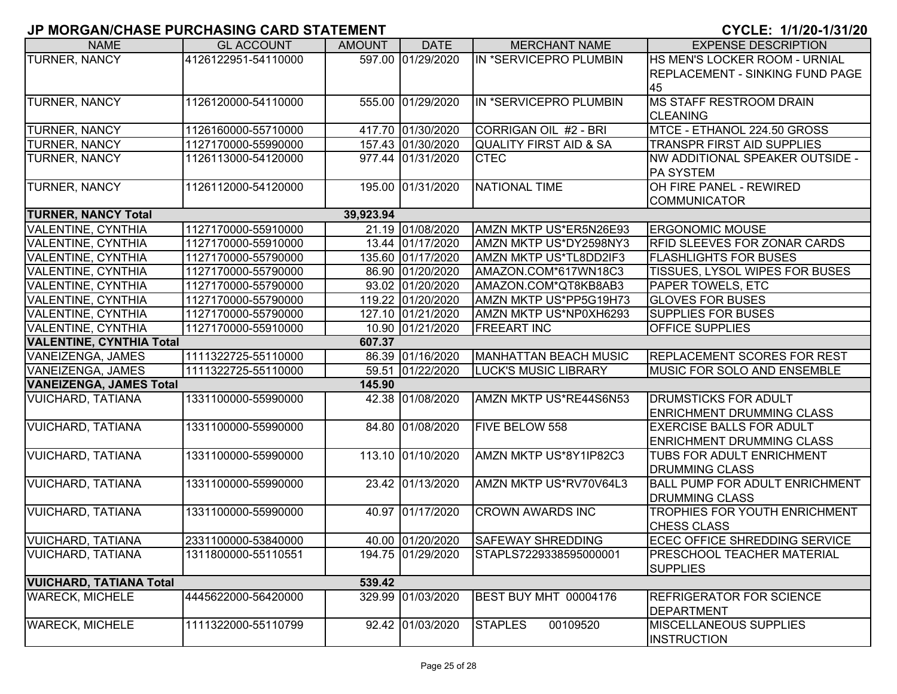| <b>NAME</b>                     | <b>GL ACCOUNT</b>   | <b>AMOUNT</b> | <b>DATE</b>       | <b>MERCHANT NAME</b>              | <b>EXPENSE DESCRIPTION</b>                                     |
|---------------------------------|---------------------|---------------|-------------------|-----------------------------------|----------------------------------------------------------------|
| TURNER, NANCY                   | 4126122951-54110000 |               | 597.00 01/29/2020 | IN *SERVICEPRO PLUMBIN            | HS MEN'S LOCKER ROOM - URNIAL                                  |
|                                 |                     |               |                   |                                   | <b>REPLACEMENT - SINKING FUND PAGE</b>                         |
|                                 |                     |               |                   |                                   | 45                                                             |
| TURNER, NANCY                   | 1126120000-54110000 |               | 555.00 01/29/2020 | IN *SERVICEPRO PLUMBIN            | <b>MS STAFF RESTROOM DRAIN</b>                                 |
|                                 |                     |               |                   |                                   | <b>CLEANING</b>                                                |
| TURNER, NANCY                   | 1126160000-55710000 |               | 417.70 01/30/2020 | CORRIGAN OIL #2 - BRI             | MTCE - ETHANOL 224.50 GROSS                                    |
| TURNER, NANCY                   | 1127170000-55990000 |               | 157.43 01/30/2020 | <b>QUALITY FIRST AID &amp; SA</b> | <b>TRANSPR FIRST AID SUPPLIES</b>                              |
| TURNER, NANCY                   | 1126113000-54120000 |               | 977.44 01/31/2020 | <b>CTEC</b>                       | NW ADDITIONAL SPEAKER OUTSIDE -                                |
|                                 |                     |               |                   |                                   | <b>PA SYSTEM</b>                                               |
| <b>TURNER, NANCY</b>            | 1126112000-54120000 |               | 195.00 01/31/2020 | <b>NATIONAL TIME</b>              | OH FIRE PANEL - REWIRED                                        |
|                                 |                     |               |                   |                                   | <b>COMMUNICATOR</b>                                            |
| <b>TURNER, NANCY Total</b>      |                     | 39,923.94     |                   |                                   |                                                                |
| VALENTINE, CYNTHIA              | 1127170000-55910000 |               | 21.19 01/08/2020  | AMZN MKTP US*ER5N26E93            | <b>ERGONOMIC MOUSE</b>                                         |
| VALENTINE, CYNTHIA              | 1127170000-55910000 |               | 13.44 01/17/2020  | AMZN MKTP US*DY2598NY3            | <b>RFID SLEEVES FOR ZONAR CARDS</b>                            |
| VALENTINE, CYNTHIA              | 1127170000-55790000 |               | 135.60 01/17/2020 | AMZN MKTP US*TL8DD2IF3            | <b>FLASHLIGHTS FOR BUSES</b>                                   |
| VALENTINE, CYNTHIA              | 1127170000-55790000 |               | 86.90 01/20/2020  | AMAZON.COM*617WN18C3              | <b>TISSUES, LYSOL WIPES FOR BUSES</b>                          |
| VALENTINE, CYNTHIA              | 1127170000-55790000 |               | 93.02 01/20/2020  | AMAZON.COM*QT8KB8AB3              | <b>PAPER TOWELS, ETC</b>                                       |
| VALENTINE, CYNTHIA              | 1127170000-55790000 |               | 119.22 01/20/2020 | AMZN MKTP US*PP5G19H73            | <b>GLOVES FOR BUSES</b>                                        |
| VALENTINE, CYNTHIA              | 1127170000-55790000 |               | 127.10 01/21/2020 | AMZN MKTP US*NP0XH6293            | <b>SUPPLIES FOR BUSES</b>                                      |
| VALENTINE, CYNTHIA              | 1127170000-55910000 |               | 10.90 01/21/2020  | <b>FREEART INC</b>                | <b>OFFICE SUPPLIES</b>                                         |
| <b>VALENTINE, CYNTHIA Total</b> |                     | 607.37        |                   |                                   |                                                                |
| VANEIZENGA, JAMES               | 1111322725-55110000 |               | 86.39 01/16/2020  | <b>MANHATTAN BEACH MUSIC</b>      | <b>REPLACEMENT SCORES FOR REST</b>                             |
| VANEIZENGA, JAMES               | 1111322725-55110000 |               | 59.51 01/22/2020  | LUCK'S MUSIC LIBRARY              | <b>MUSIC FOR SOLO AND ENSEMBLE</b>                             |
| <b>VANEIZENGA, JAMES Total</b>  |                     | 145.90        |                   |                                   |                                                                |
| <b>VUICHARD, TATIANA</b>        | 1331100000-55990000 |               | 42.38 01/08/2020  | AMZN MKTP US*RE44S6N53            | <b>DRUMSTICKS FOR ADULT</b>                                    |
|                                 |                     |               |                   |                                   | <b>ENRICHMENT DRUMMING CLASS</b>                               |
| <b>VUICHARD, TATIANA</b>        | 1331100000-55990000 |               | 84.80 01/08/2020  | <b>FIVE BELOW 558</b>             | <b>EXERCISE BALLS FOR ADULT</b>                                |
|                                 |                     |               |                   |                                   | <b>ENRICHMENT DRUMMING CLASS</b>                               |
| <b>VUICHARD, TATIANA</b>        | 1331100000-55990000 |               | 113.10 01/10/2020 | AMZN MKTP US*8Y1IP82C3            | <b>TUBS FOR ADULT ENRICHMENT</b>                               |
|                                 |                     |               |                   |                                   | <b>DRUMMING CLASS</b>                                          |
| <b>VUICHARD, TATIANA</b>        | 1331100000-55990000 |               | 23.42 01/13/2020  | AMZN MKTP US*RV70V64L3            | <b>BALL PUMP FOR ADULT ENRICHMENT</b><br><b>DRUMMING CLASS</b> |
| <b>VUICHARD, TATIANA</b>        | 1331100000-55990000 |               | 40.97 01/17/2020  | <b>CROWN AWARDS INC</b>           | TROPHIES FOR YOUTH ENRICHMENT                                  |
|                                 |                     |               |                   |                                   | CHESS CLASS                                                    |
| <b>VUICHARD, TATIANA</b>        | 2331100000-53840000 |               | 40.00 01/20/2020  | <b>SAFEWAY SHREDDING</b>          | ECEC OFFICE SHREDDING SERVICE                                  |
| <b>VUICHARD, TATIANA</b>        | 1311800000-55110551 |               | 194.75 01/29/2020 | STAPLS7229338595000001            | <b>PRESCHOOL TEACHER MATERIAL</b><br><b>SUPPLIES</b>           |
| <b>VUICHARD, TATIANA Total</b>  |                     | 539.42        |                   |                                   |                                                                |
| <b>WARECK, MICHELE</b>          | 4445622000-56420000 |               | 329.99 01/03/2020 | BEST BUY MHT 00004176             | <b>REFRIGERATOR FOR SCIENCE</b>                                |
|                                 |                     |               |                   |                                   | DEPARTMENT                                                     |
| <b>WARECK, MICHELE</b>          | 1111322000-55110799 |               | 92.42 01/03/2020  | <b>STAPLES</b><br>00109520        | <b>MISCELLANEOUS SUPPLIES</b><br><b>INSTRUCTION</b>            |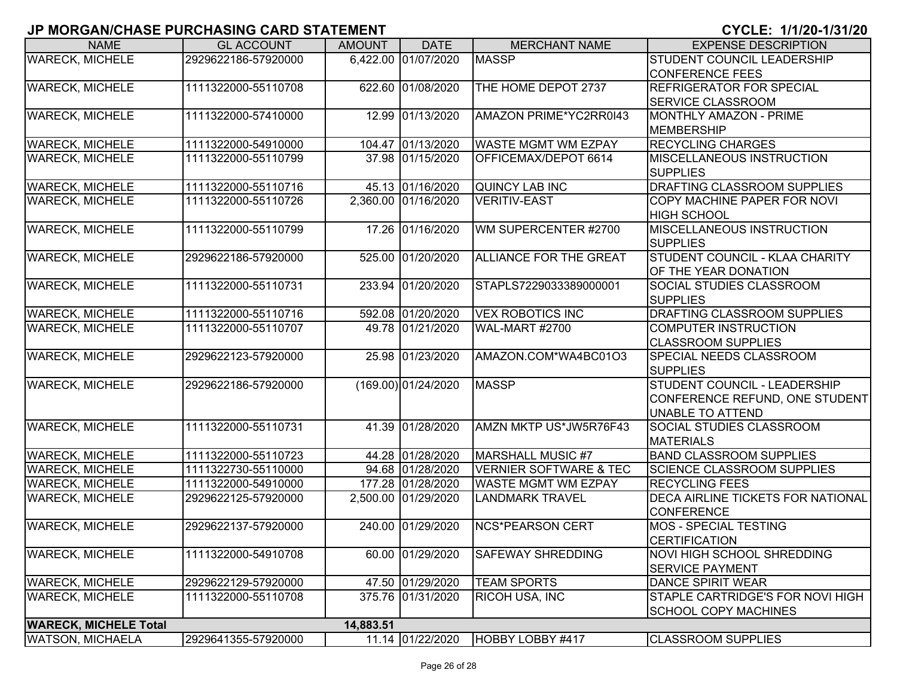| <b>NAME</b>                  | <b>GL ACCOUNT</b>   | <b>AMOUNT</b> | <b>DATE</b>         | <b>MERCHANT NAME</b>              | <b>EXPENSE DESCRIPTION</b>               |
|------------------------------|---------------------|---------------|---------------------|-----------------------------------|------------------------------------------|
| <b>WARECK, MICHELE</b>       | 2929622186-57920000 |               | 6,422.00 01/07/2020 | <b>MASSP</b>                      | STUDENT COUNCIL LEADERSHIP               |
|                              |                     |               |                     |                                   | <b>CONFERENCE FEES</b>                   |
| <b>WARECK, MICHELE</b>       | 1111322000-55110708 |               | 622.60 01/08/2020   | THE HOME DEPOT 2737               | <b>REFRIGERATOR FOR SPECIAL</b>          |
|                              |                     |               |                     |                                   | SERVICE CLASSROOM                        |
| <b>WARECK, MICHELE</b>       | 1111322000-57410000 |               | 12.99 01/13/2020    | AMAZON PRIME*YC2RR0I43            | MONTHLY AMAZON - PRIME                   |
|                              |                     |               |                     |                                   | <b>MEMBERSHIP</b>                        |
| <b>WARECK, MICHELE</b>       | 1111322000-54910000 |               | 104.47 01/13/2020   | <b>WASTE MGMT WM EZPAY</b>        | <b>RECYCLING CHARGES</b>                 |
| <b>WARECK, MICHELE</b>       | 1111322000-55110799 |               | 37.98 01/15/2020    | OFFICEMAX/DEPOT 6614              | <b>MISCELLANEOUS INSTRUCTION</b>         |
|                              |                     |               |                     |                                   | <b>SUPPLIES</b>                          |
| <b>WARECK, MICHELE</b>       | 1111322000-55110716 |               | 45.13 01/16/2020    | QUINCY LAB INC                    | DRAFTING CLASSROOM SUPPLIES              |
| <b>WARECK, MICHELE</b>       | 1111322000-55110726 |               | 2,360.00 01/16/2020 | <b>VERITIV-EAST</b>               | COPY MACHINE PAPER FOR NOVI              |
|                              |                     |               |                     |                                   | <b>HIGH SCHOOL</b>                       |
| <b>WARECK, MICHELE</b>       | 1111322000-55110799 |               | 17.26 01/16/2020    | WM SUPERCENTER #2700              | <b>MISCELLANEOUS INSTRUCTION</b>         |
|                              |                     |               |                     |                                   | <b>SUPPLIES</b>                          |
| <b>WARECK, MICHELE</b>       | 2929622186-57920000 |               | 525.00 01/20/2020   | <b>ALLIANCE FOR THE GREAT</b>     | STUDENT COUNCIL - KLAA CHARITY           |
|                              |                     |               |                     |                                   | OF THE YEAR DONATION                     |
| <b>WARECK, MICHELE</b>       | 1111322000-55110731 |               | 233.94 01/20/2020   | STAPLS7229033389000001            | SOCIAL STUDIES CLASSROOM                 |
|                              |                     |               |                     |                                   | <b>SUPPLIES</b>                          |
| <b>WARECK, MICHELE</b>       | 1111322000-55110716 |               | 592.08 01/20/2020   | <b>VEX ROBOTICS INC</b>           | DRAFTING CLASSROOM SUPPLIES              |
| <b>WARECK, MICHELE</b>       | 1111322000-55110707 |               | 49.78 01/21/2020    | WAL-MART #2700                    | <b>COMPUTER INSTRUCTION</b>              |
|                              |                     |               |                     |                                   | <b>CLASSROOM SUPPLIES</b>                |
| <b>WARECK, MICHELE</b>       | 2929622123-57920000 |               | 25.98 01/23/2020    | AMAZON.COM*WA4BC01O3              | SPECIAL NEEDS CLASSROOM                  |
|                              |                     |               |                     |                                   | <b>SUPPLIES</b>                          |
| <b>WARECK, MICHELE</b>       | 2929622186-57920000 |               | (169.00) 01/24/2020 | <b>MASSP</b>                      | STUDENT COUNCIL - LEADERSHIP             |
|                              |                     |               |                     |                                   | CONFERENCE REFUND, ONE STUDENT           |
|                              |                     |               |                     |                                   | <b>UNABLE TO ATTEND</b>                  |
| <b>WARECK, MICHELE</b>       | 1111322000-55110731 |               | 41.39 01/28/2020    | AMZN MKTP US*JW5R76F43            | SOCIAL STUDIES CLASSROOM                 |
|                              |                     |               |                     |                                   | <b>MATERIALS</b>                         |
| <b>WARECK, MICHELE</b>       | 1111322000-55110723 |               | 44.28 01/28/2020    | MARSHALL MUSIC #7                 | <b>BAND CLASSROOM SUPPLIES</b>           |
| <b>WARECK, MICHELE</b>       | 1111322730-55110000 |               | 94.68 01/28/2020    | <b>VERNIER SOFTWARE &amp; TEC</b> | <b>SCIENCE CLASSROOM SUPPLIES</b>        |
| <b>WARECK, MICHELE</b>       | 1111322000-54910000 |               | 177.28 01/28/2020   | <b>WASTE MGMT WM EZPAY</b>        | <b>RECYCLING FEES</b>                    |
| <b>WARECK, MICHELE</b>       | 2929622125-57920000 |               | 2,500.00 01/29/2020 | <b>LANDMARK TRAVEL</b>            | <b>DECA AIRLINE TICKETS FOR NATIONAL</b> |
|                              |                     |               |                     |                                   | <b>CONFERENCE</b>                        |
| <b>WARECK, MICHELE</b>       | 2929622137-57920000 |               | 240.00 01/29/2020   | <b>NCS*PEARSON CERT</b>           | <b>MOS - SPECIAL TESTING</b>             |
|                              |                     |               |                     |                                   | <b>CERTIFICATION</b>                     |
| <b>WARECK, MICHELE</b>       | 1111322000-54910708 |               | 60.00 01/29/2020    | <b>SAFEWAY SHREDDING</b>          | <b>NOVI HIGH SCHOOL SHREDDING</b>        |
|                              |                     |               |                     |                                   | <b>SERVICE PAYMENT</b>                   |
| <b>WARECK, MICHELE</b>       | 2929622129-57920000 |               | 47.50 01/29/2020    | <b>TEAM SPORTS</b>                | DANCE SPIRIT WEAR                        |
| <b>WARECK, MICHELE</b>       | 1111322000-55110708 |               | 375.76 01/31/2020   | <b>RICOH USA, INC</b>             | STAPLE CARTRIDGE'S FOR NOVI HIGH         |
|                              |                     |               |                     |                                   | <b>SCHOOL COPY MACHINES</b>              |
| <b>WARECK, MICHELE Total</b> |                     | 14,883.51     |                     |                                   |                                          |
| <b>WATSON, MICHAELA</b>      | 2929641355-57920000 |               | 11.14 01/22/2020    | HOBBY LOBBY #417                  | <b>CLASSROOM SUPPLIES</b>                |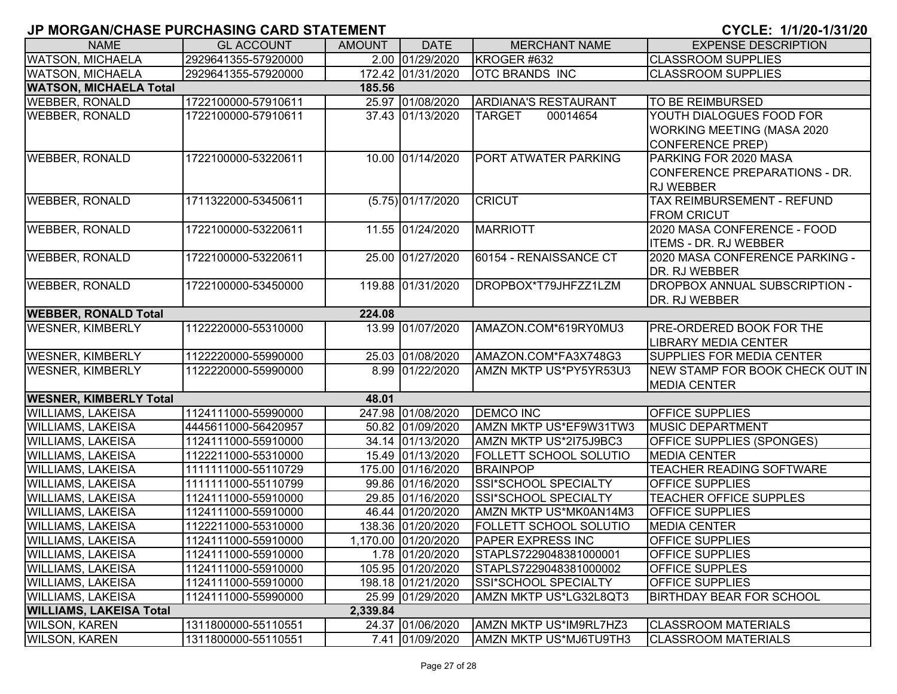| <b>NAME</b>                    | <b>GL ACCOUNT</b>   | <b>AMOUNT</b> | <b>DATE</b>         | <b>MERCHANT NAME</b>          | <b>EXPENSE DESCRIPTION</b>                                                               |
|--------------------------------|---------------------|---------------|---------------------|-------------------------------|------------------------------------------------------------------------------------------|
| <b>WATSON, MICHAELA</b>        | 2929641355-57920000 |               | 2.00 01/29/2020     | KROGER #632                   | <b>CLASSROOM SUPPLIES</b>                                                                |
| <b>WATSON, MICHAELA</b>        | 2929641355-57920000 |               | 172.42 01/31/2020   | <b>OTC BRANDS INC</b>         | <b>CLASSROOM SUPPLIES</b>                                                                |
| <b>WATSON, MICHAELA Total</b>  |                     | 185.56        |                     |                               |                                                                                          |
| <b>WEBBER, RONALD</b>          | 1722100000-57910611 |               | 25.97 01/08/2020    | <b>ARDIANA'S RESTAURANT</b>   | <b>TO BE REIMBURSED</b>                                                                  |
| <b>WEBBER, RONALD</b>          | 1722100000-57910611 |               | 37.43 01/13/2020    | 00014654<br><b>TARGET</b>     | YOUTH DIALOGUES FOOD FOR<br><b>WORKING MEETING (MASA 2020</b><br><b>CONFERENCE PREP)</b> |
| <b>WEBBER, RONALD</b>          | 1722100000-53220611 |               | 10.00 01/14/2020    | PORT ATWATER PARKING          | PARKING FOR 2020 MASA<br>CONFERENCE PREPARATIONS - DR.<br><b>RJ WEBBER</b>               |
| <b>WEBBER, RONALD</b>          | 1711322000-53450611 |               | $(5.75)$ 01/17/2020 | <b>CRICUT</b>                 | TAX REIMBURSEMENT - REFUND<br><b>FROM CRICUT</b>                                         |
| <b>WEBBER, RONALD</b>          | 1722100000-53220611 |               | 11.55 01/24/2020    | <b>MARRIOTT</b>               | 2020 MASA CONFERENCE - FOOD<br><b>ITEMS - DR. RJ WEBBER</b>                              |
| <b>WEBBER, RONALD</b>          | 1722100000-53220611 |               | 25.00 01/27/2020    | 60154 - RENAISSANCE CT        | 2020 MASA CONFERENCE PARKING -<br>DR. RJ WEBBER                                          |
| <b>WEBBER, RONALD</b>          | 1722100000-53450000 |               | 119.88 01/31/2020   | DROPBOX*T79JHFZZ1LZM          | <b>DROPBOX ANNUAL SUBSCRIPTION -</b><br>DR. RJ WEBBER                                    |
| <b>WEBBER, RONALD Total</b>    |                     | 224.08        |                     |                               |                                                                                          |
| <b>WESNER, KIMBERLY</b>        | 1122220000-55310000 |               | 13.99 01/07/2020    | AMAZON.COM*619RY0MU3          | <b>PRE-ORDERED BOOK FOR THE</b><br><b>LIBRARY MEDIA CENTER</b>                           |
| <b>WESNER, KIMBERLY</b>        | 1122220000-55990000 |               | 25.03 01/08/2020    | AMAZON.COM*FA3X748G3          | <b>SUPPLIES FOR MEDIA CENTER</b>                                                         |
| <b>WESNER, KIMBERLY</b>        | 1122220000-55990000 |               | 8.99 01/22/2020     | AMZN MKTP US*PY5YR53U3        | NEW STAMP FOR BOOK CHECK OUT IN<br><b>MEDIA CENTER</b>                                   |
| <b>WESNER, KIMBERLY Total</b>  |                     | 48.01         |                     |                               |                                                                                          |
| <b>WILLIAMS, LAKEISA</b>       | 1124111000-55990000 |               | 247.98 01/08/2020   | <b>DEMCO INC</b>              | <b>OFFICE SUPPLIES</b>                                                                   |
| <b>WILLIAMS, LAKEISA</b>       | 4445611000-56420957 |               | 50.82 01/09/2020    | AMZN MKTP US*EF9W31TW3        | <b>MUSIC DEPARTMENT</b>                                                                  |
| <b>WILLIAMS, LAKEISA</b>       | 1124111000-55910000 |               | 34.14 01/13/2020    | AMZN MKTP US*2I75J9BC3        | <b>OFFICE SUPPLIES (SPONGES)</b>                                                         |
| <b>WILLIAMS, LAKEISA</b>       | 1122211000-55310000 |               | 15.49 01/13/2020    | <b>FOLLETT SCHOOL SOLUTIO</b> | <b>MEDIA CENTER</b>                                                                      |
| <b>WILLIAMS, LAKEISA</b>       | 1111111000-55110729 |               | 175.00 01/16/2020   | <b>BRAINPOP</b>               | TEACHER READING SOFTWARE                                                                 |
| <b>WILLIAMS, LAKEISA</b>       | 1111111000-55110799 |               | 99.86 01/16/2020    | SSI*SCHOOL SPECIALTY          | OFFICE SUPPLIES                                                                          |
| <b>WILLIAMS, LAKEISA</b>       | 1124111000-55910000 |               | 29.85 01/16/2020    | SSI*SCHOOL SPECIALTY          | <b>TEACHER OFFICE SUPPLES</b>                                                            |
| <b>WILLIAMS, LAKEISA</b>       | 1124111000-55910000 |               | 46.44 01/20/2020    | AMZN MKTP US*MK0AN14M3        | <b>OFFICE SUPPLIES</b>                                                                   |
| <b>WILLIAMS, LAKEISA</b>       | 1122211000-55310000 |               | 138.36 01/20/2020   | <b>FOLLETT SCHOOL SOLUTIO</b> | <b>MEDIA CENTER</b>                                                                      |
| <b>WILLIAMS, LAKEISA</b>       | 1124111000-55910000 |               | 1,170.00 01/20/2020 | <b>PAPER EXPRESS INC</b>      | <b>OFFICE SUPPLIES</b>                                                                   |
| <b>WILLIAMS, LAKEISA</b>       | 1124111000-55910000 |               | 1.78 01/20/2020     | STAPLS7229048381000001        | <b>OFFICE SUPPLIES</b>                                                                   |
| <b>WILLIAMS, LAKEISA</b>       | 1124111000-55910000 |               | 105.95 01/20/2020   | STAPLS7229048381000002        | <b>OFFICE SUPPLES</b>                                                                    |
| <b>WILLIAMS, LAKEISA</b>       | 1124111000-55910000 |               | 198.18 01/21/2020   | SSI*SCHOOL SPECIALTY          | <b>OFFICE SUPPLIES</b>                                                                   |
| <b>WILLIAMS, LAKEISA</b>       | 1124111000-55990000 |               | 25.99 01/29/2020    | AMZN MKTP US*LG32L8QT3        | <b>BIRTHDAY BEAR FOR SCHOOL</b>                                                          |
| <b>WILLIAMS, LAKEISA Total</b> |                     | 2,339.84      |                     |                               |                                                                                          |
| <b>WILSON, KAREN</b>           | 1311800000-55110551 |               | 24.37 01/06/2020    | AMZN MKTP US*IM9RL7HZ3        | <b>CLASSROOM MATERIALS</b>                                                               |
| <b>WILSON, KAREN</b>           | 1311800000-55110551 |               | 7.41 01/09/2020     | AMZN MKTP US*MJ6TU9TH3        | <b>CLASSROOM MATERIALS</b>                                                               |